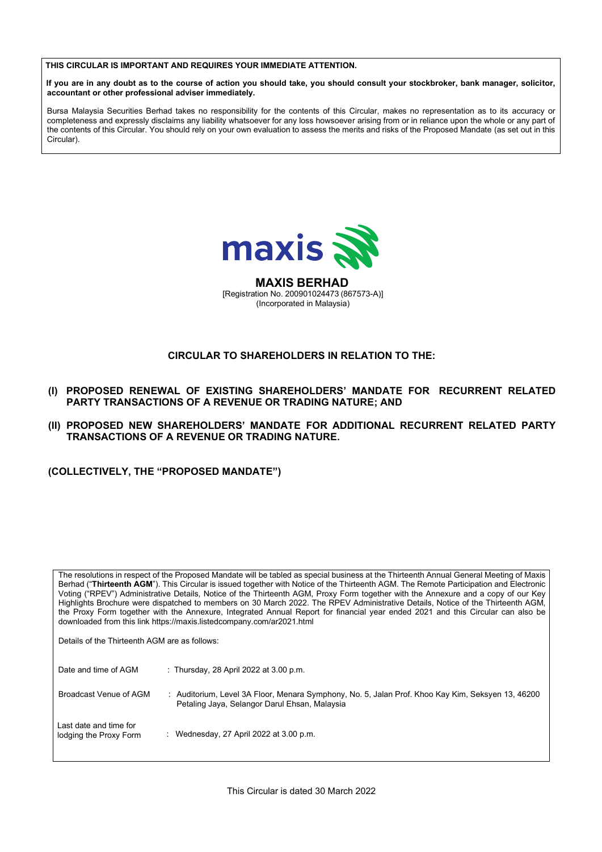**THIS CIRCULAR IS IMPORTANT AND REQUIRES YOUR IMMEDIATE ATTENTION. THIS CIRCULAR IS IMPORTANT AND REQUIRES YOUR IMMEDIATE ATTENTION. THIS CIRCULAR IS IMPORTANT AND REQUIRES YOUR IMMEDIATE ATTENTION.**



### **CIRCULAR TO SHAREHOLDERS IN RELATION TO THE: CIRCULAR TO SHAREHOLDERS IN RELATION TO THE: CIRCULAR TO SHAREHOLDERS IN RELATION TO THE: SHAREHOLDERS IN TO**

- (I) PROPOSED RENEWAL OF EXISTING SHAREHOLDERS' MANDATE FOR RECURRENT RELATED<br>PARTY TRANSACTIONS OF A REVENUE OR TRADING NATURE; AND **PARTY TRANSACTIONS OF A REVENUE OR TRADING NATURE; AND PARTY TRANSACTIONS OF A REVENUE OR TRADING NATURE; AND PARTY TRANSACTIONS OF A REVENUE OR TRADING NATURE; AND**
- (II) PROPOSED NEW SHAREHOLDERS' MANDATE FOR ADDITIONAL RECURRENT RELATED PARTY<br>TRANSACTIONS OF A REVENUE OR TRADING NATURE.<br>(COLLECTIVELY, THE "PROPOSED MANDATE") TRANSACTIONS OF A REVENUE OR TRADING NATURE.

|     | THIS CIRCULAR IS IMPORTANT AND REQUIRES YOUR IMMEDIATE ATTENTION.                                                                                                                                                                                                                                                                                                                                                                                                                                                                                                                                                                                                                                                                                                     |  |
|-----|-----------------------------------------------------------------------------------------------------------------------------------------------------------------------------------------------------------------------------------------------------------------------------------------------------------------------------------------------------------------------------------------------------------------------------------------------------------------------------------------------------------------------------------------------------------------------------------------------------------------------------------------------------------------------------------------------------------------------------------------------------------------------|--|
|     | If you are in any doubt as to the course of action you should take, you should consult your stockbroker, bank manager, solicitor,<br>accountant or other professional adviser immediately.                                                                                                                                                                                                                                                                                                                                                                                                                                                                                                                                                                            |  |
|     | Bursa Malaysia Securities Berhad takes no responsibility for the contents of this Circular, makes no representation as to its accuracy or<br>completeness and expressly disclaims any liability whatsoever for any loss howsoever arising from or in reliance upon the whole or any part of<br>the contents of this Circular. You should rely on your own evaluation to assess the merits and risks of the Proposed Mandate (as set out in this<br>Circular).                                                                                                                                                                                                                                                                                                         |  |
|     |                                                                                                                                                                                                                                                                                                                                                                                                                                                                                                                                                                                                                                                                                                                                                                       |  |
|     |                                                                                                                                                                                                                                                                                                                                                                                                                                                                                                                                                                                                                                                                                                                                                                       |  |
|     | maxis                                                                                                                                                                                                                                                                                                                                                                                                                                                                                                                                                                                                                                                                                                                                                                 |  |
|     | <b>MAXIS BERHAD</b><br>[Registration No. 200901024473 (867573-A)]<br>(Incorporated in Malaysia)                                                                                                                                                                                                                                                                                                                                                                                                                                                                                                                                                                                                                                                                       |  |
|     | <b>CIRCULAR TO SHAREHOLDERS IN RELATION TO THE:</b>                                                                                                                                                                                                                                                                                                                                                                                                                                                                                                                                                                                                                                                                                                                   |  |
|     |                                                                                                                                                                                                                                                                                                                                                                                                                                                                                                                                                                                                                                                                                                                                                                       |  |
| (I) | PROPOSED RENEWAL OF EXISTING SHAREHOLDERS' MANDATE FOR RECURRENT RELATED<br>PARTY TRANSACTIONS OF A REVENUE OR TRADING NATURE; AND                                                                                                                                                                                                                                                                                                                                                                                                                                                                                                                                                                                                                                    |  |
|     | (II) PROPOSED NEW SHAREHOLDERS' MANDATE FOR ADDITIONAL RECURRENT RELATED PARTY<br><b>TRANSACTIONS OF A REVENUE OR TRADING NATURE.</b>                                                                                                                                                                                                                                                                                                                                                                                                                                                                                                                                                                                                                                 |  |
|     | (COLLECTIVELY, THE "PROPOSED MANDATE")                                                                                                                                                                                                                                                                                                                                                                                                                                                                                                                                                                                                                                                                                                                                |  |
|     |                                                                                                                                                                                                                                                                                                                                                                                                                                                                                                                                                                                                                                                                                                                                                                       |  |
|     |                                                                                                                                                                                                                                                                                                                                                                                                                                                                                                                                                                                                                                                                                                                                                                       |  |
|     |                                                                                                                                                                                                                                                                                                                                                                                                                                                                                                                                                                                                                                                                                                                                                                       |  |
|     | The resolutions in respect of the Proposed Mandate will be tabled as special business at the Thirteenth Annual General Meeting of Maxis<br>Berhad ("Thirteenth AGM"). This Circular is issued together with Notice of the Thirteenth AGM. The Remote Participation and Electronic<br>Voting ("RPEV") Administrative Details, Notice of the Thirteenth AGM, Proxy Form together with the Annexure and a copy of our Key<br>Highlights Brochure were dispatched to members on 30 March 2022. The RPEV Administrative Details, Notice of the Thirteenth AGM,<br>the Proxy Form together with the Annexure, Integrated Annual Report for financial year ended 2021 and this Circular can also be<br>downloaded from this link https://maxis.listedcompany.com/ar2021.html |  |
|     | Details of the Thirteenth AGM are as follows:                                                                                                                                                                                                                                                                                                                                                                                                                                                                                                                                                                                                                                                                                                                         |  |
|     | Date and time of AGM<br>: Thursday, 28 April 2022 at 3.00 p.m.                                                                                                                                                                                                                                                                                                                                                                                                                                                                                                                                                                                                                                                                                                        |  |
|     | Broadcast Venue of AGM<br>: Auditorium, Level 3A Floor, Menara Symphony, No. 5, Jalan Prof. Khoo Kay Kim, Seksyen 13, 46200<br>Petaling Jaya, Selangor Darul Ehsan, Malaysia                                                                                                                                                                                                                                                                                                                                                                                                                                                                                                                                                                                          |  |
|     | Last date and time for<br>: Wednesday, 27 April 2022 at 3.00 p.m.<br>lodging the Proxy Form                                                                                                                                                                                                                                                                                                                                                                                                                                                                                                                                                                                                                                                                           |  |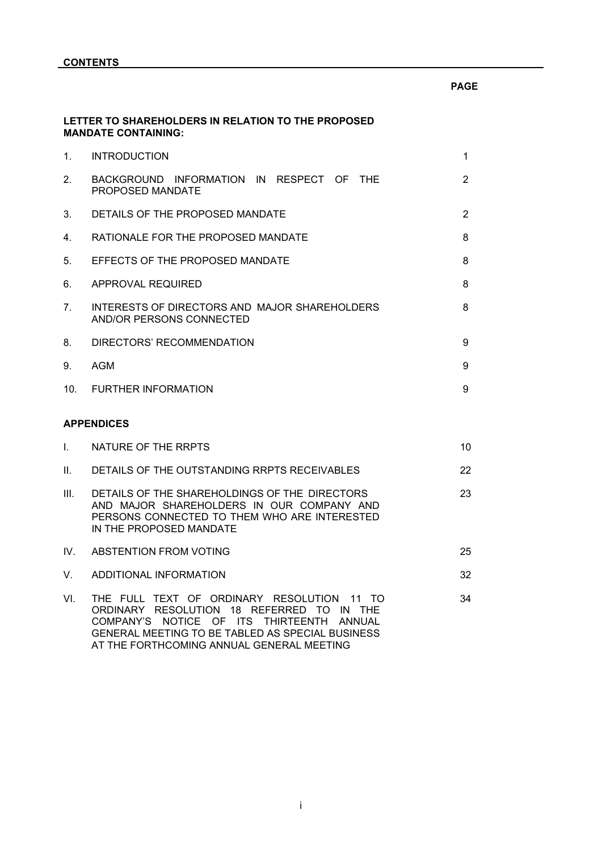|                                | LETTER TO SHAREHOLDERS IN RELATION TO THE PROPOSED<br><b>MANDATE CONTAINING:</b>                                                                                                                                                      |                |
|--------------------------------|---------------------------------------------------------------------------------------------------------------------------------------------------------------------------------------------------------------------------------------|----------------|
| 1.                             | <b>INTRODUCTION</b>                                                                                                                                                                                                                   | 1              |
| 2 <sub>1</sub>                 | BACKGROUND INFORMATION IN RESPECT OF THE<br>PROPOSED MANDATE                                                                                                                                                                          | $\overline{2}$ |
| 3.                             | DETAILS OF THE PROPOSED MANDATE                                                                                                                                                                                                       | $\overline{2}$ |
| 4.                             | RATIONALE FOR THE PROPOSED MANDATE                                                                                                                                                                                                    | 8              |
| 5.                             | EFFECTS OF THE PROPOSED MANDATE                                                                                                                                                                                                       | 8              |
| 6.                             | APPROVAL REQUIRED                                                                                                                                                                                                                     | 8              |
| $7_{\scriptscriptstyle{\sim}}$ | INTERESTS OF DIRECTORS AND MAJOR SHAREHOLDERS<br>AND/OR PERSONS CONNECTED                                                                                                                                                             | 8              |
| 8.                             | DIRECTORS' RECOMMENDATION                                                                                                                                                                                                             | 9              |
| 9.                             | AGM                                                                                                                                                                                                                                   | 9              |
|                                | 10. FURTHER INFORMATION                                                                                                                                                                                                               | 9              |
|                                | <b>APPENDICES</b>                                                                                                                                                                                                                     |                |
| L.                             | NATURE OF THE RRPTS                                                                                                                                                                                                                   | 10             |
| II.                            | DETAILS OF THE OUTSTANDING RRPTS RECEIVABLES                                                                                                                                                                                          | 22             |
| III.                           | DETAILS OF THE SHAREHOLDINGS OF THE DIRECTORS<br>AND MAJOR SHAREHOLDERS IN OUR COMPANY AND<br>PERSONS CONNECTED TO THEM WHO ARE INTERESTED<br>IN THE PROPOSED MANDATE                                                                 | 23             |
| IV.                            | <b>ABSTENTION FROM VOTING</b>                                                                                                                                                                                                         | 25             |
| V.                             | ADDITIONAL INFORMATION                                                                                                                                                                                                                | 32             |
| VI.                            | THE FULL TEXT OF ORDINARY RESOLUTION 11 TO<br>ORDINARY RESOLUTION 18 REFERRED TO IN THE<br>COMPANY'S NOTICE OF ITS THIRTEENTH ANNUAL<br>GENERAL MEETING TO BE TABLED AS SPECIAL BUSINESS<br>AT THE FORTHCOMING ANNUAL GENERAL MEETING | 34             |

**PAGE**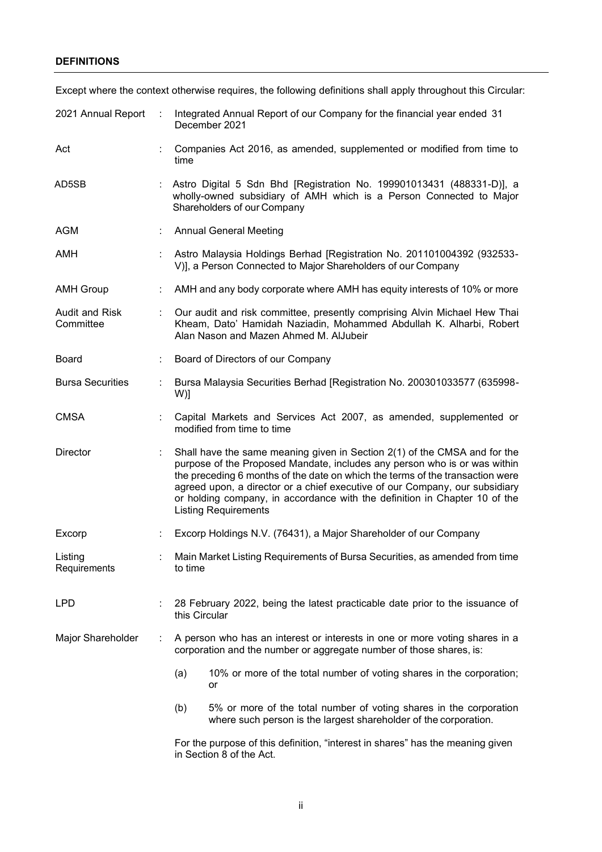### **DEFINITIONS**

|                                    | Except where the context otherwise requires, the following definitions shall apply throughout this Circular: |                                                                                                                                                                                                                                                                                                                                                                                                                                     |  |  |  |  |  |
|------------------------------------|--------------------------------------------------------------------------------------------------------------|-------------------------------------------------------------------------------------------------------------------------------------------------------------------------------------------------------------------------------------------------------------------------------------------------------------------------------------------------------------------------------------------------------------------------------------|--|--|--|--|--|
| 2021 Annual Report                 |                                                                                                              | Integrated Annual Report of our Company for the financial year ended 31<br>December 2021                                                                                                                                                                                                                                                                                                                                            |  |  |  |  |  |
| Act                                |                                                                                                              | Companies Act 2016, as amended, supplemented or modified from time to<br>time                                                                                                                                                                                                                                                                                                                                                       |  |  |  |  |  |
| AD5SB                              |                                                                                                              | Astro Digital 5 Sdn Bhd [Registration No. 199901013431 (488331-D)], a<br>wholly-owned subsidiary of AMH which is a Person Connected to Major<br>Shareholders of our Company                                                                                                                                                                                                                                                         |  |  |  |  |  |
| <b>AGM</b>                         |                                                                                                              | <b>Annual General Meeting</b>                                                                                                                                                                                                                                                                                                                                                                                                       |  |  |  |  |  |
| <b>AMH</b>                         |                                                                                                              | Astro Malaysia Holdings Berhad [Registration No. 201101004392 (932533-<br>V)], a Person Connected to Major Shareholders of our Company                                                                                                                                                                                                                                                                                              |  |  |  |  |  |
| <b>AMH Group</b>                   |                                                                                                              | AMH and any body corporate where AMH has equity interests of 10% or more                                                                                                                                                                                                                                                                                                                                                            |  |  |  |  |  |
| <b>Audit and Risk</b><br>Committee |                                                                                                              | Our audit and risk committee, presently comprising Alvin Michael Hew Thai<br>Kheam, Dato' Hamidah Naziadin, Mohammed Abdullah K. Alharbi, Robert<br>Alan Nason and Mazen Ahmed M. AlJubeir                                                                                                                                                                                                                                          |  |  |  |  |  |
| <b>Board</b>                       |                                                                                                              | Board of Directors of our Company                                                                                                                                                                                                                                                                                                                                                                                                   |  |  |  |  |  |
| <b>Bursa Securities</b>            |                                                                                                              | Bursa Malaysia Securities Berhad [Registration No. 200301033577 (635998-<br>W)]                                                                                                                                                                                                                                                                                                                                                     |  |  |  |  |  |
| <b>CMSA</b>                        |                                                                                                              | Capital Markets and Services Act 2007, as amended, supplemented or<br>modified from time to time                                                                                                                                                                                                                                                                                                                                    |  |  |  |  |  |
| Director                           |                                                                                                              | Shall have the same meaning given in Section 2(1) of the CMSA and for the<br>purpose of the Proposed Mandate, includes any person who is or was within<br>the preceding 6 months of the date on which the terms of the transaction were<br>agreed upon, a director or a chief executive of our Company, our subsidiary<br>or holding company, in accordance with the definition in Chapter 10 of the<br><b>Listing Requirements</b> |  |  |  |  |  |
| Excorp                             |                                                                                                              | Excorp Holdings N.V. (76431), a Major Shareholder of our Company                                                                                                                                                                                                                                                                                                                                                                    |  |  |  |  |  |
| Listing<br>Requirements            |                                                                                                              | Main Market Listing Requirements of Bursa Securities, as amended from time<br>to time                                                                                                                                                                                                                                                                                                                                               |  |  |  |  |  |
| <b>LPD</b>                         |                                                                                                              | 28 February 2022, being the latest practicable date prior to the issuance of<br>this Circular                                                                                                                                                                                                                                                                                                                                       |  |  |  |  |  |
| Major Shareholder                  | ÷.                                                                                                           | A person who has an interest or interests in one or more voting shares in a<br>corporation and the number or aggregate number of those shares, is:                                                                                                                                                                                                                                                                                  |  |  |  |  |  |
|                                    |                                                                                                              | 10% or more of the total number of voting shares in the corporation;<br>(a)<br>or                                                                                                                                                                                                                                                                                                                                                   |  |  |  |  |  |
|                                    |                                                                                                              | 5% or more of the total number of voting shares in the corporation<br>(b)<br>where such person is the largest shareholder of the corporation.                                                                                                                                                                                                                                                                                       |  |  |  |  |  |

For the purpose of this definition, "interest in shares" has the meaning given in Section 8 of the Act.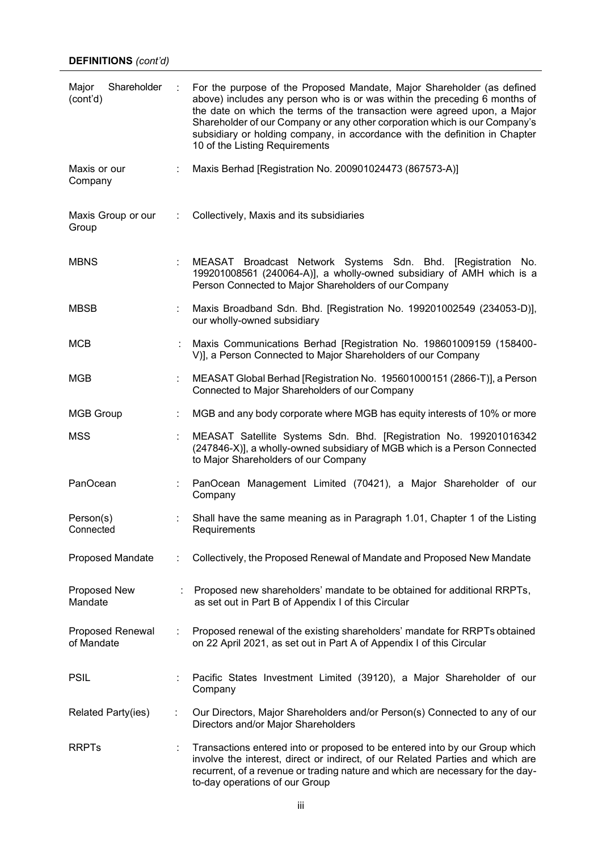| Shareholder<br>Major<br>(cont'd)      | ÷ | For the purpose of the Proposed Mandate, Major Shareholder (as defined<br>above) includes any person who is or was within the preceding 6 months of<br>the date on which the terms of the transaction were agreed upon, a Major<br>Shareholder of our Company or any other corporation which is our Company's<br>subsidiary or holding company, in accordance with the definition in Chapter<br>10 of the Listing Requirements |
|---------------------------------------|---|--------------------------------------------------------------------------------------------------------------------------------------------------------------------------------------------------------------------------------------------------------------------------------------------------------------------------------------------------------------------------------------------------------------------------------|
| Maxis or our<br>Company               |   | Maxis Berhad [Registration No. 200901024473 (867573-A)]                                                                                                                                                                                                                                                                                                                                                                        |
| Maxis Group or our<br>Group           |   | Collectively, Maxis and its subsidiaries                                                                                                                                                                                                                                                                                                                                                                                       |
| <b>MBNS</b>                           |   | MEASAT Broadcast Network Systems Sdn. Bhd. [Registration No.<br>199201008561 (240064-A)], a wholly-owned subsidiary of AMH which is a<br>Person Connected to Major Shareholders of our Company                                                                                                                                                                                                                                 |
| <b>MBSB</b>                           |   | Maxis Broadband Sdn. Bhd. [Registration No. 199201002549 (234053-D)],<br>our wholly-owned subsidiary                                                                                                                                                                                                                                                                                                                           |
| <b>MCB</b>                            |   | Maxis Communications Berhad [Registration No. 198601009159 (158400-<br>V)], a Person Connected to Major Shareholders of our Company                                                                                                                                                                                                                                                                                            |
| MGB                                   |   | MEASAT Global Berhad [Registration No. 195601000151 (2866-T)], a Person<br>Connected to Major Shareholders of our Company                                                                                                                                                                                                                                                                                                      |
| <b>MGB Group</b>                      |   | MGB and any body corporate where MGB has equity interests of 10% or more                                                                                                                                                                                                                                                                                                                                                       |
| <b>MSS</b>                            |   | MEASAT Satellite Systems Sdn. Bhd. [Registration No. 199201016342<br>(247846-X)], a wholly-owned subsidiary of MGB which is a Person Connected<br>to Major Shareholders of our Company                                                                                                                                                                                                                                         |
| PanOcean                              | ÷ | PanOcean Management Limited (70421), a Major Shareholder of our<br>Company                                                                                                                                                                                                                                                                                                                                                     |
| Person(s)<br>Connected                |   | Shall have the same meaning as in Paragraph 1.01, Chapter 1 of the Listing<br>Requirements                                                                                                                                                                                                                                                                                                                                     |
| <b>Proposed Mandate</b>               | ÷ | Collectively, the Proposed Renewal of Mandate and Proposed New Mandate                                                                                                                                                                                                                                                                                                                                                         |
| Proposed New<br>Mandate               |   | Proposed new shareholders' mandate to be obtained for additional RRPTs,<br>as set out in Part B of Appendix I of this Circular                                                                                                                                                                                                                                                                                                 |
| <b>Proposed Renewal</b><br>of Mandate |   | Proposed renewal of the existing shareholders' mandate for RRPTs obtained<br>on 22 April 2021, as set out in Part A of Appendix I of this Circular                                                                                                                                                                                                                                                                             |
| <b>PSIL</b>                           |   | Pacific States Investment Limited (39120), a Major Shareholder of our<br>Company                                                                                                                                                                                                                                                                                                                                               |
| Related Party(ies)                    | t | Our Directors, Major Shareholders and/or Person(s) Connected to any of our<br>Directors and/or Major Shareholders                                                                                                                                                                                                                                                                                                              |
| <b>RRPTs</b>                          |   | Transactions entered into or proposed to be entered into by our Group which<br>involve the interest, direct or indirect, of our Related Parties and which are<br>recurrent, of a revenue or trading nature and which are necessary for the day-<br>to-day operations of our Group                                                                                                                                              |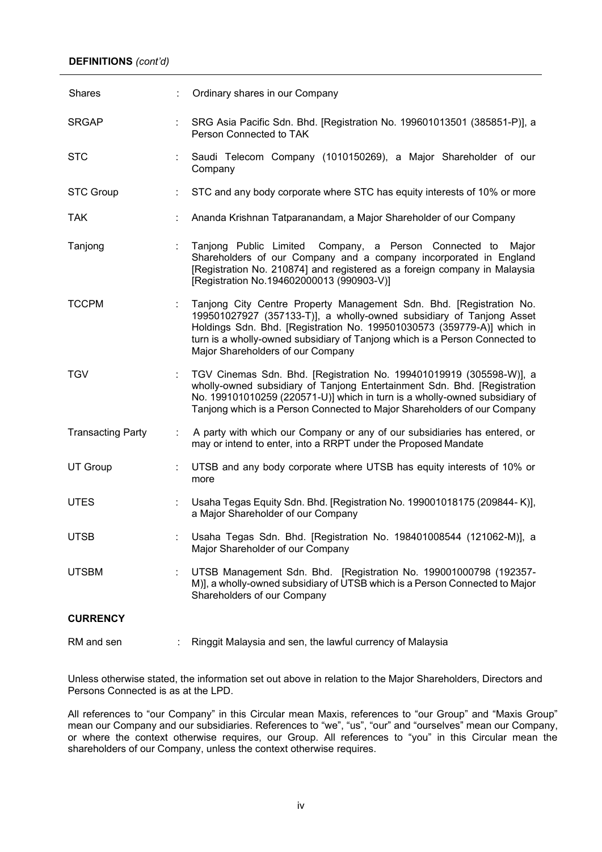| Shares                   |   | Ordinary shares in our Company                                                                                                                                                                                                                                                                                                            |
|--------------------------|---|-------------------------------------------------------------------------------------------------------------------------------------------------------------------------------------------------------------------------------------------------------------------------------------------------------------------------------------------|
| <b>SRGAP</b>             |   | SRG Asia Pacific Sdn. Bhd. [Registration No. 199601013501 (385851-P)], a<br>Person Connected to TAK                                                                                                                                                                                                                                       |
| <b>STC</b>               |   | Saudi Telecom Company (1010150269), a Major Shareholder of our<br>Company                                                                                                                                                                                                                                                                 |
| <b>STC Group</b>         |   | STC and any body corporate where STC has equity interests of 10% or more                                                                                                                                                                                                                                                                  |
| <b>TAK</b>               |   | Ananda Krishnan Tatparanandam, a Major Shareholder of our Company                                                                                                                                                                                                                                                                         |
| Tanjong                  |   | Tanjong Public Limited Company, a Person Connected to Major<br>Shareholders of our Company and a company incorporated in England<br>[Registration No. 210874] and registered as a foreign company in Malaysia<br>[Registration No.194602000013 (990903-V)]                                                                                |
| <b>TCCPM</b>             |   | Tanjong City Centre Property Management Sdn. Bhd. [Registration No.<br>199501027927 (357133-T)], a wholly-owned subsidiary of Tanjong Asset<br>Holdings Sdn. Bhd. [Registration No. 199501030573 (359779-A)] which in<br>turn is a wholly-owned subsidiary of Tanjong which is a Person Connected to<br>Major Shareholders of our Company |
| <b>TGV</b>               | ÷ | TGV Cinemas Sdn. Bhd. [Registration No. 199401019919 (305598-W)], a<br>wholly-owned subsidiary of Tanjong Entertainment Sdn. Bhd. [Registration<br>No. 199101010259 (220571-U)] which in turn is a wholly-owned subsidiary of<br>Tanjong which is a Person Connected to Major Shareholders of our Company                                 |
| <b>Transacting Party</b> |   | A party with which our Company or any of our subsidiaries has entered, or<br>may or intend to enter, into a RRPT under the Proposed Mandate                                                                                                                                                                                               |
| <b>UT Group</b>          |   | UTSB and any body corporate where UTSB has equity interests of 10% or<br>more                                                                                                                                                                                                                                                             |
| <b>UTES</b>              | ÷ | Usaha Tegas Equity Sdn. Bhd. [Registration No. 199001018175 (209844-K)],<br>a Major Shareholder of our Company                                                                                                                                                                                                                            |
| <b>UTSB</b>              |   | Usaha Tegas Sdn. Bhd. [Registration No. 198401008544 (121062-M)], a<br>Major Shareholder of our Company                                                                                                                                                                                                                                   |
| <b>UTSBM</b>             |   | UTSB Management Sdn. Bhd. [Registration No. 199001000798 (192357-<br>M)], a wholly-owned subsidiary of UTSB which is a Person Connected to Major<br>Shareholders of our Company                                                                                                                                                           |
| <b>CURRENCY</b>          |   |                                                                                                                                                                                                                                                                                                                                           |
| RM and sen               |   | Ringgit Malaysia and sen, the lawful currency of Malaysia                                                                                                                                                                                                                                                                                 |

Unless otherwise stated, the information set out above in relation to the Major Shareholders, Directors and Persons Connected is as at the LPD.

All references to "our Company" in this Circular mean Maxis, references to "our Group" and "Maxis Group" mean our Company and our subsidiaries. References to "we", "us", "our" and "ourselves" mean our Company, or where the context otherwise requires, our Group. All references to "you" in this Circular mean the shareholders of our Company, unless the context otherwise requires.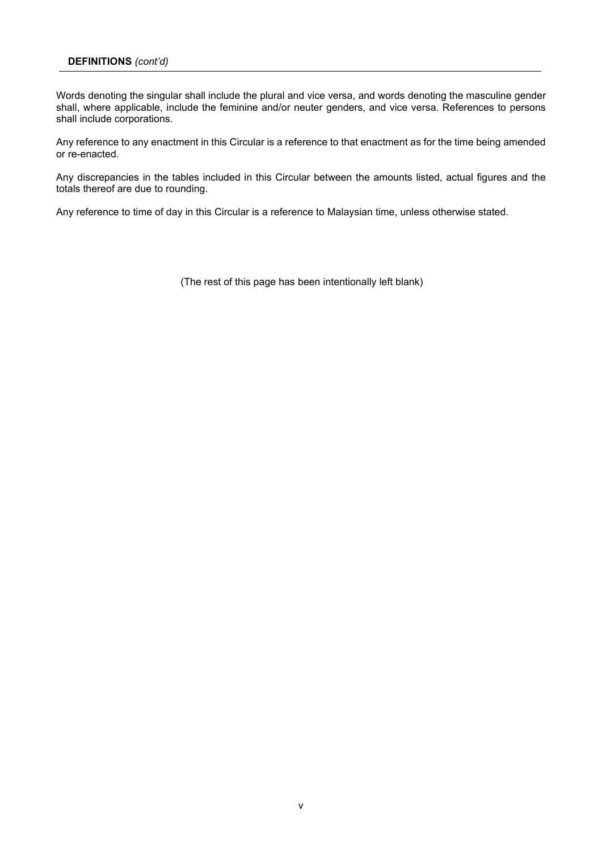Words denoting the singular shall include the plural and vice versa, and words denoting the masculine gender Words denoting the singular shall include the plural and vice versa, and words denoting the masculine gender shall, where applicable, include the feminine and/or neuter genders, and vice versa. References to persons shall, where applicable, include the feminine and/or neuter genders, and vice versa. References to persons shall include corporations. shall include corporations.

Any reference to any enactment in this Circular is a reference to that enactment as for the time being amended Any reference to any enactment in this Circular is a reference to that enactment as for the time being amended or re-enacted. or re-enacted.

Any discrepancies in the tables included in this Circular between the amounts listed, actual figures and the Any discrepancies in the tables included in this Circular between the amounts listed, actual figures and the totals thereof are due to rounding. totals thereof are due to rounding.

Any reference to time of day in this Circular is a reference to Malaysian time, unless otherwise stated. Any reference to time of day in this Circular is a reference to Malaysian time, unless otherwise stated.

(The rest of this page has been intentionally left blank) (The rest of this page has been intentionally left blank)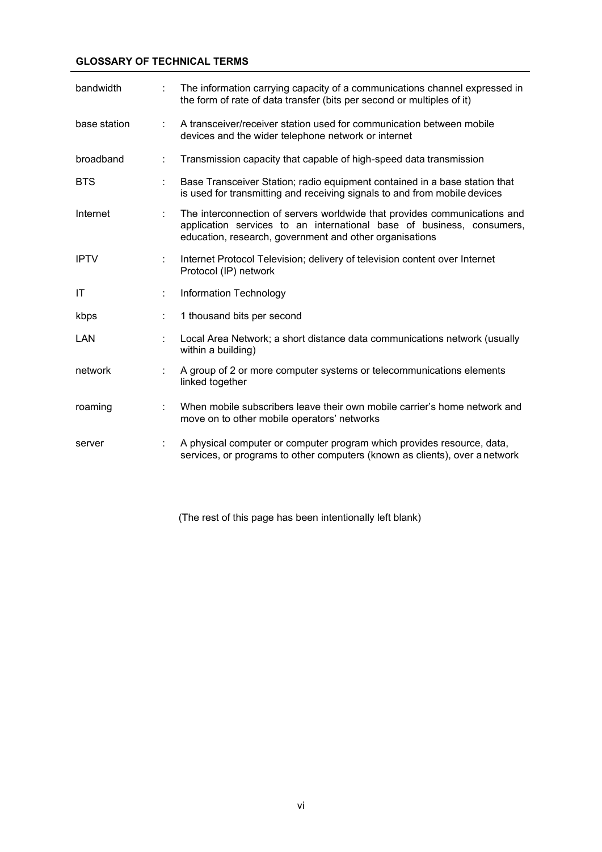### **GLOSSARY OF TECHNICAL TERMS**

| bandwidth    | t. | The information carrying capacity of a communications channel expressed in<br>the form of rate of data transfer (bits per second or multiples of it)                                                          |
|--------------|----|---------------------------------------------------------------------------------------------------------------------------------------------------------------------------------------------------------------|
| base station | ÷  | A transceiver/receiver station used for communication between mobile<br>devices and the wider telephone network or internet                                                                                   |
| broadband    | ÷  | Transmission capacity that capable of high-speed data transmission                                                                                                                                            |
| <b>BTS</b>   |    | Base Transceiver Station; radio equipment contained in a base station that<br>is used for transmitting and receiving signals to and from mobile devices                                                       |
| Internet     | ÷  | The interconnection of servers worldwide that provides communications and<br>application services to an international base of business, consumers,<br>education, research, government and other organisations |
| <b>IPTV</b>  | ÷  | Internet Protocol Television; delivery of television content over Internet<br>Protocol (IP) network                                                                                                           |
| ΙT           |    | Information Technology                                                                                                                                                                                        |
| kbps         |    | 1 thousand bits per second                                                                                                                                                                                    |
| LAN          |    | Local Area Network; a short distance data communications network (usually<br>within a building)                                                                                                               |
| network      |    | A group of 2 or more computer systems or telecommunications elements<br>linked together                                                                                                                       |
| roaming      | ÷  | When mobile subscribers leave their own mobile carrier's home network and<br>move on to other mobile operators' networks                                                                                      |
| server       | ÷. | A physical computer or computer program which provides resource, data,<br>services, or programs to other computers (known as clients), over a network                                                         |

(The rest of this page has been intentionally left blank)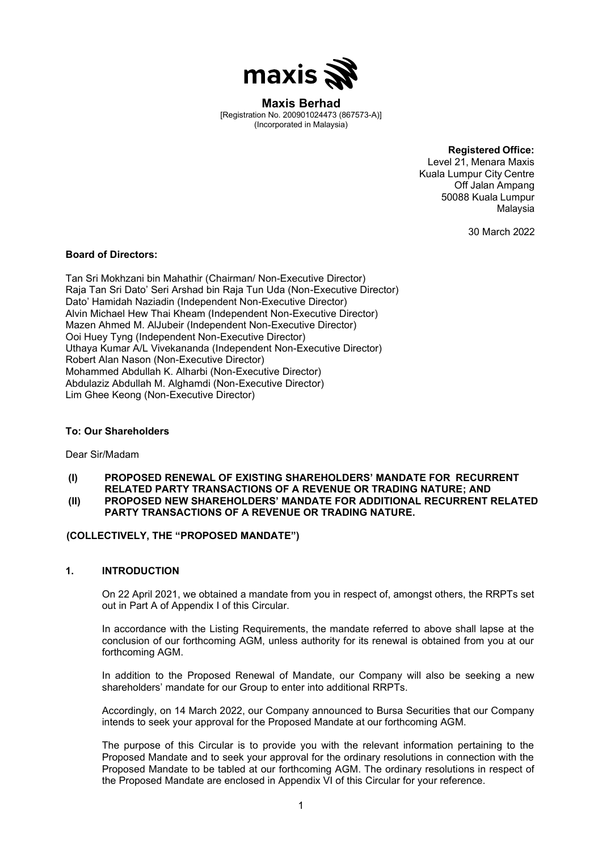

**wo. 20090 I**UZ4473 (86<br>Irnorated in Malavsia) (Incorporated in Malaysia) **Maxis Berhad** [Registration No. 200901024473 (867573-A)] **Maxis Berhad** [Registration No. 200901024473 (867573-A)] **Maxis Berhad** [Registration No. 200901024473 (867573-A)] **Maxis Berhad Maxis Berhad**

(Incorporated in Malaysia)

**Registered Office: Registered Office: Registered Office:**

**Registered Office:** Level 21, Menara Maxis **Registered Office:** Level 21, Menara Maxis **Registered Office:** Level 21, Menara Maxis Kuala Lumpur City Centre<br>Off Jalan Ampang Off Jalan Ampang 50088 Kuala Lumpur 50088 Kuala Lumpur Malaysia 50088 Kuala Lumpur Malaysia 50088 Kuala Lumpur Malaysia Malaysia Malaysia

30 March 2022 30 March 2022 30 March 2022

### **Board of Directors: Board of Directors: Board of Directors:**

Raja Tan Sri Dato' Seri Arshad bin Raja Tun Uda (Non-Executive Director) Dato' Hamidah Naziadin (Independent Non-Executive Director) Alvin Michael Hew Thai Kheam (Independent Non-Executive Director) Mazen Ahmed M. AlJubeir (Independent Non-Executive Director) Ooi Huey Tyng (Independent Non-Executive Director) Andrew Are Uthaya Kumar A/L Vivekananda (Independent Non-Executive Director) Robert Alan Nason (Non-Executive Director) Mohammed Abdullah K. Alharbi (Non-Executive Director) Abdulaziz Abdullah M. Alghamdi (Non-Executive Director) Tan Sri Mokhzani bin Mahathir (Chairman/ Non-Executive Director) Tan Sri Mokhzani bin Mahathir (Chairman/ Non-Executive Director) Tan Sri Mokhzani bin Mahathir (Chairman/ Non-Executive Director) Lim Ghee Keong (Non-Executive Director) Lim Ghee Keong (Non-Executive Director) Lim Ghee Keong (Non-Executive Director)

### To: Our Shareholders **To: Our Shareholders** Por Sur Sirum **To: Our Shareholders**

Dear Sir/Madam Dear Sir/Madam Dear Sir/Madam **(I) PROPOSED RENEWAL OF EXISTING SHAREHOLDERS' MANDATE FOR RECURRENT (I) PROPOSED RENEWAL OF EXISTING SHAREHOLDERS' MANDATE FOR RECURRENT**

(I) PROPOSED RENEWAL OF EXISTING SHAREHOLDERS' MANDATE FOR RECURRENT (II) PROPOSED NEW SHAREHOLDERS' MANDATE FOR ADDITIONAL RECURRENT RELATED PARTY TRANSACTIONS OF A REVENUE OR TRADING NATURE. **RELATED PARTY TRANSACTIONS OF A REVENUE OR TRADING NATURE; AND RELATED PARTY TRANSACTIONS OF A REVENUE OR TRADING NATURE; AND RELATED PARTY TRANSACTIONS OF A REVENUE OR TRADING NATURE; AND**

### (COLLECTIVELY, THE "PROPOSED MANDATE")

### **1. INTRODUCTION 1. INTRODUCTION 1. INTRODUCTION**  $\mathcal{O}(\mathcal{O})$  and  $\mathcal{O}(\mathcal{O})$  in respect of, and  $\mathcal{O}(\mathcal{O})$  in respect of  $\mathcal{O}(\mathcal{O})$  $\blacksquare$

On 22 April 2021, we obtained a mandate from you in respect of, amongst others, the RRPTs set out in Part A of Appendix I of this Circular. out in Part A of Appendix I of this Circular. out in Part A of Appendix I of this Circular. In accordance with the Listing Report the Listing Report of the mandate referred to above shall lapse at the mandate referred to a the mandate referred to a bove shall lapse at the mandate referred to a structure of the ma United that Listing Reports the Listing Reports of the mandate referred to a box shall lapse at the mandate referred to a box shall lapse at the mandate referred to a box shall lapse at the mandate referred to above shall

In accordance with the Listing Requirements, the mandate referred to above shall lapse at the conclusion of our forthcoming AGM, unless authority for its renewal is obtained from you at our forthcoming AGM. forthcoming AGM. forthcoming AGM.  $I_n$  and  $I_n$  and  $I_n$  of  $M$ . In addition to the Proposed Renewal of Mandate, our Company will also be seeking a new Company will also be seeking a new Company will also be seeking a new Company will also be seeking a new Company will also be seeking a

In addition to the Proposed Renewal of Mandate, our Company will also be seeking a new shareholders' mandate for our Group to enter into additional RRPTs. shareholders' mandate for our Group to enter into additional RRPTs. Accordingly, on 13 March 2020, our Company announced to Bursa Securities that our Company shareholders' mandate for our Group to enter into additional RRPTs.

Accordingly, on 14 March 2022, our Company announced to Bursa Securities that our Company intends to seek your approval for the Proposed Mandate at our forthcoming AGM. intends to seek your approval for the Proposed Mandate at our forthcoming AGM. The purpose of the purpose of this circular is to provide information at vari formosining trem. intends to seek your approval for the Proposed Mandate at our forthcoming AGM.

The purpose of this Circular is to provide you with the relevant information pertaining to the Proposed Mandate and to seek your approval for the ordinary resolutions in connection with the Proposed Mandate to be tabled at our forthcoming AGM. The ordinary resolutions in respect of the Proposed Mandate are enclosed in Appendix VI of this Circular for your reference.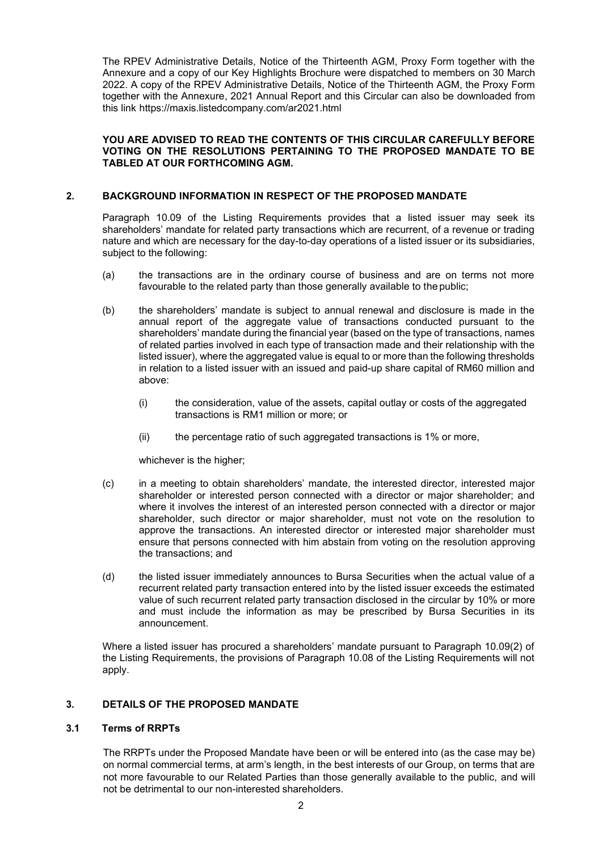The RPEV Administrative Details, Notice of the Thirteenth AGM, Proxy Form together with the Annexure and a copy of our Key Highlights Brochure were dispatched to members on 30 March 2022. A copy of the RPEV Administrative Details, Notice of the Thirteenth AGM, the Proxy Form together with the Annexure, 2021 Annual Report and this Circular can also be downloaded from this link https://maxis.listedcompany.com/ar2021.html

### **YOU ARE ADVISED TO READ THE CONTENTS OF THIS CIRCULAR CAREFULLY BEFORE VOTING ON THE RESOLUTIONS PERTAINING TO THE PROPOSED MANDATE TO BE TABLED AT OUR FORTHCOMING AGM.**

### **2. BACKGROUND INFORMATION IN RESPECT OF THE PROPOSED MANDATE**

Paragraph 10.09 of the Listing Requirements provides that a listed issuer may seek its shareholders' mandate for related party transactions which are recurrent, of a revenue or trading nature and which are necessary for the day-to-day operations of a listed issuer or its subsidiaries, subject to the following:

- (a) the transactions are in the ordinary course of business and are on terms not more favourable to the related party than those generally available to the public;
- (b) the shareholders' mandate is subject to annual renewal and disclosure is made in the annual report of the aggregate value of transactions conducted pursuant to the shareholders' mandate during the financial year (based on the type of transactions, names of related parties involved in each type of transaction made and their relationship with the listed issuer), where the aggregated value is equal to or more than the following thresholds in relation to a listed issuer with an issued and paid-up share capital of RM60 million and above:
	- (i) the consideration, value of the assets, capital outlay or costs of the aggregated transactions is RM1 million or more; or
	- (ii) the percentage ratio of such aggregated transactions is 1% or more,

whichever is the higher;

- (c) in a meeting to obtain shareholders' mandate, the interested director, interested major shareholder or interested person connected with a director or major shareholder; and where it involves the interest of an interested person connected with a director or major shareholder, such director or major shareholder, must not vote on the resolution to approve the transactions. An interested director or interested major shareholder must ensure that persons connected with him abstain from voting on the resolution approving the transactions; and
- (d) the listed issuer immediately announces to Bursa Securities when the actual value of a recurrent related party transaction entered into by the listed issuer exceeds the estimated value of such recurrent related party transaction disclosed in the circular by 10% or more and must include the information as may be prescribed by Bursa Securities in its announcement.

Where a listed issuer has procured a shareholders' mandate pursuant to Paragraph 10.09(2) of the Listing Requirements, the provisions of Paragraph 10.08 of the Listing Requirements will not apply.

### **3. DETAILS OF THE PROPOSED MANDATE**

### **3.1 Terms of RRPTs**

The RRPTs under the Proposed Mandate have been or will be entered into (as the case may be) on normal commercial terms, at arm's length, in the best interests of our Group, on terms that are not more favourable to our Related Parties than those generally available to the public, and will not be detrimental to our non-interested shareholders.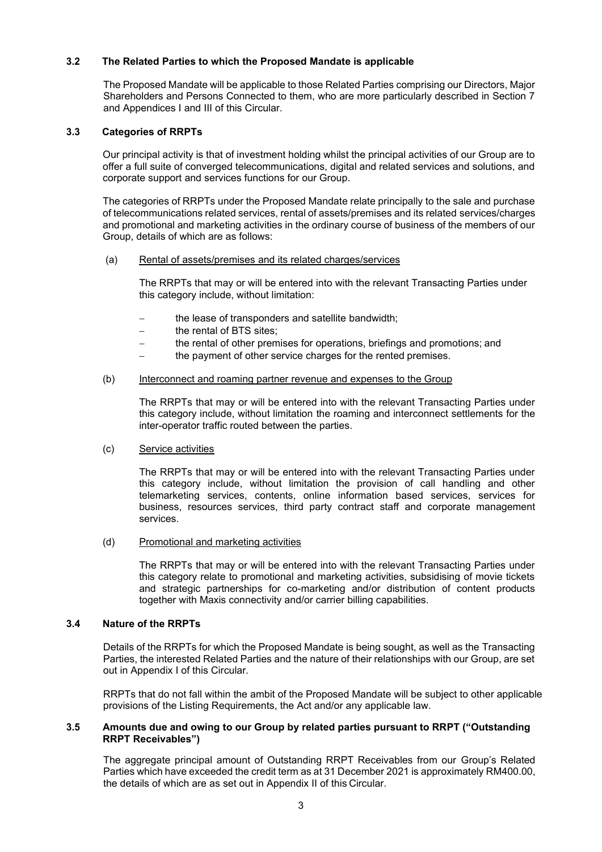The Proposed Mandate will be applicable to those Related Parties comprising our Directors, Major Shareholders and Persons Connected to them, who are more particularly described in Section 7 and Appendices I and III of this Circular.

### **3.3 Categories of RRPTs**

Our principal activity is that of investment holding whilst the principal activities of our Group are to offer a full suite of converged telecommunications, digital and related services and solutions, and corporate support and services functions for our Group.

The categories of RRPTs under the Proposed Mandate relate principally to the sale and purchase of telecommunications related services, rental of assets/premises and its related services/charges and promotional and marketing activities in the ordinary course of business of the members of our Group, details of which are as follows:

### (a) Rental of assets/premises and its related charges/services

The RRPTs that may or will be entered into with the relevant Transacting Parties under this category include, without limitation:

- the lease of transponders and satellite bandwidth:
- − the rental of BTS sites;
- the rental of other premises for operations, briefings and promotions; and
- the payment of other service charges for the rented premises.

### (b) Interconnect and roaming partner revenue and expenses to the Group

The RRPTs that may or will be entered into with the relevant Transacting Parties under this category include, without limitation the roaming and interconnect settlements for the inter-operator traffic routed between the parties.

### (c) Service activities

**The Related Parties to which the Proposed Mandate is applicable<br>
The Proposed Mandate will be applicable to those Related Parties comprised<br>
Shareholders and Persons Connected to them, who are more particularly<br>
and Appen** The RRPTs that may or will be entered into with the relevant Transacting Parties under this category include, without limitation the provision of call handling and other telemarketing services, contents, online information based services, services for business, resources services, third party contract staff and corporate management services.

(d) Promotional and marketing activities

The RRPTs that may or will be entered into with the relevant Transacting Parties under this category relate to promotional and marketing activities, subsidising of movie tickets and strategic partnerships for co-marketing and/or distribution of content products together with Maxis connectivity and/or carrier billing capabilities.

### **3.4 Nature of the RRPTs the**

Details of the RRPTs for which the Proposed Mandate is being sought, as well as the Transacting Parties, the interested Related Parties and the nature of their relationships with our Group, are set out in Appendix I of this Circular. Details of the RRPTs for which the Proposed Mandate is being sought, as well as the Transacting<br>Parties, the interested Related Parties and the nature of their relationships with our Group, are set<br>out in Appendix I of thi

RRPTs that do not fall within the ambit of the Proposed Mandate will be subject to other applicable that not fall within the ambit of the Proposed Mandate will be subject to other applicable provisions of the Listing Requirements, the Act and/or any applicable law.

### **3.5 Amounts due and owing to our Group by related parties pursuant to RRPT ("Outstanding RRPT Receivables")**

The aggregate principal amount of Outstanding RRPT Receivables from our Group's Related Parties which have exceeded the credit term as at 31 December 2021 is approximately RM400.00, the details of which are as set out in Appendix II of this Circular.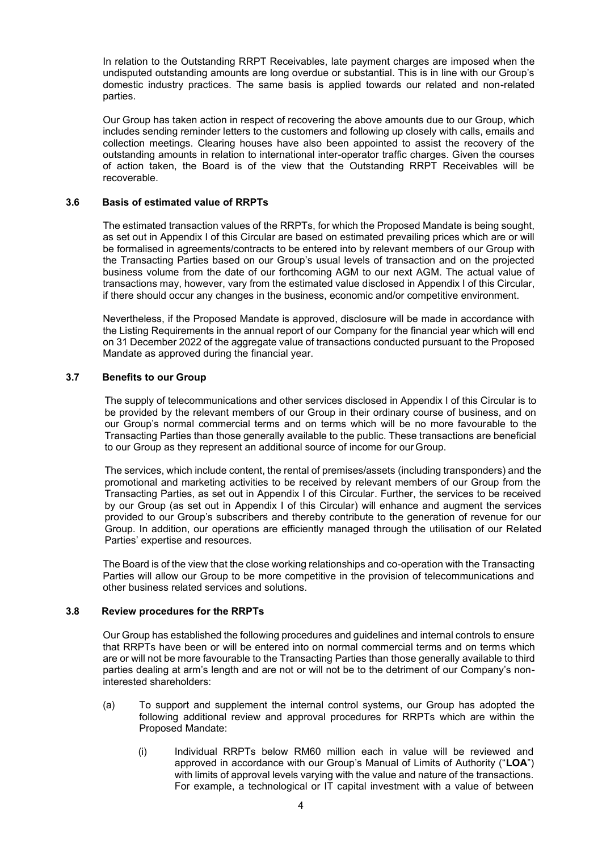In relation to the Outstanding RRPT Receivables, late payment charges are imposed when the undisputed outstanding amounts are long overdue or substantial. This is in line with our Group's domestic industry practices. The same basis is applied towards our related and non-related parties.

Our Group has taken action in respect of recovering the above amounts due to our Group, which includes sending reminder letters to the customers and following up closely with calls, emails and collection meetings. Clearing houses have also been appointed to assist the recovery of the outstanding amounts in relation to international inter-operator traffic charges. Given the courses of action taken, the Board is of the view that the Outstanding RRPT Receivables will be recoverable.

### **3.6 Basis of estimated value of RRPTs**

The estimated transaction values of the RRPTs, for which the Proposed Mandate is being sought, as set out in Appendix I of this Circular are based on estimated prevailing prices which are or will be formalised in agreements/contracts to be entered into by relevant members of our Group with the Transacting Parties based on our Group's usual levels of transaction and on the projected business volume from the date of our forthcoming AGM to our next AGM. The actual value of transactions may, however, vary from the estimated value disclosed in Appendix I of this Circular, if there should occur any changes in the business, economic and/or competitive environment.

Nevertheless, if the Proposed Mandate is approved, disclosure will be made in accordance with the Listing Requirements in the annual report of our Company for the financial year which will end on 31 December 2022 of the aggregate value of transactions conducted pursuant to the Proposed Mandate as approved during the financial year.

### **3.7 Benefits to our Group**

The supply of telecommunications and other services disclosed in Appendix I of this Circular is to be provided by the relevant members of our Group in their ordinary course of business, and on our Group's normal commercial terms and on terms which will be no more favourable to the Transacting Parties than those generally available to the public. These transactions are beneficial to our Group as they represent an additional source of income for our Group.

The services, which include content, the rental of premises/assets (including transponders) and the promotional and marketing activities to be received by relevant members of our Group from the Transacting Parties, as set out in Appendix I of this Circular. Further, the services to be received by our Group (as set out in Appendix I of this Circular) will enhance and augment the services provided to our Group's subscribers and thereby contribute to the generation of revenue for our Group. In addition, our operations are efficiently managed through the utilisation of our Related Parties' expertise and resources.

The Board is of the view that the close working relationships and co-operation with the Transacting Parties will allow our Group to be more competitive in the provision of telecommunications and other business related services and solutions.

### **3.8 Review procedures for the RRPTs**

Our Group has established the following procedures and guidelines and internal controls to ensure that RRPTs have been or will be entered into on normal commercial terms and on terms which are or will not be more favourable to the Transacting Parties than those generally available to third parties dealing at arm's length and are not or will not be to the detriment of our Company's noninterested shareholders:

- (a) To support and supplement the internal control systems, our Group has adopted the following additional review and approval procedures for RRPTs which are within the Proposed Mandate:
	- (i) Individual RRPTs below RM60 million each in value will be reviewed and approved in accordance with our Group's Manual of Limits of Authority ("**LOA**") with limits of approval levels varying with the value and nature of the transactions. For example, a technological or IT capital investment with a value of between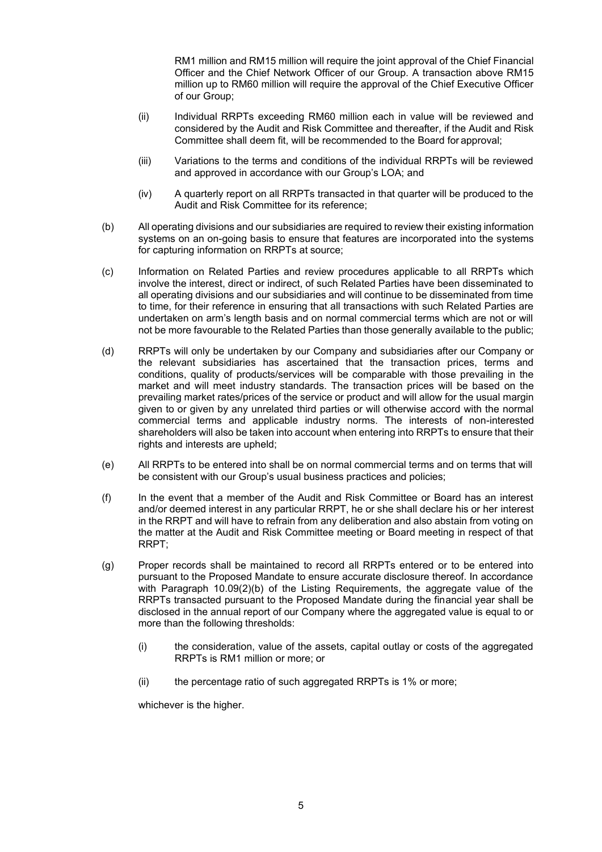RM1 million and RM15 million will require the joint approval of the Chief Financial Officer and the Chief Network Officer of our Group. A transaction above RM15 million up to RM60 million will require the approval of the Chief Executive Officer of our Group;

- (ii) Individual RRPTs exceeding RM60 million each in value will be reviewed and considered by the Audit and Risk Committee and thereafter, if the Audit and Risk Committee shall deem fit, will be recommended to the Board for approval;
- (iii) Variations to the terms and conditions of the individual RRPTs will be reviewed and approved in accordance with our Group's LOA; and
- (iv) A quarterly report on all RRPTs transacted in that quarter will be produced to the Audit and Risk Committee for its reference;
- (b) All operating divisions and our subsidiaries are required to review their existing information systems on an on-going basis to ensure that features are incorporated into the systems for capturing information on RRPTs at source;
- (c) Information on Related Parties and review procedures applicable to all RRPTs which involve the interest, direct or indirect, of such Related Parties have been disseminated to all operating divisions and our subsidiaries and will continue to be disseminated from time to time, for their reference in ensuring that all transactions with such Related Parties are undertaken on arm's length basis and on normal commercial terms which are not or will not be more favourable to the Related Parties than those generally available to the public;
- (d) RRPTs will only be undertaken by our Company and subsidiaries after our Company or the relevant subsidiaries has ascertained that the transaction prices, terms and conditions, quality of products/services will be comparable with those prevailing in the market and will meet industry standards. The transaction prices will be based on the prevailing market rates/prices of the service or product and will allow for the usual margin given to or given by any unrelated third parties or will otherwise accord with the normal commercial terms and applicable industry norms. The interests of non-interested shareholders will also be taken into account when entering into RRPTs to ensure that their rights and interests are upheld;
- (e) All RRPTs to be entered into shall be on normal commercial terms and on terms that will be consistent with our Group's usual business practices and policies;
- (f) In the event that a member of the Audit and Risk Committee or Board has an interest and/or deemed interest in any particular RRPT, he or she shall declare his or her interest in the RRPT and will have to refrain from any deliberation and also abstain from voting on the matter at the Audit and Risk Committee meeting or Board meeting in respect of that RRPT;
- (g) Proper records shall be maintained to record all RRPTs entered or to be entered into pursuant to the Proposed Mandate to ensure accurate disclosure thereof. In accordance with Paragraph  $10.09(2)(b)$  of the Listing Requirements, the aggregate value of the RRPTs transacted pursuant to the Proposed Mandate during the financial year shall be disclosed in the annual report of our Company where the aggregated value is equal to or more than the following thresholds:
	- (i) the consideration, value of the assets, capital outlay or costs of the aggregated RRPTs is RM1 million or more; or
	- (ii) the percentage ratio of such aggregated RRPTs is 1% or more;

whichever is the higher.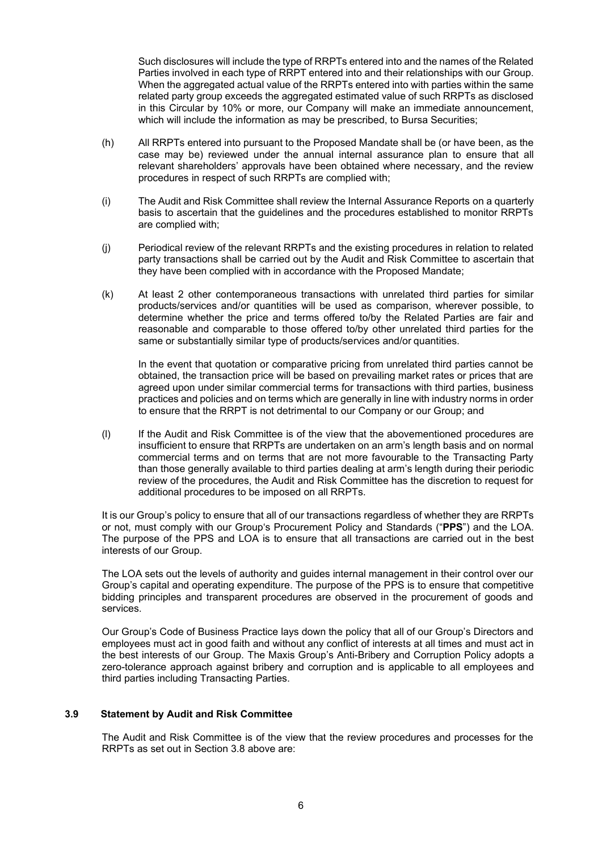Such disclosures will include the type of RRPTs entered into and the names of the Related Parties involved in each type of RRPT entered into and their relationships with our Group. When the aggregated actual value of the RRPTs entered into with parties within the same related party group exceeds the aggregated estimated value of such RRPTs as disclosed in this Circular by 10% or more, our Company will make an immediate announcement, which will include the information as may be prescribed, to Bursa Securities;

- (h) All RRPTs entered into pursuant to the Proposed Mandate shall be (or have been, as the case may be) reviewed under the annual internal assurance plan to ensure that all relevant shareholders' approvals have been obtained where necessary, and the review procedures in respect of such RRPTs are complied with;
- (i) The Audit and Risk Committee shall review the Internal Assurance Reports on a quarterly basis to ascertain that the guidelines and the procedures established to monitor RRPTs are complied with;
- (j) Periodical review of the relevant RRPTs and the existing procedures in relation to related party transactions shall be carried out by the Audit and Risk Committee to ascertain that they have been complied with in accordance with the Proposed Mandate;
- (k) At least 2 other contemporaneous transactions with unrelated third parties for similar products/services and/or quantities will be used as comparison, wherever possible, to determine whether the price and terms offered to/by the Related Parties are fair and reasonable and comparable to those offered to/by other unrelated third parties for the same or substantially similar type of products/services and/or quantities.

In the event that quotation or comparative pricing from unrelated third parties cannot be obtained, the transaction price will be based on prevailing market rates or prices that are agreed upon under similar commercial terms for transactions with third parties, business practices and policies and on terms which are generally in line with industry norms in order to ensure that the RRPT is not detrimental to our Company or our Group; and

(l) If the Audit and Risk Committee is of the view that the abovementioned procedures are insufficient to ensure that RRPTs are undertaken on an arm's length basis and on normal commercial terms and on terms that are not more favourable to the Transacting Party than those generally available to third parties dealing at arm's length during their periodic review of the procedures, the Audit and Risk Committee has the discretion to request for additional procedures to be imposed on all RRPTs.

It is our Group's policy to ensure that all of our transactions regardless of whether they are RRPTs or not, must comply with our Group's Procurement Policy and Standards ("**PPS**") and the LOA. The purpose of the PPS and LOA is to ensure that all transactions are carried out in the best interests of our Group.

The LOA sets out the levels of authority and guides internal management in their control over our Group's capital and operating expenditure. The purpose of the PPS is to ensure that competitive bidding principles and transparent procedures are observed in the procurement of goods and services.

Our Group's Code of Business Practice lays down the policy that all of our Group's Directors and employees must act in good faith and without any conflict of interests at all times and must act in the best interests of our Group. The Maxis Group's Anti-Bribery and Corruption Policy adopts a zero-tolerance approach against bribery and corruption and is applicable to all employees and third parties including Transacting Parties.

### **3.9 Statement by Audit and Risk Committee**

The Audit and Risk Committee is of the view that the review procedures and processes for the RRPTs as set out in Section 3.8 above are: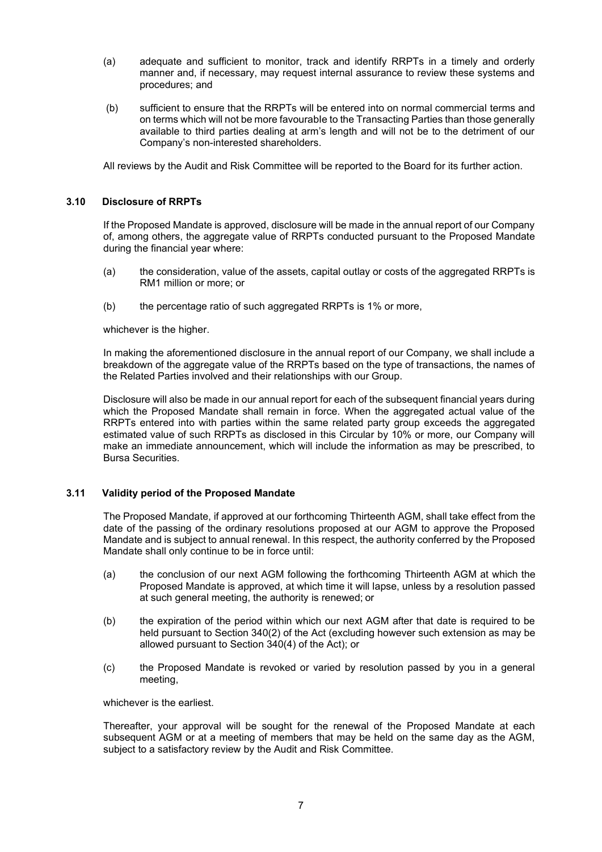- (a) adequate and sufficient to monitor, track and identify RRPTs in a timely and orderly manner and, if necessary, may request internal assurance to review these systems and procedures; and
- (b) sufficient to ensure that the RRPTs will be entered into on normal commercial terms and on terms which will not be more favourable to the Transacting Parties than those generally available to third parties dealing at arm's length and will not be to the detriment of our Company's non-interested shareholders.

All reviews by the Audit and Risk Committee will be reported to the Board for its further action.

### **3.10 Disclosure of RRPTs**

If the Proposed Mandate is approved, disclosure will be made in the annual report of our Company of, among others, the aggregate value of RRPTs conducted pursuant to the Proposed Mandate during the financial year where:

- (a) the consideration, value of the assets, capital outlay or costs of the aggregated RRPTs is RM1 million or more; or
- (b) the percentage ratio of such aggregated RRPTs is 1% or more,

whichever is the higher.

In making the aforementioned disclosure in the annual report of our Company, we shall include a breakdown of the aggregate value of the RRPTs based on the type of transactions, the names of the Related Parties involved and their relationships with our Group.

Disclosure will also be made in our annual report for each of the subsequent financial years during which the Proposed Mandate shall remain in force. When the aggregated actual value of the RRPTs entered into with parties within the same related party group exceeds the aggregated estimated value of such RRPTs as disclosed in this Circular by 10% or more, our Company will make an immediate announcement, which will include the information as may be prescribed, to Bursa Securities.

### **3.11 Validity period of the Proposed Mandate**

The Proposed Mandate, if approved at our forthcoming Thirteenth AGM, shall take effect from the date of the passing of the ordinary resolutions proposed at our AGM to approve the Proposed Mandate and is subject to annual renewal. In this respect, the authority conferred by the Proposed Mandate shall only continue to be in force until:

- (a) the conclusion of our next AGM following the forthcoming Thirteenth AGM at which the Proposed Mandate is approved, at which time it will lapse, unless by a resolution passed at such general meeting, the authority is renewed; or
- (b) the expiration of the period within which our next AGM after that date is required to be held pursuant to Section 340(2) of the Act (excluding however such extension as may be allowed pursuant to Section 340(4) of the Act); or
- (c) the Proposed Mandate is revoked or varied by resolution passed by you in a general meeting,

whichever is the earliest.

Thereafter, your approval will be sought for the renewal of the Proposed Mandate at each subsequent AGM or at a meeting of members that may be held on the same day as the AGM, subject to a satisfactory review by the Audit and Risk Committee.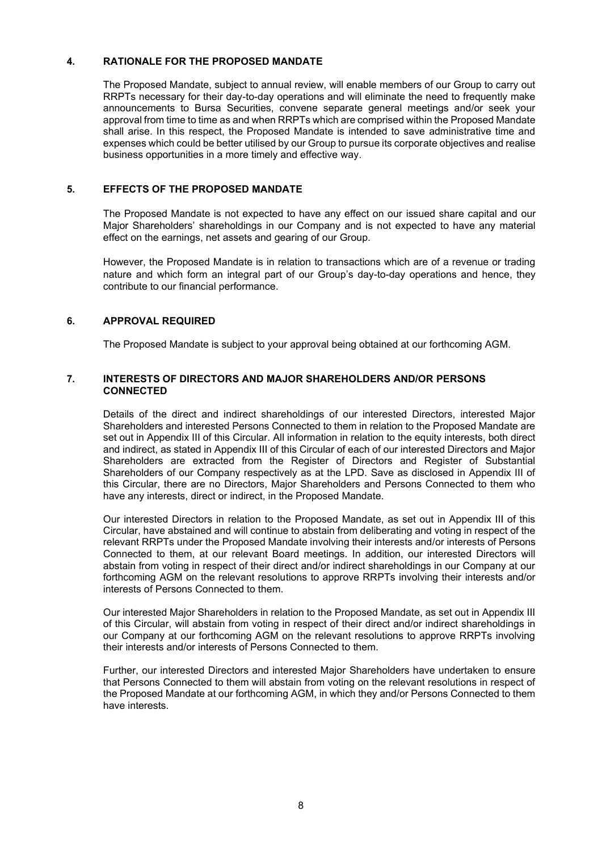### **4. RATIONALE FOR THE PROPOSED MANDATE**

The Proposed Mandate, subject to annual review, will enable members of our Group to carry out RRPTs necessary for their day-to-day operations and will eliminate the need to frequently make announcements to Bursa Securities, convene separate general meetings and/or seek your approval from time to time as and when RRPTs which are comprised within the Proposed Mandate shall arise. In this respect, the Proposed Mandate is intended to save administrative time and expenses which could be better utilised by our Group to pursue its corporate objectives and realise business opportunities in a more timely and effective way.

### **5. EFFECTS OF THE PROPOSED MANDATE**

The Proposed Mandate is not expected to have any effect on our issued share capital and our Major Shareholders' shareholdings in our Company and is not expected to have any material effect on the earnings, net assets and gearing of our Group.

However, the Proposed Mandate is in relation to transactions which are of a revenue or trading nature and which form an integral part of our Group's day-to-day operations and hence, they contribute to our financial performance.

### **6. APPROVAL REQUIRED**

The Proposed Mandate is subject to your approval being obtained at our forthcoming AGM.

### **7. INTERESTS OF DIRECTORS AND MAJOR SHAREHOLDERS AND/OR PERSONS CONNECTED**

Details of the direct and indirect shareholdings of our interested Directors, interested Major Shareholders and interested Persons Connected to them in relation to the Proposed Mandate are set out in Appendix III of this Circular. All information in relation to the equity interests, both direct and indirect, as stated in Appendix III of this Circular of each of our interested Directors and Major Shareholders are extracted from the Register of Directors and Register of Substantial Shareholders of our Company respectively as at the LPD. Save as disclosed in Appendix III of this Circular, there are no Directors, Major Shareholders and Persons Connected to them who have any interests, direct or indirect, in the Proposed Mandate.

Our interested Directors in relation to the Proposed Mandate, as set out in Appendix III of this Circular, have abstained and will continue to abstain from deliberating and voting in respect of the relevant RRPTs under the Proposed Mandate involving their interests and/or interests of Persons Connected to them, at our relevant Board meetings. In addition, our interested Directors will abstain from voting in respect of their direct and/or indirect shareholdings in our Company at our forthcoming AGM on the relevant resolutions to approve RRPTs involving their interests and/or interests of Persons Connected to them.

Our interested Major Shareholders in relation to the Proposed Mandate, as set out in Appendix III of this Circular, will abstain from voting in respect of their direct and/or indirect shareholdings in our Company at our forthcoming AGM on the relevant resolutions to approve RRPTs involving their interests and/or interests of Persons Connected to them.

Further, our interested Directors and interested Major Shareholders have undertaken to ensure that Persons Connected to them will abstain from voting on the relevant resolutions in respect of the Proposed Mandate at our forthcoming AGM, in which they and/or Persons Connected to them have interests.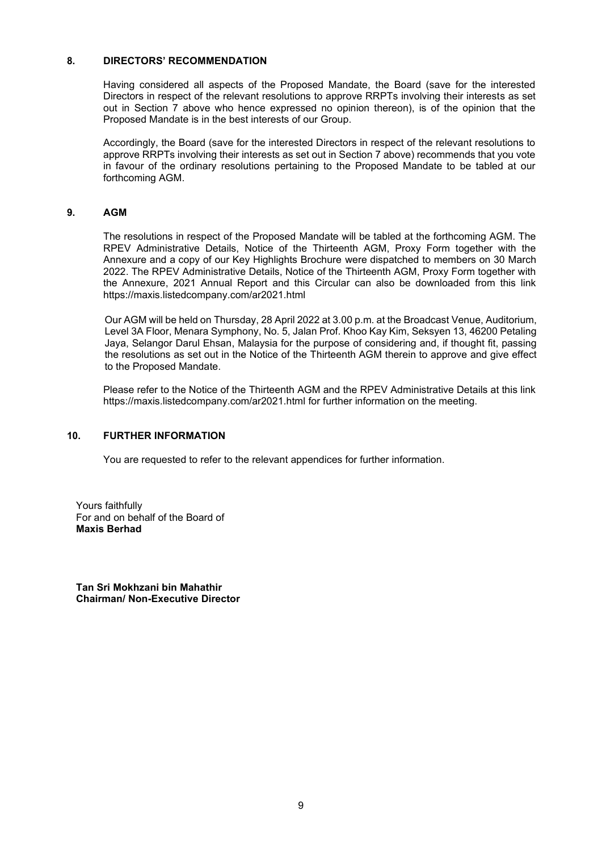### **8. DIRECTORS' RECOMMENDATION**

Having considered all aspects of the Proposed Mandate, the Board (save for the interested Directors in respect of the relevant resolutions to approve RRPTs involving their interests as set out in Section 7 above who hence expressed no opinion thereon), is of the opinion that the Proposed Mandate is in the best interests of our Group.

Accordingly, the Board (save for the interested Directors in respect of the relevant resolutions to approve RRPTs involving their interests as set out in Section 7 above) recommends that you vote in favour of the ordinary resolutions pertaining to the Proposed Mandate to be tabled at our forthcoming AGM.

### **9. AGM**

The resolutions in respect of the Proposed Mandate will be tabled at the forthcoming AGM. The RPEV Administrative Details, Notice of the Thirteenth AGM, Proxy Form together with the Annexure and a copy of our Key Highlights Brochure were dispatched to members on 30 March 2022. The RPEV Administrative Details, Notice of the Thirteenth AGM, Proxy Form together with the Annexure, 2021 Annual Report and this Circular can also be downloaded from this link https://maxis.listedcompany.com/ar2021.html

Our AGM will be held on Thursday, 28 April 2022 at 3.00 p.m. at the Broadcast Venue, Auditorium, Level 3A Floor, Menara Symphony, No. 5, Jalan Prof. Khoo Kay Kim, Seksyen 13, 46200 Petaling Jaya, Selangor Darul Ehsan, Malaysia for the purpose of considering and, if thought fit, passing the resolutions as set out in the Notice of the Thirteenth AGM therein to approve and give effect to the Proposed Mandate.

Please refer to the Notice of the Thirteenth AGM and the RPEV Administrative Details at this link https://maxis.listedcompany.com/ar2021.html for further information on the meeting.

### **10. FURTHER INFORMATION**

You are requested to refer to the relevant appendices for further information.

Yours faithfully For and on behalf of the Board of **Maxis Berhad**

**Tan Sri Mokhzani bin Mahathir Chairman/ Non-Executive Director**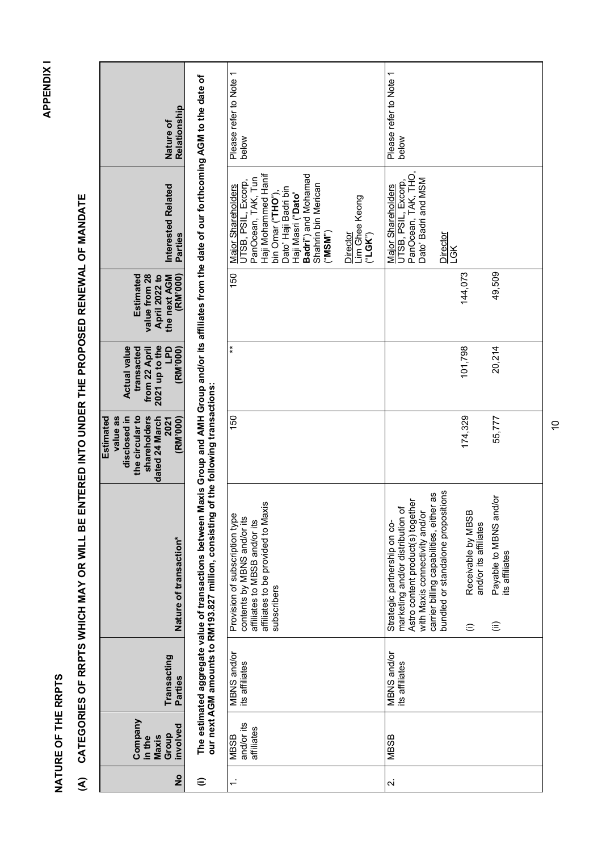NATURE OF THE RRPTS **NATURE OF THE RRPTS**

- **APPENDIX1 APPENDIX I**
- (A) CATEGORIES OF RRPTS WHICH MAY OR WILL BE ENTERED INTO UNDER THE PROPOSED RENEWAL OF MANDATE **(A) CATEGORIES OF RRPTS WHICH MAY OR WILL BE ENTERED INTO UNDER THE PROPOSED RENEWAL OF MANDATE**

| Relationship<br>Nature of                                                                                      |                                                                                                                                                                                                                    | Please refer to Note 1<br>below                                                                                                                                                                                                                                | Please refer to Note 1<br>below                                                                                                                                                                                                                                                                                                              |
|----------------------------------------------------------------------------------------------------------------|--------------------------------------------------------------------------------------------------------------------------------------------------------------------------------------------------------------------|----------------------------------------------------------------------------------------------------------------------------------------------------------------------------------------------------------------------------------------------------------------|----------------------------------------------------------------------------------------------------------------------------------------------------------------------------------------------------------------------------------------------------------------------------------------------------------------------------------------------|
| Interested Related<br><b>Parties</b>                                                                           |                                                                                                                                                                                                                    | Haji Mohammed Hanif<br>Badri") and Mohamad<br>PanOcean, TAK, Tun<br>JTSB, PSIL, Excorp,<br>Shahrin bin Merican<br><b>Major Shareholders</b><br>Dato' Haji Badri bin<br>Haji Masri ("Dato"<br>bin Omar ("THO")<br>Lim Ghee Keong<br>Director<br>("MSM")<br>(SK) | PanOcean, TAK, THO,<br>Dato' Badri and MSM<br>UTSB, PSIL, Excorp,<br>Major Shareholders<br>Director<br><b>LGK</b>                                                                                                                                                                                                                            |
| <b>Estimated</b><br>(RM'000)<br>value from 28<br>April 2022 to<br>the next AGM                                 |                                                                                                                                                                                                                    | 150                                                                                                                                                                                                                                                            | 49,509<br>144,073                                                                                                                                                                                                                                                                                                                            |
| 2021 up to the<br><b>LPD</b><br><b>Actual value</b><br>(RM'000)<br>transacted<br>from 22 April                 |                                                                                                                                                                                                                    | $\ast$                                                                                                                                                                                                                                                         | 101,798<br>20,214                                                                                                                                                                                                                                                                                                                            |
| disclosed in<br>the circular to<br>value as<br>shareholders<br>dated 24 March<br>(RM'000)<br>Estimated<br>2021 | of the following transactions:                                                                                                                                                                                     | 150                                                                                                                                                                                                                                                            | 174,329<br>55,777                                                                                                                                                                                                                                                                                                                            |
| Nature of transaction*                                                                                         | The estimated aggregate value of transactions between Maxis Group and AMH Group and/or its affiliates from the date of our forthcoming AGM to the date of<br>our next AGM amounts to RM193.827 million, consisting | affiliates to be provided to Maxis<br>Provision of subscription type<br>contents by MBNS and/or its<br>affiliates to MBSB and/or its<br>subscribers                                                                                                            | bundled or standalone propositions<br>carrier billing capabilities, either as<br>Payable to MBNS and/or<br>Astro content product(s) together<br>marketing and/or distribution of<br>Receivable by MBSB<br>with Maxis connectivity and/or<br>Strategic partnership on co-<br>and/or its affiliates<br>its affiliates<br>(ii)<br>$\widehat{=}$ |
| Transacting<br>Parties                                                                                         |                                                                                                                                                                                                                    | MBNS and/or<br>its affiliates                                                                                                                                                                                                                                  | MBNS and/or<br>its affiliates                                                                                                                                                                                                                                                                                                                |
| Company<br>involved<br>Group<br>Maxis<br>in the                                                                |                                                                                                                                                                                                                    | and/or its<br>affiliates<br><b>MBSB</b>                                                                                                                                                                                                                        | <b>MBSB</b>                                                                                                                                                                                                                                                                                                                                  |
| $\frac{1}{2}$                                                                                                  | ⊜                                                                                                                                                                                                                  | $\div$                                                                                                                                                                                                                                                         | $\overline{\mathcal{L}}$                                                                                                                                                                                                                                                                                                                     |

 $\Xi$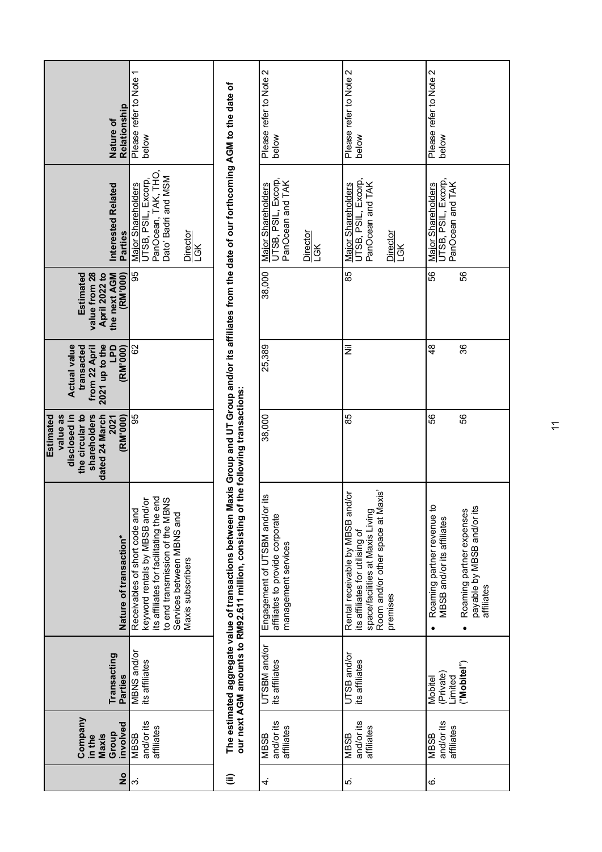| $\frac{1}{2}$ | Company<br>involved<br>Group<br>Maxis<br>in the | Transacting<br><b>Parties</b>                  | Nature of transaction*                                                                                                                                                                             | disclosed in<br>the circular to<br>value as<br>shareholders<br><b>Estimated</b><br>dated 24 March<br>(RM'000)<br>2021 | 2021 up to the<br><b>Actual value</b><br><b>LPD</b><br>(RM'000)<br>transacted<br>from 22 April | Estimated<br>value from 28<br>(RM'000)<br>April 2022 to<br>the next AGM | Interested Related<br>Parties                                                                                     | Relationship<br>Nature of       |
|---------------|-------------------------------------------------|------------------------------------------------|----------------------------------------------------------------------------------------------------------------------------------------------------------------------------------------------------|-----------------------------------------------------------------------------------------------------------------------|------------------------------------------------------------------------------------------------|-------------------------------------------------------------------------|-------------------------------------------------------------------------------------------------------------------|---------------------------------|
| က             | and/or its<br>affiliates<br><b>RISSM</b>        | MBNS and/or<br>its affiliates                  | end<br>to end transmission of the MBNS<br>keyword rentals by MBSB and/or<br>Receivables of short code and<br>Services between MBNS and<br>its affiliates for facilitating the<br>Maxis subscribers | 95                                                                                                                    | 8                                                                                              | 95                                                                      | PanOcean, TAK, THO,<br>Dato' Badri and MSM<br>UTSB, PSIL, Excorp,<br>Major Shareholders<br>Director<br><b>JGK</b> | Please refer to Note 1<br>below |
| ε             |                                                 |                                                | The estimated aggregate value of transactions between<br>our next AGM amounts to RM92.611 million, consisting                                                                                      | of the following transactions:                                                                                        |                                                                                                |                                                                         | Maxis Group and UT Group and/or its affiliates from the date of our forthcoming AGM to the date of                |                                 |
| 4.            | and/or its<br>affiliates<br><b>MBSB</b>         | UTSBM and/or<br>its affiliates                 | or its<br>Engagement of UTSBM and/<br>affiliates to provide corporate<br>management services                                                                                                       | 38,000                                                                                                                | 25,389                                                                                         | 38,000                                                                  | UTSB, PSIL, Excorp,<br>PanOcean and TAK<br>Major Shareholders<br>Director<br><b>LGK</b>                           | Please refer to Note 2<br>below |
| ທ່            | and/or its<br>affiliates<br><b>MBSB</b>         | UTSB and/or<br>its affiliates                  | its affiliates ™ ~------ .<br>space/facilities at Maxis Living<br>'' -- -+--~ ∾nace at Maxis'<br>and/or<br>Rental receivable by MBSB<br>premises                                                   | 85                                                                                                                    | 亖                                                                                              | 85                                                                      | UTSB, PSIL, Excorp,<br>PanOcean and TAK<br>Major Shareholders<br>Director<br>Ğ                                    | Please refer to Note 2<br>below |
| ن             | and/or its<br>affiliates<br><b>MBSB</b>         | ("Mobitel")<br>(Private)<br>Limited<br>Mobitel | ٩<br>۵Ľ<br>Roaming partner expenses<br>Roaming partner revenue<br>MBSB and/or its affiliates<br>payable by MBSB and/or<br>affiliates<br>$\bullet$                                                  | 56<br>56                                                                                                              | 48<br>36                                                                                       | 58<br>SS                                                                | UTSB, PSIL, Excorp,<br>PanOcean and TAK<br>Major Shareholders                                                     | Please refer to Note 2<br>below |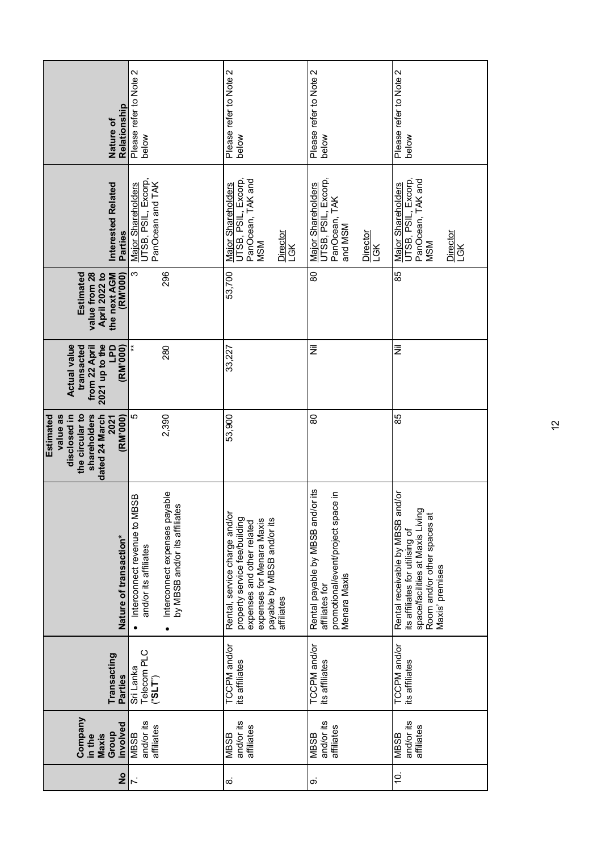| Relationship<br>Nature of                                                                                      | Please refer to Note 2<br>below                                                                                                         | Please refer to Note 2<br>below                                                                                                                                      | Please refer to Note 2<br>below                                                                           | Please refer to Note 2<br>below                                                                                                                           |
|----------------------------------------------------------------------------------------------------------------|-----------------------------------------------------------------------------------------------------------------------------------------|----------------------------------------------------------------------------------------------------------------------------------------------------------------------|-----------------------------------------------------------------------------------------------------------|-----------------------------------------------------------------------------------------------------------------------------------------------------------|
| Interested Related<br>Parties                                                                                  | UTSB, PSIL, Excorp,<br>PanOcean and TAK<br>Major Shareholders                                                                           | <b>JTSB, PSIL, Excorp,</b><br>PanOcean, TAK and<br>Major Shareholders<br>Director<br>LGK<br><b>MSM</b>                                                               | UTSB, PSIL, Excorp,<br>Major Shareholders<br>PanOcean, TAK<br>and MSM<br>Director<br>LGK                  | JTSB, PSIL, Excorp,<br>PanOcean, TAK and<br>Major Shareholders<br>Director<br><b>MSM</b><br>LGK                                                           |
| <b>Estimated</b><br>value from 28<br>(RM'000)<br>the next AGM<br>April 2022 to                                 | 296<br>က                                                                                                                                | 53,700                                                                                                                                                               | 80                                                                                                        | 85                                                                                                                                                        |
| <b>Actual value</b><br>2021 up to the<br><b>GdT</b><br>(RM'000)<br>transacted<br>from 22 April                 | $\ast$<br>280                                                                                                                           | 33,227                                                                                                                                                               | Ξ                                                                                                         | Ξ                                                                                                                                                         |
| the circular to<br>disclosed in<br>value as<br>shareholders<br>(RM'000)<br>Estimated<br>dated 24 March<br>2021 | 5<br>2,390                                                                                                                              | 53,900                                                                                                                                                               | 80                                                                                                        | 85                                                                                                                                                        |
| Nature of transaction*                                                                                         | Interconnect expenses payable<br><b>1BSB</b><br>89<br>Interconnect revenue to M<br>by MBSB and/or its affiliat<br>and/or its affiliates | Rental, service charge and/o<br>property service fee/building<br>payable by MBSB and/or its<br>expenses for Menara Maxis<br>expenses and other related<br>affiliates | Rental payable by MBSB and/or its<br>promotional/event/project space in<br>Menara Maxis<br>affiliates for | Rental receivable by MBSB and/or<br>space/facilities at Maxis Living<br>Room and/or other spaces at<br>its affiliates for utilising of<br>Maxis' premises |
| Transacting<br>Parties                                                                                         | Telecom PLC<br>Sri Lanka<br>(T3e)                                                                                                       | <b>TCCPM</b> and/or<br>its affiliates                                                                                                                                | TCCPM and/or<br>its affiliates                                                                            | <b>TCCPM</b> and/or<br>its affiliates                                                                                                                     |
| Company<br>involved<br>Group<br>in the<br>Maxis                                                                | and/or its<br>affiliates<br><b>RSSB</b>                                                                                                 | and/or its<br>affiliates<br><b>MBSB</b>                                                                                                                              | and/or its<br>affiliates<br><b>MBSB</b>                                                                   | and/or its<br>affiliates<br>MBSB                                                                                                                          |
| $\frac{1}{2}$                                                                                                  | $\overline{r}$                                                                                                                          | $\dot{\infty}$                                                                                                                                                       | တ                                                                                                         | Ó.                                                                                                                                                        |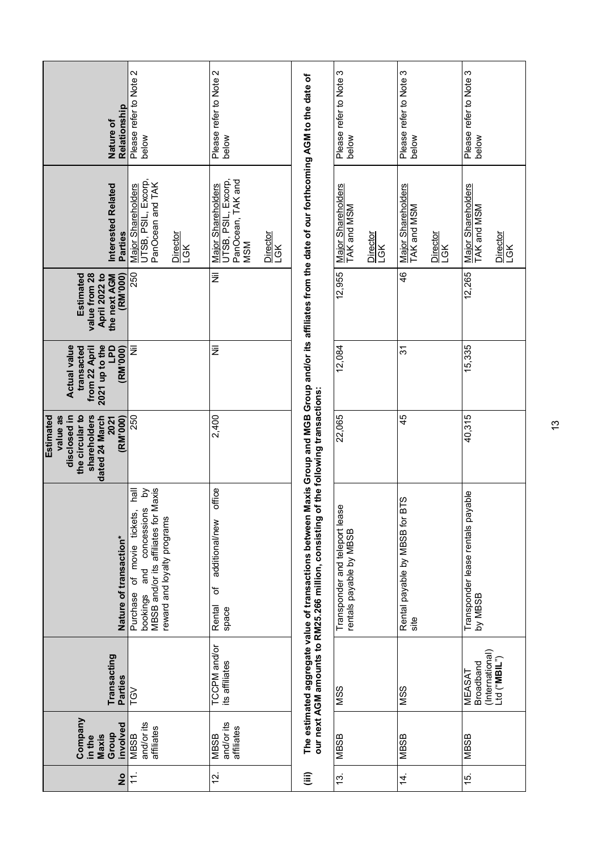| Relationship<br>Nature of                                                                                      | Please refer to Note 2<br>below                                                                                                                        | Please refer to Note 2<br>below                                                                        |                                                                                                                                              | Please refer to Note 3<br>below                               | Please refer to Note 3<br>below                      | Please refer to Note 3<br>below                               |
|----------------------------------------------------------------------------------------------------------------|--------------------------------------------------------------------------------------------------------------------------------------------------------|--------------------------------------------------------------------------------------------------------|----------------------------------------------------------------------------------------------------------------------------------------------|---------------------------------------------------------------|------------------------------------------------------|---------------------------------------------------------------|
| Interested Related<br><b>Parties</b>                                                                           | UTSB, PSIL, Excorp,<br>PanOcean and TAK<br>Major Shareholders<br>Director<br>LGK                                                                       | PanOcean, TAK and<br>UTSB, PSIL, Excorp,<br>Major Shareholders<br><u>Director</u><br><b>MSM</b><br>LGK | Maxis Group and MGB Group and/or its affiliates from the date of our forthcoming AGM to the date of                                          | Major Shareholders<br>TAK and MSM<br>Director<br>LGK          | Major Shareholders<br>TAK and MSM<br>Director<br>LGK | Major Shareholders<br>TAK and MSM<br>Director<br>LGK          |
| Estimated<br>value from 28<br>(RM'000)<br>April 2022 to<br>the next AGM                                        | 250                                                                                                                                                    | Ξ                                                                                                      |                                                                                                                                              | 12,955                                                        | 46                                                   | 12,265                                                        |
| <b>Actual value</b><br>$2021$ up to the<br><b>U<sub>d</sub></b><br>(RM'000)<br>transacted<br>from 22 April     | ž                                                                                                                                                      | ž                                                                                                      |                                                                                                                                              | 12,084                                                        | 22                                                   | 15,335                                                        |
| disclosed in<br>the circular to<br>value as<br>shareholders<br>(RM'000)<br>Estimated<br>dated 24 March<br>2021 | 250                                                                                                                                                    | 2,400                                                                                                  |                                                                                                                                              | 22,065                                                        | 45                                                   | 40,315                                                        |
| Nature of transaction*                                                                                         | Maxis<br>lley<br>δ<br>tickets,<br>and concessions<br>MBSB and/or its affiliates for<br>reward and loyalty programs<br>of movie<br>Purchase<br>bookings | office<br>additional/new<br>٥ŕ<br>Rental<br>space                                                      | our next AGM amounts to RM25.266 million, consisting of the following transactions:<br>The estimated aggregate value of transactions between | Φ<br>Transponder and teleport leas<br>rentals payable by MBSB | Rental payable by MBSB for BTS<br>site               | Transponder lease rentals payable<br>BSEN MP                  |
| Transacting<br><b>Parties</b>                                                                                  | <b>TGV</b>                                                                                                                                             | <b>TCCPM</b> and/or<br>its affiliates                                                                  |                                                                                                                                              | SSM                                                           | SSM                                                  | (International)<br>Ltd ("MBIL")<br>Broadband<br><b>MEASAT</b> |
| Company<br>involved<br>Group<br>Maxis<br>in the                                                                | and/or its<br>affiliates<br><b>NBSB</b>                                                                                                                | and/or its<br>affiliates<br><b>MBSB</b>                                                                |                                                                                                                                              | <b>ABSB</b>                                                   | <b>MBSB</b>                                          | MBSB                                                          |
| $\frac{1}{2}$                                                                                                  | $11$ .                                                                                                                                                 | <u>بہ</u>                                                                                              | $\widehat{\equiv}$                                                                                                                           | <u>რ</u>                                                      | $\overline{4}$ .                                     | $\ddot{5}$                                                    |

 $\frac{3}{1}$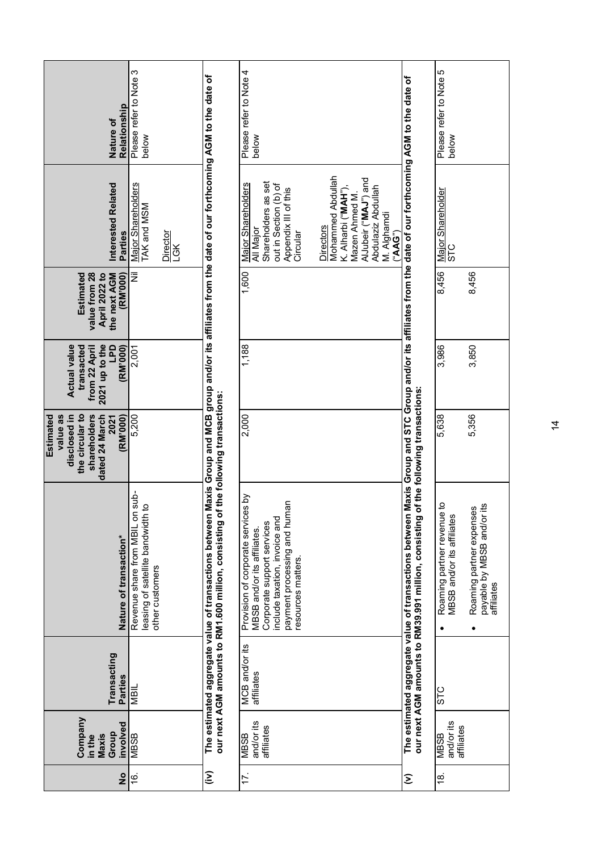| Relationship<br>Nature of                                                                                             | Please refer to Note 3<br>below                                                                        |                                                                                                                | Please refer to Note 4<br>below                                                                                                                                                                                                                                              |                                                                                                               | Please refer to Note 5<br>below                                         |                                                                                   |
|-----------------------------------------------------------------------------------------------------------------------|--------------------------------------------------------------------------------------------------------|----------------------------------------------------------------------------------------------------------------|------------------------------------------------------------------------------------------------------------------------------------------------------------------------------------------------------------------------------------------------------------------------------|---------------------------------------------------------------------------------------------------------------|-------------------------------------------------------------------------|-----------------------------------------------------------------------------------|
| Interested Related<br>Parties                                                                                         | Major Shareholders<br>TAK and MSM<br>Director<br>LGK                                                   | Maxis Group and MCB group and/or its affiliates from the date of our forthcoming AGM to the date of            | Mohammed Abdullah<br>AlJubeir ("MAJ") and<br>Shareholders as set<br>Major Shareholders<br>out in Section (b) of<br>Abdulaziz Abdullah<br>Appendix III of this<br>K. Alharbi ("MAH")<br>Mazen Ahmed M.<br>M. Alghamdi<br><b>Directors</b><br>All Major<br>Circular<br>("AAG") | Maxis Group and STC Group and/or its affiliates from the date of our forthcoming AGM to the date of           | Major Shareholder<br>STC                                                |                                                                                   |
| <b>Estimated</b><br>value from 28<br>(RM'000)<br><b>April 2022 to</b><br>the next AGM                                 | Ξ                                                                                                      |                                                                                                                | 1,600                                                                                                                                                                                                                                                                        |                                                                                                               | 8,456                                                                   | 8,456                                                                             |
| 2021 up to the<br><b>Actual value</b><br><b>Od1</b><br>(RM'000)<br>from 22 April<br>transacted                        | 2,001                                                                                                  |                                                                                                                | 1,188                                                                                                                                                                                                                                                                        |                                                                                                               | 3,986                                                                   | 3,850                                                                             |
| the circular to<br>disclosed in<br>value as<br>shareholders<br><b>Estimated</b><br>dated 24 March<br>(RM'000)<br>2021 | 5,200                                                                                                  | f the following transactions:                                                                                  | 2,000                                                                                                                                                                                                                                                                        | of the following transactions:                                                                                | 5,638                                                                   | 5,356                                                                             |
| Nature of transaction*                                                                                                | Revenue share from MBIL on sub-<br>$\overline{c}$<br>leasing of satellite bandwidth<br>other customers | The estimated aggregate value of transactions between<br>our next AGM amounts to RM1.600 million, consisting o | Provision of corporate services by<br>payment processing and human<br>include taxation, invoice and<br>Corporate support services<br>MBSB and/or its affiliates.<br>resources matters.                                                                                       | The estimated aggregate value of transactions between<br>our next AGM amounts to RM39.991 million, consisting | ą<br>Roaming partner revenue<br>MBSB and/or its affiliates<br>$\bullet$ | payable by MBSB and/or its<br>Roaming partner expenses<br>affiliates<br>$\bullet$ |
| Transacting<br>Parties                                                                                                | NBIL                                                                                                   |                                                                                                                | MCB and/or its<br>affiliates                                                                                                                                                                                                                                                 |                                                                                                               | STC                                                                     |                                                                                   |
| Company<br>involved<br>Group<br>Maxis<br>in the                                                                       | <b>MBSB</b>                                                                                            |                                                                                                                | and/or its<br>affiliates<br><b>MBSB</b>                                                                                                                                                                                                                                      |                                                                                                               | and/or its<br>affiliates<br><b>RSSM</b>                                 |                                                                                   |
| $\frac{1}{2}$                                                                                                         | <u>ٰم</u>                                                                                              | $\widehat{\epsilon}$                                                                                           | 17.                                                                                                                                                                                                                                                                          | Σ                                                                                                             | <u>18</u>                                                               |                                                                                   |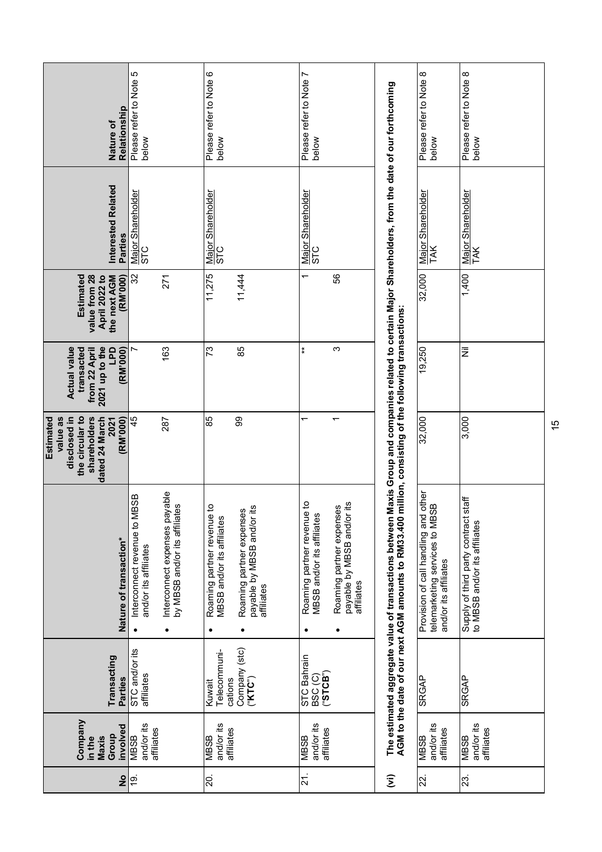| Relationship<br>Nature of                                                                                      | Please refer to Note 5<br>below                                                                                             | Please refer to Note 6<br>below                                                                                                                                   | r<br>Please refer to Note<br>below                                                                                                              |                                                                                                              | ∞<br>Please refer to Note<br>below                                                                 | Please refer to Note 8<br>below                                          |
|----------------------------------------------------------------------------------------------------------------|-----------------------------------------------------------------------------------------------------------------------------|-------------------------------------------------------------------------------------------------------------------------------------------------------------------|-------------------------------------------------------------------------------------------------------------------------------------------------|--------------------------------------------------------------------------------------------------------------|----------------------------------------------------------------------------------------------------|--------------------------------------------------------------------------|
| Interested Related<br><b>Parties</b>                                                                           | Major Shareholder<br>STC                                                                                                    | Major Shareholder<br><b>STC</b>                                                                                                                                   | Major Shareholder<br>STC                                                                                                                        | Maxis Group and companies related to certain Major Shareholders, from the date of our forthcoming            | Major Shareholder<br>TAK                                                                           | Major Shareholder<br>TAK                                                 |
| <b>Estimated</b><br>value from 28<br>(RM'000)<br>April 2022 to<br>the next AGM                                 | 32<br>271                                                                                                                   | 11,275<br>11,444                                                                                                                                                  | 56<br>ᡕ                                                                                                                                         |                                                                                                              | 32,000                                                                                             | 1,400                                                                    |
| 2021 up to the<br><b>Actual value</b><br><b>GdT</b><br>transacted<br>(RM'000)<br>from 22 April                 | 163                                                                                                                         | 85<br>73                                                                                                                                                          | $\ddot{*}$<br>ო                                                                                                                                 |                                                                                                              | 19,250                                                                                             | Ξ                                                                        |
| the circular to<br>value as<br>disclosed in<br>shareholders<br>Estimated<br>dated 24 March<br>2021<br>(RM'000) | 45<br>287                                                                                                                   | 85<br>99                                                                                                                                                          | $\overline{\phantom{0}}$                                                                                                                        | million, consisting of the following transactions:                                                           | 32,000                                                                                             | 3,000                                                                    |
| Nature of transaction*                                                                                         | Interconnect expenses payable<br>BSB<br>by MBSB and/or its affiliates<br>Interconnect revenue to M<br>and/or its affiliates | $\mathbf{Q}$<br>its<br>S<br>Roaming partner revenue<br>Roaming partner expense<br>MBSB and/or its affiliates<br>payable by MBSB and/or<br>affiliates<br>$\bullet$ | û,<br>Roaming partner revenue to<br>Roaming partner expenses<br>MBSB and/or its affiliates<br>payable by MBSB and/or<br>affiliates<br>$\bullet$ | The estimated aggregate value of transactions between<br>AGM to the date of our next AGM amounts to RM33.400 | other<br>telemarketing services to MBSB<br>Provision of call handling and<br>and/or its affiliates | staff<br>Supply of third party contract<br>to MBSB and/or its affiliates |
| Transacting<br>Parties                                                                                         | STC and/or its<br>affiliates                                                                                                | Company (stc)<br>(" <b>KTC</b> ")<br>Telecommuni-<br>cations<br>Kuwait                                                                                            | STC Bahrain<br>BSC (C)<br>(" <b>STCB</b> ")                                                                                                     |                                                                                                              | <b>SRGAP</b>                                                                                       | <b>SRGAP</b>                                                             |
| Company<br>involved<br>Group<br>Maxis<br>in the                                                                | and/or its<br>affiliates<br><b>MBSB</b>                                                                                     | and/or its<br>affiliates<br>NBSB                                                                                                                                  | and/or its<br>affiliates<br><b>ABSB</b>                                                                                                         |                                                                                                              | and/or its<br>affiliates<br><b>ASSE</b>                                                            | and/or its<br>affiliates<br><b>MBSB</b>                                  |
| $\frac{1}{2}$                                                                                                  | <u>19</u> .                                                                                                                 | 20.                                                                                                                                                               | 21.                                                                                                                                             | $\widehat{\boldsymbol{\Sigma}}$                                                                              | 22.                                                                                                | 23.                                                                      |

 $\tilde{\mathrm{b}}$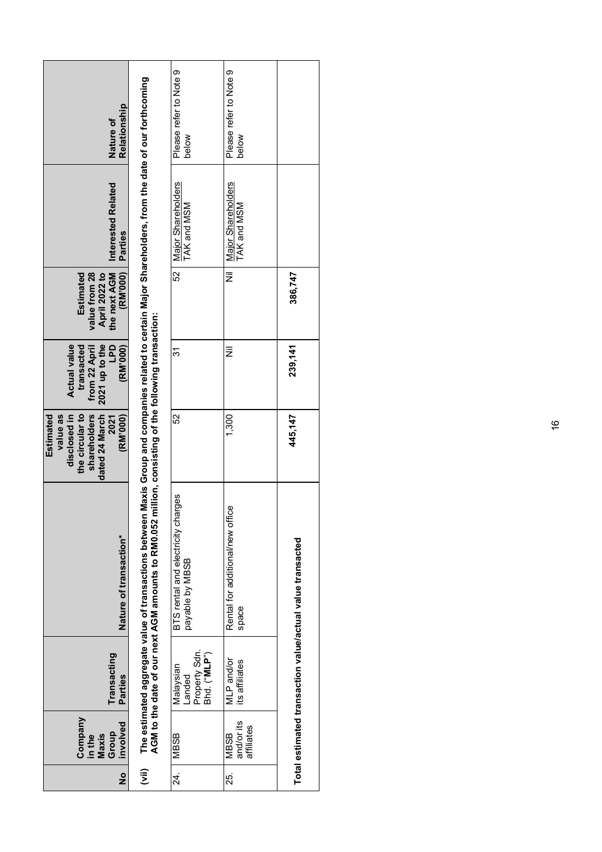| Relationship<br>Nature of                                                                                             |                                                                                                                                                               | Please refer to Note 9<br>below                       | Please refer to Note 9<br>below           |                                                           |
|-----------------------------------------------------------------------------------------------------------------------|---------------------------------------------------------------------------------------------------------------------------------------------------------------|-------------------------------------------------------|-------------------------------------------|-----------------------------------------------------------|
| Interested Related<br>Parties                                                                                         | Maxis Group and companies related to certain Major Shareholders, from the date of our forthcoming                                                             | Major Shareholders<br>TAK and MSM                     | Major Shareholders<br><b>TAK and MSM</b>  |                                                           |
| (RM'000)<br>Estimated<br>value from 28<br>the next AGM<br>April 2022 to                                               |                                                                                                                                                               | 52                                                    | ž                                         | 386,747                                                   |
| <b>Actual value</b><br>2021 up to the<br>transacted<br><b>Od1</b><br>(RM'000)<br>from 22 April                        |                                                                                                                                                               | 31                                                    | Ξ                                         | 239, 141                                                  |
| the circular to<br><b>Estimated</b><br>value as<br>disclosed in<br>shareholders<br>dated 24 March<br>(RM'000)<br>2021 |                                                                                                                                                               | 52                                                    | 1,300                                     | 445,147                                                   |
| Nature of transaction*                                                                                                | AGM to the date of our next AGM amounts to RM0.052 million, consisting of the following transaction:<br>The estimated aggregate value of transactions between | BTS rental and electricity charges<br>payable by MBSB | Rental for additional/new office<br>space | Total estimated transaction value/actual value transacted |
| Transacting<br><b>Parties</b>                                                                                         |                                                                                                                                                               | Property Sdn.<br>Bhd. ("MLP")<br>Malaysian<br>Landed  | MLP and/or<br>its affiliates              |                                                           |
| Company<br>involved<br>Group<br>Maxis<br>in the                                                                       |                                                                                                                                                               | <b>MBSB</b>                                           | and/or its<br>affiliates<br><b>MBSB</b>   |                                                           |
| $\frac{1}{2}$                                                                                                         | $\widehat{\bar{z}}$                                                                                                                                           | 24.                                                   | 25.                                       |                                                           |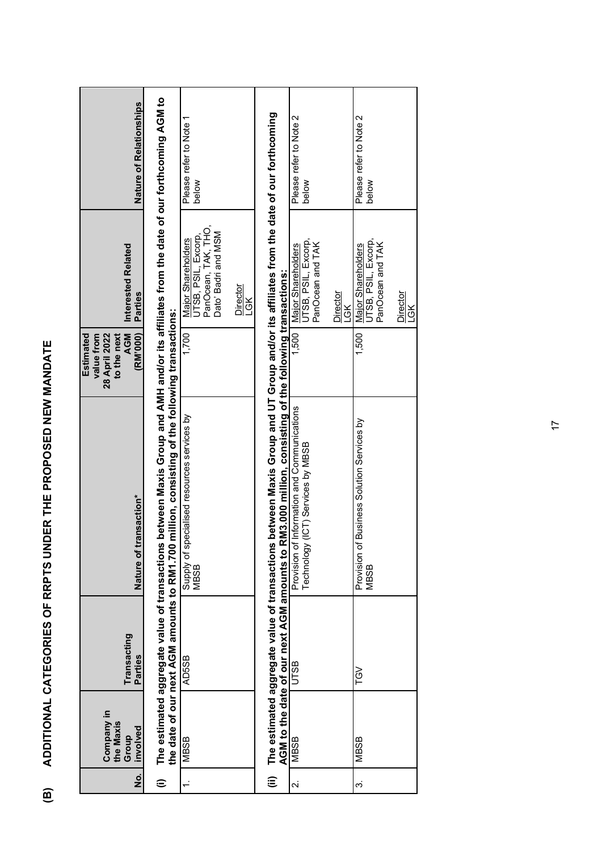| l<br>I<br>I                                                                                                                                    |  |
|------------------------------------------------------------------------------------------------------------------------------------------------|--|
| $\frac{1}{1}$<br>j<br>$\begin{array}{c} \begin{array}{c} \begin{array}{c} \end{array} \\ \begin{array}{c} \end{array} \end{array} \end{array}$ |  |
| l<br>l<br>l<br>$\overline{a}$                                                                                                                  |  |
| I                                                                                                                                              |  |
|                                                                                                                                                |  |
| í<br>Í<br>١                                                                                                                                    |  |

| $\dot{\mathbf{z}}$      | Company in<br>the Maxis<br>involved<br>Group | Transacting<br>Parties                                                                       | Nature of transaction*                                                                                                                                                                           | (RM'000)<br>Estimated<br>value from<br>28 April 2022<br><b>AGM</b><br>to the next | Interested Related<br>Parties                                                           | <b>Nature of Relationships</b>  |
|-------------------------|----------------------------------------------|----------------------------------------------------------------------------------------------|--------------------------------------------------------------------------------------------------------------------------------------------------------------------------------------------------|-----------------------------------------------------------------------------------|-----------------------------------------------------------------------------------------|---------------------------------|
| $\widehat{=}$           |                                              | the date of our next AGM amounts to RM1.700<br>The estimated aggregate value of transactions | between Maxis Group and AMH and/or its affiliates from the date of our forthcoming AGM to<br>million, consisting of the following transactions:                                                  |                                                                                   |                                                                                         |                                 |
|                         | <b>MBSB</b>                                  | AD5SB                                                                                        | Supply of specialised resources services by<br>MBSB                                                                                                                                              | 1,700                                                                             | PanOcean, TAK, THO,<br>Dato' Badri and MSM<br>UTSB, PSIL, Excorp,<br>Major Shareholders | Please refer to Note 1<br>below |
|                         |                                              |                                                                                              |                                                                                                                                                                                                  |                                                                                   | Director<br>LGK                                                                         |                                 |
| ιÊ                      |                                              | The estimated aggregate value of transactions                                                | between Maxis Group and UT Group and/or its affiliates from the date of our forthcoming<br>AGM to the date of our next AGM amounts to RM3.000 million, consisting of the following transactions: |                                                                                   |                                                                                         |                                 |
| $\overline{\mathbf{v}}$ | MBSB                                         | UTSB                                                                                         | Information and Communications<br>(ICT) Services by MBSB<br>Provision of<br>Technology                                                                                                           | 1,500                                                                             | UTSB, PSIL, Excorp,<br>PanOcean and TAK<br>Major Shareholders                           | Please refer to Note 2<br>below |
|                         |                                              |                                                                                              |                                                                                                                                                                                                  |                                                                                   | Director<br>LGK                                                                         |                                 |
| က                       | <b>MBSB</b>                                  | <b>TGV</b>                                                                                   | Business Solution Services by<br>Provision of<br><b>MBSB</b>                                                                                                                                     | 1,500                                                                             | UTSB, PSIL, Excorp,<br>PanOcean and TAK<br>Major Shareholders                           | Please refer to Note 2<br>below |
|                         |                                              |                                                                                              |                                                                                                                                                                                                  |                                                                                   | Director<br>LGK                                                                         |                                 |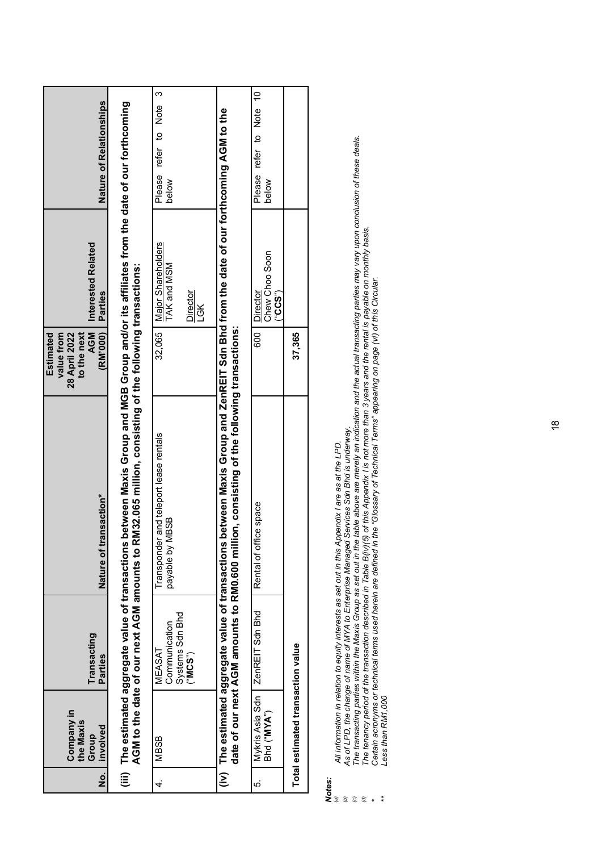# *Notes:*

*(a) All information in relation to equity interests as set out in this Appendix I are as at the LPD.* 

*(b) As of LPD, the change of name of MYA to Enterprise Managed Services Sdn Bhd is underway.*

All information in relation to equity interests as set out in this Appendix I are as at the LPD.<br>As of LPD, the change of name of MYA to Enterprise Managed Services Sdn Bhd is underway.<br>The transacting parties within the M *(c) The transacting parties within the Maxis Group as set out in the table above are merely an indication and the actual transacting parties may vary upon conclusion of these deals.*

*(d) The tenancy period of the transaction described in Table B(iv)(5) of this Appendix I is not more than 3 years and the rental is payable on monthly basis.* 

*Certain acronyms or technical terms used herein are defined in the "Glossary of Technical Terms" appearing on page (vi) of this Circular.* 

*\*\* Less than RM1,000*

*\**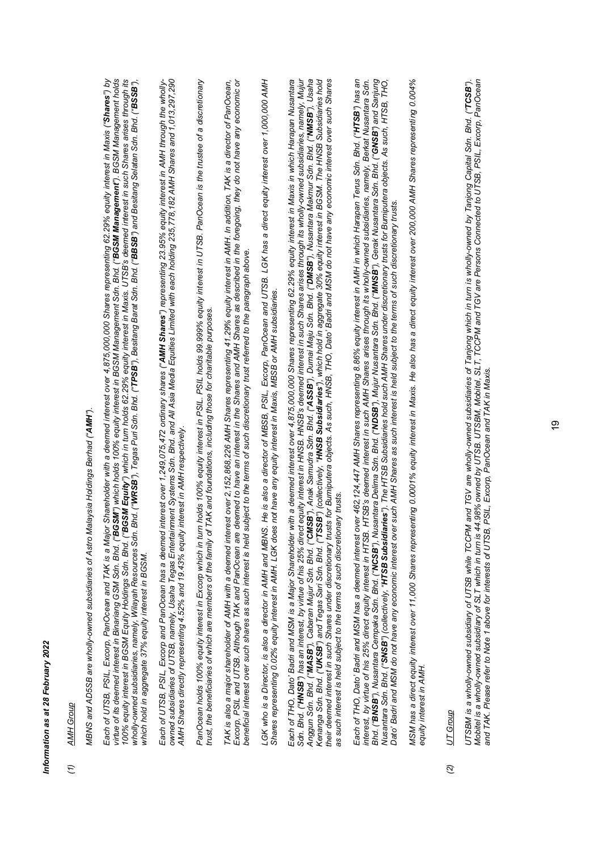# Information as at 28 February 2022 *Information as at 28 February 2022*

### *(1) AMH Group* AMH Group  $\hat{t}$

MBNS and AD5SB are wholly-owned subsidiaries of Astro Malaysia Holdings Berhad ("AMH"). *MBNS and AD5SB are wholly-owned subsidiaries of Astro Malaysia Holdings Berhad ("AMH").* Each of UTSB, PSIL. Excorp, PanOcean and TAK is a Major Shareholder with a deemed interest over 4,875,000,000 Shares representing 62.29% equity interest in Maxis ("Shares") by *Each of UTSB, PSIL, Excorp, PanOcean and TAK is a Major Shareholder with a deemed interest over 4,875,000,000 Shares representing 62.29% equity interest in Maxis ("Shares") by*  iltue of its deemed interest in Binariang GSM Sdn. Bhd. ("BGSM") which holds 100% equity interest in BGSM Management Sdn. Bhd. ("BGSM Management"). BGSM Management holds *virtue of its deemed interest in Binariang GSM Sdn. Bhd. ("BGSM") which holds 100% equity interest in BGSM Management Sdn. Bhd. ("BGSM Management"). BGSM Management holds*  00% equity interest in BGSM Equity Holdings Sdn. Bhd. ("BG**SM Equity**") which in turn holds 62.29% equity interest in Maxis. UTSB's deemed interest in such Shares arises through its *100% equity interest in BGSM Equity Holdings Sdn. Bhd. ("BGSM Equity") which in turn holds 62.29% equity interest in Maxis. UTSB's deemed interest in such Shares arises through its*  wholly-owned subsidiaries, namely, Wilayah Resources Sdn. Bhd. "WRSB"), Tegas Puri Sdn. Bhd. "TPSB"), Besitang Barat Sdn. Bhd. ("BBSB") and Besitang Selatan Sdn. Bhd. ("BSSB"), wholly-owned subsidiaries, namely, Wilayah Resources Sdn. Bhd. ("**WRSB**"), Tegas Puri Sdn. Bhd. ("**TPSB**"), Besitang Barat Sdn. Bhd. ("**BBSB**") and Besitang Selatan Sdn. Bhd. ("BSSB"), which hold in aggregate 37% equity interest in BGSM. *which hold in aggregate 37% equity interest in BGSM.*

*owned subsidiaries of UTSB, namely, Usaha Tegas Entertainment Systems Sdn. Bhd. and All Asia Media Equities Limited with each holding 235,778,182 AMH Shares and 1,013,297,290*  Each of UTSB, PSIL, Excorp and PanOcean has a deemed interest over 1,249,075,472 ordinary shares ("**AMH Shares"**) representing 23.95% equity interest in AMH through the wholly-<br>owned subsidiaries of UTSB, namely, Usaha Teg *Each of UTSB, PSIL, Excorp and PanOcean has a deemed interest over 1,249,075,472 ordinary shares ("AMH Shares") representing 23.95% equity interest in AMH through the wholly-*AMH Shares directly representing 4.52% and 19.43% equity interest in AMH respectively. *AMH Shares directly representing 4.52% and 19.43% equity interest in AMH respectively.*

*PanOcean holds 100% equity interest in Excorp which in turn holds 100% equity interest in PSIL. PSIL holds 99.999% equity interest in UTSB. PanOcean is the trustee of a discretionary*  PanOcean holds 100% equity interest in Excorp which in turn holds 100% equity interest in PSIL. PSIL. Polds 99.999% equity interest in UTSB. PanOcean is the trustee of a discretionary<br>trust, the beneficiaries of which are *trust, the beneficiaries of which are members of the family of TAK and foundations, including those for charitable purposes.*

*TAK is also a major shareholder of AMH with a deemed interest over 2,152,868,226 AMH Shares representing 41.29% equity interest in AMH. In addition, TAK is a director of PanOcean, Excorp, PSIL and UTSB. Although TAK and PanOcean are deemed to have an interest in the Shares and AMH Shares as described in the foregoing, they do not have any economic or*  TAK is also a major shareholder of AMH with a deemed interest over 2,152,868,226 AMH Shares representing 41.29% equity interest in AMH. In addition, TAK is a director of PanOcean, Excorp, PSIL and UTSB. Although TAK and PanOcean are deemed to have an interest in the Shares and AMH Shares as described in the foregoing, they do not have any economic or beneficial interest over such shares as such interest is held subject to the terms of such discretionary trust referred to the paragraph above. *beneficial interest over such shares as such interest is held subject to the terms of such discretionary trust referred to the paragraph above.*

*LGK who is a Director, is also a director in AMH and MBNS. He is also a director of MBSB, PSIL, Excorp, PanOcean and UTSB. LGK has a direct equity interest over 1,000,000 AMH*  LGK who is a Director, is also a director in AMH and MBNS. He is also a director of MBSB, PSIL, Excorp, PanOcean and UTSB. LGK has a direct equity interest over 1,000,000 AMH<br>Shares representing 0.02% equity interest in AM *Shares representing 0.02% equity interest in AMH. LGK does not have any equity interest in Maxis, MBSB or AMH subsidiaries.*

Each of THO, Dato' Badri and MSM is a Major Shareholder with a deemed interest over 4,875,000,000 Shares representing 62.29% equity interest in Maxis in which Harapan Nusantara *Each of THO, Dato' Badri and MSM is a Major Shareholder with a deemed interest over 4,875,000,000 Shares representing 62.29% equity interest in Maxis in which Harapan Nusantara*  Son. Bhd. ("**HNSB**") has an interest, by virtue of his 25% direct equity interest in NSB. HNSB's deemed interest in such Shares arises through its wholly-owned subsidiaries, namely, Mujur<br>Anggun Son. Bhd. ("**UASB"**), Cabar *Sdn. Bhd. ("HNSB") has an interest, by virtue of his 25% direct equity interest in HNSB. HNSB's deemed interest in such Shares arises through its wholly-owned subsidiaries, namely, Mujur*  Anggun Shd. ("**MASB"**), Cabaran Mujur Sdn. Bhd. ("C**MSB"**), Anak Samudra Sdn. Bhd. ("ASSB"), Dumai Maju Sdn. Bhd. ("DMSB"), Nusantara Makmur Sdn. Bhd. ("NMSB"), Usaha Kenanga Sdn. Bhd. ("**UKSB**") and Tegas Sari Sdn. Bhd. ("TSSB") (collectively, "HNSB Subsidiaries"), which hold in aggregate 30% equity interest in BGSM. The HNSB Subsidiaries hold *their deemed interest in such Shares under discretionary trusts for Bumiputera objects. As such, HNSB, THO, Dato' Badri and MSM do not have any economic interest over such Shares*  as such interest is held subject to the terms of such discretionary trusts. *as such interest is held subject to the terms of such discretionary trusts.*

Each of THO, Dato' Badri and MSM has a deemed interest over 462,124,447 AMH Shares representing 8.86% equity interest in AMH in which Harapan Terus Sdn. Bhd. ("**HTSB**") has an<br>interest, by virtue of his 25% direct equity i *Each of THO, Dato' Badri and MSM has a deemed interest over 462,124,447 AMH Shares representing 8.86% equity interest in AMH in which Harapan Terus Sdn. Bhd. ("HTSB") has an interest, by virtue of his 25% direct equity interest in HTSB. HTSB's deemed interest in such AMH Shares arises through its wholly-owned subsidiaries, namely, Berkat Nusantara Sdn.*  Bhd. ("**BNSB**"), Nusantara Cempaka Sdn. Bhd. ("**NCSB**"), Nusantara Delima Sdn. Bhd. ("NDSB"), Mujur Nusantara Sdn. Bhd. Bhd. ("GNSB") and Sanjung *Bhd. ("BNSB"), Nusantara Cempaka Sdn. Bhd. ("NCSB"), Nusantara Delima Sdn. Bhd. ("NDSB"), Mujur Nusantara Sdn. Bhd. ("MNSB"), Gerak Nusantara Sdn. Bhd. ("GNSB") and Sanjung*  Nusantara Sdn. Bhd. ("S**NSB")** (collectively, "H**TSB Subsidiaries"). T**he HTSB Subsidiaries bold such AMH Shares under discretionary trusts for Bumiputera objects. As such, HTSB, THO, Nusantara Sdn. Bhd. ("S**NSB"**) (collectively, "**HTSB Subsidiaries"**). The HTSB Subsidiaries hold such AMH Shares under discretionary trusts for Bumiputera objects. As such, HTSB, THO,<br>Dato' Badri and MSM do not have any ec *Dato' Badri and MSM do not have any economic interest over such AMH Shares as such interest is held subject to the terms of such discretionary trusts.*

*MSM has a direct equity interest over 11,000 Shares representing 0.0001% equity interest in Maxis. He also has a direct equity interest over 200,000 AMH Shares representing 0.004%*  MSM has a direct equity interest over 11,000 Shares representing 0.0001% equity interest in Maxis. He also has a direct equity interest over 200,000 AMH Shares representing 0.004% equity interest in AMH. *equity interest in AMH.*

### UT Group *(2) UT Group*  $\widehat{\mathcal{Q}}$

UTSBM is a wholly-owned subsidiary of UTSB while TCCPM and TGV are wholly-owned subsidiaries of Tanjong which in turn is wholly-owned by Tanjong Capital Sdn. Bhd. ("**TCSB**").<br>Mobitel is a wholly-owned subsidiary of SLT whi *UTSBM is a wholly-owned subsidiary of UTSB while TCCPM and TGV are wholly-owned subsidiaries of Tanjong which in turn is wholly-owned by Tanjong Capital Sdn. Bhd. ("TCSB"). Mobitel is a wholly-owned subsidiary of SLT which in turn is 44.98% owned by UTSB. UTSBM, Mobitel, SLT, TCCPM and TGV are Persons Connected to UTSB, PSIL, Excorp, PanOcean and TAK. Please refer to Note 1 above for interests of UTSB, PSIL, Excorp, PanOcean and TAK in Maxis.*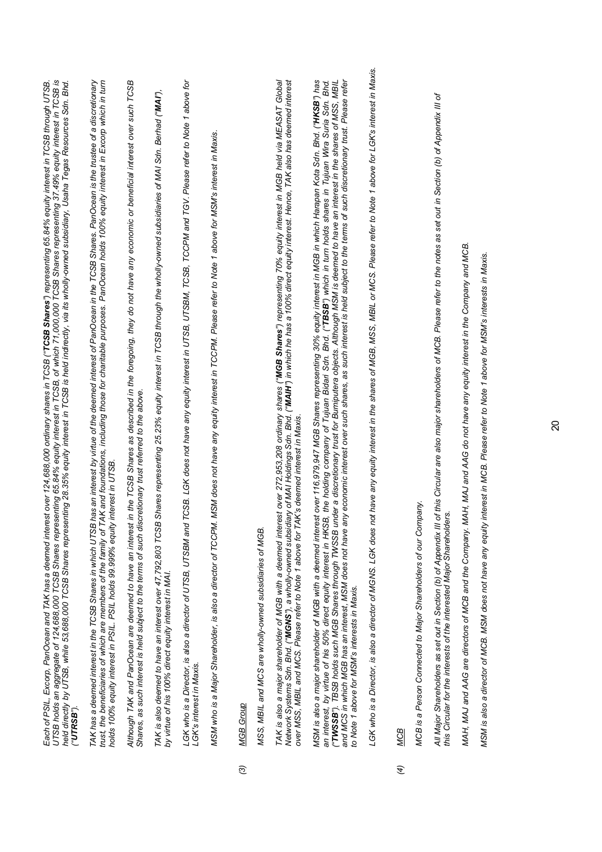|   | UTSB holds an aggregate of 124,688,000 TCSB Shares representing 65.84% equity interest in TCSB, of which 71,000,000 TCSB Shares representing 37.49% equity interest in TCSB is<br>held directly by UTSB, while 53,688,000 TCSB Shares representing 28.35% equity interest in TCSB is held indirectly, via its wholly-owned subsidiary, Usaha Tegas Resources Sdn. Bhd.<br>Each of PSIL, Excorp, PanOcean and TAK has a deemed interest over 124,688,000 ordinary shares in TCSB (" <b>TCSB Shares"</b> ) representing 65.84% equity interest in TCSB through UTSB<br>("UTRSB").                                                                                                                                                                                                              |
|---|----------------------------------------------------------------------------------------------------------------------------------------------------------------------------------------------------------------------------------------------------------------------------------------------------------------------------------------------------------------------------------------------------------------------------------------------------------------------------------------------------------------------------------------------------------------------------------------------------------------------------------------------------------------------------------------------------------------------------------------------------------------------------------------------|
|   | trust, the beneficiaries of which are members of the family of TAK and foundations, including those for charitable purposes. PanOcean holds 100% equity interest in Excorp which in turn<br>has an interest by virtue of the deemed interest of PanOcean in the TCSB Shares. PanOcean is the trustee of a discretionary<br>holds 100% equity interest in PSIL. PSIL holds 99.999% equity interest in UTSB.<br>TAK has a deemed interest in the TCSB Shares in which UTSB                                                                                                                                                                                                                                                                                                                     |
|   | in the TCSB Shares as described in the foregoing, they do not have any economic or beneficial interest over such TCSB<br>Shares, as such interest is held subject to the terms of such discretionary trust referred to the above.<br>Although TAK and PanOcean are deemed to have an interest                                                                                                                                                                                                                                                                                                                                                                                                                                                                                                |
|   | Shares representing 25.23% equity interest in TCSB through the wholly-owned subsidiaries of MAI Sdn. Berhad ("MAI"),<br>TAK is also deemed to have an interest over 47,792,803 TCSB<br>by virtue of his 100% direct equity interest in MAI.                                                                                                                                                                                                                                                                                                                                                                                                                                                                                                                                                  |
|   | TCSB. LGK does not have any equity interest in UTSB, UTSBM, TCSB, TCCPM and TGV. Please refer to Note 1 above for<br>LGK who is a Director, is also a director of UTSB, UTSBM and<br>LGK's interest in Maxis.                                                                                                                                                                                                                                                                                                                                                                                                                                                                                                                                                                                |
|   | MSM does not have any equity interest in TCCPM. Please refer to Note 1 above for MSM's interest in Maxis.<br>MSM who is a Major Shareholder, is also a director of TCCPM.                                                                                                                                                                                                                                                                                                                                                                                                                                                                                                                                                                                                                    |
| ම | MGB Group                                                                                                                                                                                                                                                                                                                                                                                                                                                                                                                                                                                                                                                                                                                                                                                    |
|   | MSS, MBIL and MCS are wholly-owned subsidiaries of MGB.                                                                                                                                                                                                                                                                                                                                                                                                                                                                                                                                                                                                                                                                                                                                      |
|   | Network Systems Sdn. Bhd. ("MGNS"), a wholly-owned subsidiary of MAI Holdings Sdn. Bhd. ("MAIH") in which he has a 100% direct equity interest. Hence, TAK also has deemed interest<br>TAK is also a major shareholder of MGB with a deemed interest over 272,953,208 ordinary shares (" <b>MGB Shares"</b> ) representing 70% equity interest in MGB held via MEASAT Global<br>over MSS, MBIL and MCS. Please refer to Note 1 above for TAK's deemed interest in Maxis.                                                                                                                                                                                                                                                                                                                     |
|   | MSM is also a major shareholder of MGB with a deemed interest over 116,979,947 MGB Shares representing 30% equity interest in MGB in which Harapan Kota Sdn. Bhd. ("HKSB") has<br>("TWSSB"). TBSB holds such MGB Shares through TWSSB under a discretionary trust for Bumiputera objects. Although MSM is deemed to have an interest in the shares of MSS, MBIL<br>and MCS in which MGB has an interest, MSM does not have any economic interest over such shares, as such interest is held subject to the terms of such discretionary trust. Please refer<br>an interest, by virtue of his 50% direct equity interest in HKSB, the holding company of Tujuan Bidari Sdn. Bhd. ("TBSB") which in turn holds shares in Tujuan Wira Sdn. Bhd.<br>to Note 1 above for MSM's interests in Maxis. |
|   | LGK who is a Director, is also a director of MGNS. LGK does not have any equity interest in the shares of MGB, MSS, MBIL or MCS. Please refer to Note 1 above for LGK's interest in Maxis.                                                                                                                                                                                                                                                                                                                                                                                                                                                                                                                                                                                                   |
| E | <b>MCB</b>                                                                                                                                                                                                                                                                                                                                                                                                                                                                                                                                                                                                                                                                                                                                                                                   |
|   | ipany.<br>MCB is a Person Connected to Major Shareholders of our Com                                                                                                                                                                                                                                                                                                                                                                                                                                                                                                                                                                                                                                                                                                                         |
|   | of this Circular are also major shareholders of MCB. Please refer to the notes as set out in Section (b) of Appendix III of<br>this Circular for the interests of the interested Major Shareholders.<br>All Major Shareholders as set out in Section (b) of Appendix III                                                                                                                                                                                                                                                                                                                                                                                                                                                                                                                     |
|   | MAH, MAJ and AAG are directors of MCB and the Company. MAH, MAJ and AAG do not have any equity interest in the Company and MCB.                                                                                                                                                                                                                                                                                                                                                                                                                                                                                                                                                                                                                                                              |

 $\Omega$ 

*MSM is also a director of MCB. MSM does not have any equity interest in MCB. Please refer to Note 1 above for MSM's interests in Maxis.*

MSM is also a director of MCB. MSM does not have any equity interest in MCB. Please refer to Note 1 above for MSM's interests in Maxis.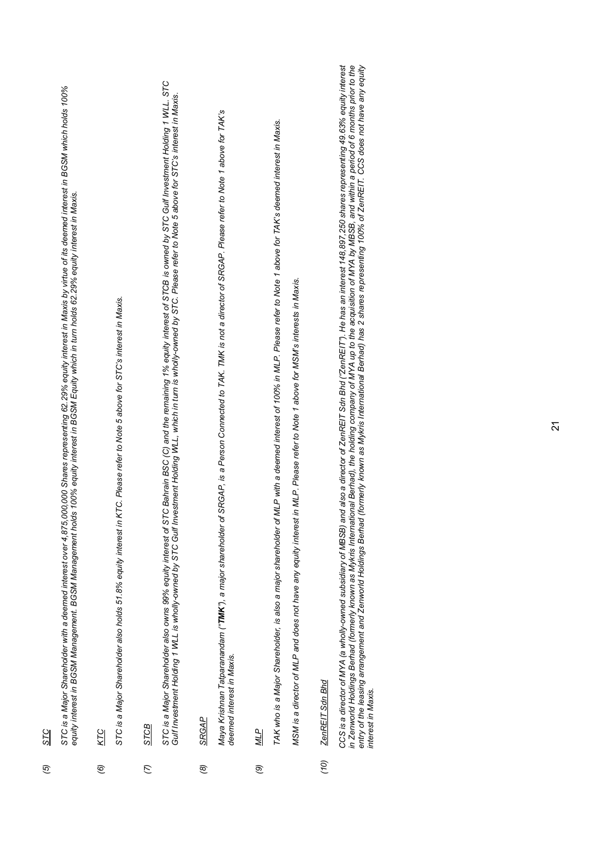| O<br>I<br>ŀ<br>Ŵ |
|------------------|
| μ                |

STC is a Major Shareholder with a deemed interest over 4,875,000,000 Shares representing 62.29% equity interest in Maxis by virtue of its deemed interest in BGSM which holds 100%<br>equity interest in BGSM Management. BGSM Ma *STC is a Major Shareholder with a deemed interest over 4,875,000,000 Shares representing 62.29% equity interest in Maxis by virtue of its deemed interest in BGSM which holds 100% equity interest in BGSM Management. BGSM Management holds 100% equity interest in BGSM Equity which in turn holds 62.29% equity interest in Maxis.*

KTC *(6) KTC*  $\widehat{e}$ 

STC is a Major Shareholder also holds 51.8% equity interest in KTC. Please refer to Note 5 above for STC's interest in Maxis. *STC is a Major Shareholder also holds 51.8% equity interest in KTC. Please refer to Note 5 above for STC's interest in Maxis.*

*STCB STCB (7)* STC is a Major Shareholder also owns 99% equity interest of STC Bahrain BSC (C) and the remaining 1 % equity interest of STCB is owned by STC Gulf Investment Holding 1 WLL. STC<br>Gulf Investment Holding 1 WLL is wholly-owned *STC is a Major Shareholder also owns 99% equity interest of STC Bahrain BSC (C) and the remaining 1% equity interest of STCB is owned by STC Gulf Investment Holding 1 WLL. STC Gulf Investment Holding 1 WLL is wholly-owned by STC Gulf Investment Holding WLL, which in turn is wholly-owned by STC. Please refer to Note 5 above for STC's interest in Maxis.*

**SRGAP** *(8) SRGAP*  $\circledcirc$  Maya Krishnan Tatparanandam ("**TMK**"), a major shareholder of SRGAP, is a Person Connected to TAK. TMK is not a director of SRGAP. Please refer to Note 1 above for TAK's *Maya Krishnan Tatparanandam ("TMK"), a major shareholder of SRGAP, is a Person Connected to TAK. TMK is not a director of SRGAP. Please refer to Note 1 above for TAK's* deemed interest in Maxis. *deemed interest in Maxis.*

*MLP MLP (9)* TAK who is a Major Shareholder, is also a major shareholder of MLP with a deemed interest of 100% in MLP. Please refer to Note 1 above for TAK's deemed interest in Maxis. *TAK who is a Major Shareholder, is also a major shareholder of MLP with a deemed interest of 100% in MLP. Please refer to Note 1 above for TAK's deemed interest in Maxis. TAK who is a Major Shareholder, is also a major shareholder of MLP with a deemed interest of 100% in MLP. Please refer to Note 1 above for TAK's deemed interest in Maxis.*

MSM is a director of MLP and does not have any equity interest in MLP. Please refer to Note 1 above for MSM's interests in Maxis. *MSM is a director of MLP and does not have any equity interest in MLP. Please refer to Note 1 above for MSM's interests in Maxis. MSM is a director of MLP and does not have any equity interest in MLP. Please refer to Note 1 above for MSM's interests in Maxis.*

ZenREIT Sdn Bhd *(10) ZenREIT Sdn Bhd*  $(0)$ 

*CCS is a director of MYA (a wholly-owned subsidiary of MBSB) and also a director of ZenREIT Sdn Bhd ("ZenREIT"). He has an interest 148,897,250 shares representing 49.63% equity interest*  in Zenworld Holdings Berhad (formerly known as Mykris International Berhad), the holding company of MYA up to the acquisition of MYA by MBSB, and within a period of 6 months prior to the<br>entry of the leasing arrangement an *in Zenworld Holdings Berhad (formerly known as Mykris International Berhad), the holding company of MYA up to the acquisition of MYA by MBSB, and within a period of 6 months prior to the entry of the leasing arrangement and Zenworld Holdings Berhad (formerly known as Mykris International Berhad) has 2 shares representing 100% of ZenREIT. CCS does not have any equity*  CCS is a director of MYA (a wholly-owned subsidiary of MBSB) and also a director of ZenREIT Sdn Bhd ("ZenREIT"). He has an interest 148,897,250 shares representing 49.63% equity interest interest in Maxis. *interest in Maxis.*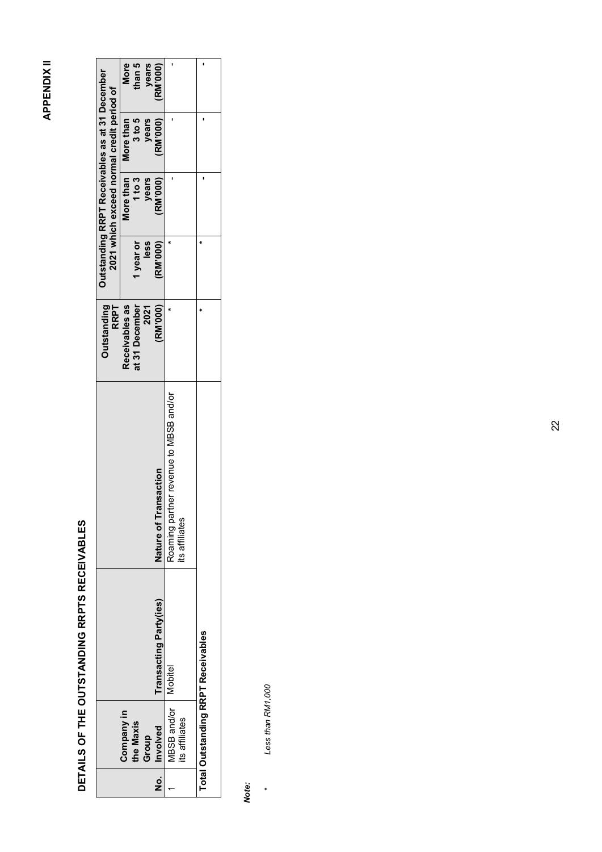## **APPENDIX II APPENDIX II**

# DETAILS OF THE OUTSTANDING RRPTS RECEIVABLES **DETAILS OF THE OUTSTANDING RRPTS RECEIVABLES**

|     |                                           |                                |                                                          | <b>Outstanding</b><br><b>RRPT</b> |                  | Outstanding RRPT Receivables as at 31 December<br>2021 which exceed normal credit period of |                                 |                       |
|-----|-------------------------------------------|--------------------------------|----------------------------------------------------------|-----------------------------------|------------------|---------------------------------------------------------------------------------------------|---------------------------------|-----------------------|
|     | Company in<br>the Maxis                   |                                |                                                          | Receivables as<br>at 31 December  | 1 year or        | 1 to 3                                                                                      | 3 to 5<br>More than   More than | <b>More</b><br>than 5 |
| .ok | Involved<br>Group                         | <b>Fransacting Party (ies)</b> | Nature of Transaction                                    | 2021<br>(RM'000)                  | less<br>(RM'000) | years<br>(RM'000)                                                                           | (RM'000)  <br>years             | years<br>(RM'000)     |
|     | VBSB and/or   Mobitel<br>its affiliates   |                                | Roaming partner revenue to MBSB and/or<br>its affiliates |                                   |                  |                                                                                             |                                 |                       |
|     | <b>Total Outstanding RRPT Receivables</b> |                                |                                                          |                                   |                  |                                                                                             |                                 |                       |

# *Note:*

Less than RM1,000 *Less than RM1,000*

*\**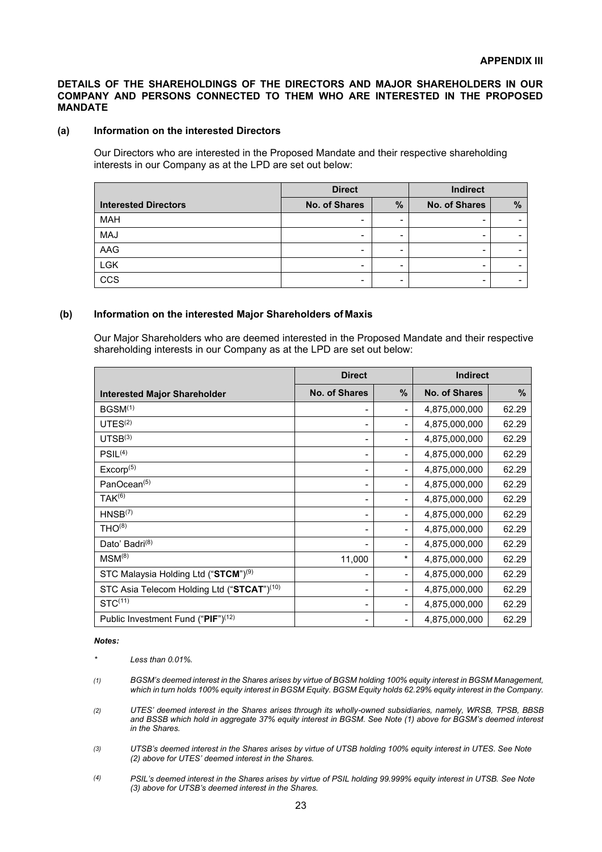### **DETAILS OF THE SHAREHOLDINGS OF THE DIRECTORS AND MAJOR SHAREHOLDERS IN OUR COMPANY AND PERSONS CONNECTED TO THEM WHO ARE INTERESTED IN THE PROPOSED MANDATE**

### **(a) Information on the interested Directors**

Our Directors who are interested in the Proposed Mandate and their respective shareholding interests in our Company as at the LPD are set out below:

|                             | <b>Direct</b>            |   | Indirect      |   |
|-----------------------------|--------------------------|---|---------------|---|
| <b>Interested Directors</b> | No. of Shares            | % | No. of Shares | % |
| <b>MAH</b>                  | -                        |   |               |   |
| <b>MAJ</b>                  | $\overline{\phantom{0}}$ |   |               |   |
| AAG                         |                          |   |               |   |
| LGK                         | $\overline{\phantom{0}}$ |   |               |   |
| CCS                         | $\overline{\phantom{0}}$ |   |               |   |

### **(b) Information on the interested Major Shareholders ofMaxis**

Our Major Shareholders who are deemed interested in the Proposed Mandate and their respective shareholding interests in our Company as at the LPD are set out below:

|                                                  | <b>Direct</b>                                                                                                                                     |                          | <b>Indirect</b>      |       |
|--------------------------------------------------|---------------------------------------------------------------------------------------------------------------------------------------------------|--------------------------|----------------------|-------|
| <b>Interested Major Shareholder</b>              | <b>No. of Shares</b>                                                                                                                              | $\%$                     | <b>No. of Shares</b> | $\%$  |
| BGSM <sup>(1)</sup>                              | $\blacksquare$                                                                                                                                    | -                        | 4,875,000,000        | 62.29 |
| UTES <sup>(2)</sup>                              | $\blacksquare$                                                                                                                                    | $\overline{\phantom{0}}$ | 4,875,000,000        | 62.29 |
| UTSB <sup>(3)</sup>                              | $\hskip1.6pt\hskip1.6pt\hskip1.6pt\hskip1.6pt\hskip1.6pt\hskip1.6pt\hskip1.6pt\hskip1.6pt\hskip1.6pt\hskip1.6pt\hskip1.6pt\hskip1.6pt\hskip1.6pt$ |                          | 4,875,000,000        | 62.29 |
| PSIL <sup>(4)</sup>                              | $\hskip1.6pt\hskip1.6pt\hskip1.6pt\hskip1.6pt\hskip1.6pt\hskip1.6pt\hskip1.6pt\hskip1.6pt\hskip1.6pt\hskip1.6pt\hskip1.6pt\hskip1.6pt\hskip1.6pt$ |                          | 4,875,000,000        | 62.29 |
| Excorp <sup>(5)</sup>                            | $\overline{a}$                                                                                                                                    |                          | 4,875,000,000        | 62.29 |
| PanOcean <sup>(5)</sup>                          | -                                                                                                                                                 |                          | 4,875,000,000        | 62.29 |
| $TAK^{(6)}$                                      | $\overline{\phantom{a}}$                                                                                                                          |                          | 4,875,000,000        | 62.29 |
| HNSB <sup>(7)</sup>                              | $\blacksquare$                                                                                                                                    |                          | 4,875,000,000        | 62.29 |
| THO <sup>(8)</sup>                               | $\hskip1.6pt\hskip1.6pt\hskip1.6pt\hskip1.6pt\hskip1.6pt\hskip1.6pt\hskip1.6pt\hskip1.6pt\hskip1.6pt\hskip1.6pt\hskip1.6pt\hskip1.6pt\hskip1.6pt$ |                          | 4,875,000,000        | 62.29 |
| Dato' Badri <sup>(8)</sup>                       |                                                                                                                                                   |                          | 4,875,000,000        | 62.29 |
| $MSM^{(8)}$                                      | 11,000                                                                                                                                            | $\star$                  | 4,875,000,000        | 62.29 |
| STC Malaysia Holding Ltd ("STCM") <sup>(9)</sup> | $\blacksquare$                                                                                                                                    |                          | 4,875,000,000        | 62.29 |
| STC Asia Telecom Holding Ltd ("STCAT")(10)       | $\blacksquare$                                                                                                                                    |                          | 4,875,000,000        | 62.29 |
| $STC^{(11)}$                                     |                                                                                                                                                   |                          | 4,875,000,000        | 62.29 |
| Public Investment Fund ("PIF") <sup>(12)</sup>   |                                                                                                                                                   |                          | 4,875,000,000        | 62.29 |

### *Notes:*

*\* Less than 0.01%.*

- *(1) BGSM's deemed interest in the Shares arises by virtue of BGSM holding 100% equity interest in BGSM Management, which in turn holds 100% equity interest in BGSM Equity. BGSM Equity holds 62.29% equity interest in the Company.*
- *(2) UTES' deemed interest in the Shares arises through its wholly-owned subsidiaries, namely, WRSB, TPSB, BBSB*  and BSSB which hold in aggregate 37% equity interest in BGSM. See Note (1) above for BGSM's deemed interest *in the Shares.*
- *(3) UTSB's deemed interest in the Shares arises by virtue of UTSB holding 100% equity interest in UTES. See Note (2) above for UTES' deemed interest in the Shares.*
- *(4) PSIL's deemed interest in the Shares arises by virtue of PSIL holding 99.999% equity interest in UTSB. See Note (3) above for UTSB's deemed interest in the Shares.*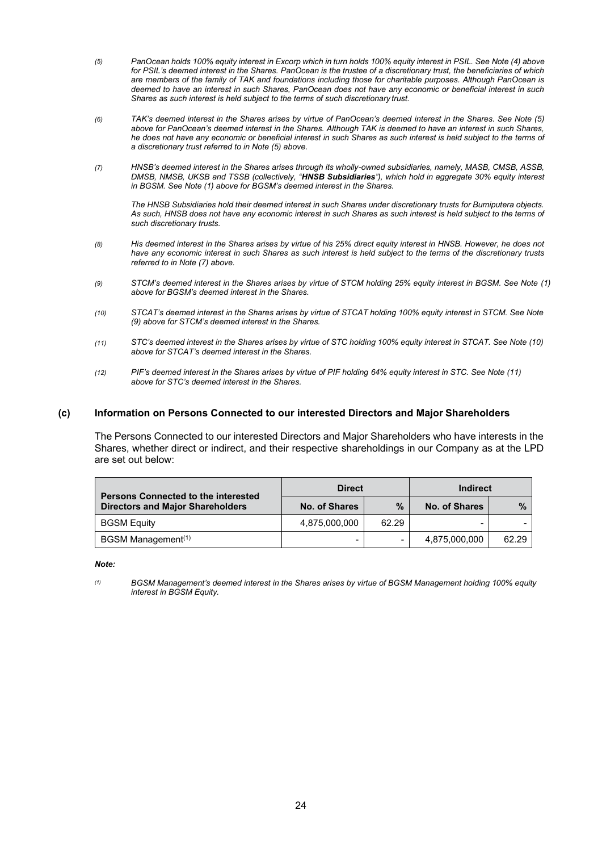- *(5) (5) PanOcean holds 100% equity interest in Excorp which in turn holds 100% equity interest in PSIL. See Note (4) above for PSIL's deemed interest in the Shares. PanOcean is the trustee of a discretionary trust, the beneficiaries of which are members of the family of TAK and foundations including those for charitable purposes. Although PanOcean is deemed to have an interest in such Shares, PanOcean does not have any economic or beneficial interest in such Shares as such interest is held subject to the terms of such discretionary trust.*
- *(6) (6) TAK's deemed interest in the Shares arises by virtue of PanOcean's deemed interest in the Shares. See Note (5) above for PanOcean's deemed interest in the Shares. Although TAK is deemed to have an interest in such Shares, he does not have any economic or beneficial interest in such Shares as such interest is held subject to the terms of a discretionary trust referred to in Note (5) above.*
- *(7) (7) HNSB's deemed interest in the Shares arises through its wholly-owned subsidiaries, namely, MASB, CMSB, ASSB, DMSB, NMSB, UKSB and TSSB (collectively, "HNSB Subsidiaries"), which hold in aggregate 30% equity interest in BGSM. See Note (1) above for BGSM's deemed interest in the Shares.*

*The HNSB Subsidiaries hold their deemed interest in such Shares under discretionary trusts for Bumiputera objects. As such, HNSB does not have any economic interest in such Shares as such interest is held subject to the terms of such discretionary trusts.*

- *(8) (8) His deemed interest in the Shares arises by virtue of his 25% direct equity interest in HNSB. However, he does not have any economic interest in such Shares as such interest is held subject to the terms of the discretionary trusts referred to in Note (7) above.*
- *(9) (9) STCM's deemed interest in the Shares arises by virtue of STCM holding 25% equity interest in BGSM. See Note (1) above for BGSM's deemed interest in the Shares.*
- *(10) (10) STCAT's deemed interest in the Shares arises by virtue of STCAT holding 100% equity interest in STCM. See Note (9) above for STCM's deemed interest in the Shares.*
- *(11) (11) STC's deemed interest in the Shares arises by virtue of STC holding 100% equity interest in STCAT. See Note (10) above for STCAT's deemed interest in the Shares.*
- *(12) (12) PIF's deemed interest in the Shares arises by virtue of PIF holding 64% equity interest in STC. See Note (11) above for STC's deemed interest in the Shares.*

### **(c) Information on Persons Connected to our interested Directors and Major Shareholders**

The Persons Connected to our interested Directors and Major Shareholders who have interests in the Shares, whether direct or indirect, and their respective shareholdings in our Company as at the LPD are set out below:

| <b>Persons Connected to the interested</b> | <b>Direct</b>        |       | <b>Indirect</b> |               |
|--------------------------------------------|----------------------|-------|-----------------|---------------|
| <b>Directors and Major Shareholders</b>    | <b>No. of Shares</b> | $\%$  | No. of Shares   | $\frac{9}{6}$ |
| <b>BGSM Equity</b>                         | 4,875,000,000        | 62.29 | -               |               |
| BGSM Management <sup>(1)</sup>             |                      | $\,$  | 4,875,000,000   | 62.29         |

*Note:*

*(1) (1) BGSM Management's deemed interest in the Shares arises by virtue of BGSM Management holding 100% equity interest in BGSM Equity.*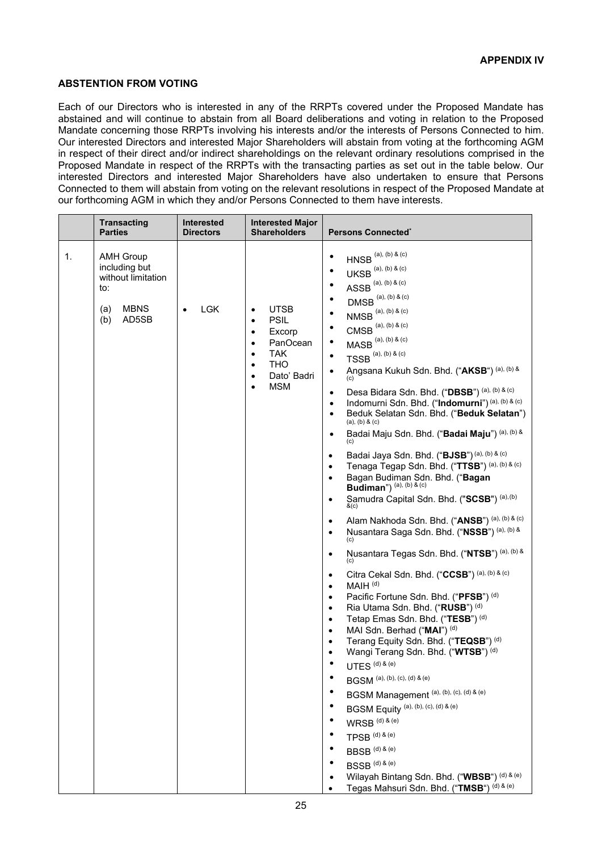### **ABSTENTION FROM VOTING ABSTENTION FROM VOTING**

Each of our Directors who is interested in any of the RRPTs covered under the Proposed Mandate has Each of our Directors who is interested in any of the RRPTs covered under the Proposed Mandate has abstained and will continue to abstain from all Board deliberations and voting in relation to the Proposed abstained and will continue to abstain from all Board deliberations and voting in relation to the Proposed Mandate concerning those RRPTs involving his interests and/or the interests of Persons Connected to him. Mandate concerning those RRPTs involving his interests and/or the interests of Persons Connected to him. Our interested Directors and interested Major Shareholders will abstain from voting at the forthcoming AGM Our interested Directors and interested Major Shareholders will abstain from voting at the forthcoming AGM in respect of their direct and/or indirect shareholdings on the relevant ordinary resolutions comprised in the in respect of their direct and/or indirect shareholdings on the relevant ordinary resolutions comprised in the Proposed Mandate in respect of the RRPTs with the transacting parties as set out in the table below. Our Proposed Mandate in respect of the RRPTs with the transacting parties as set out in the table below. Our interested Directors and interested Major Shareholders have also undertaken to ensure that Persons interested Directors and interested Major Shareholders have also undertaken to ensure that Persons Connected to them will abstain from voting on the relevant resolutions in respect of the Proposed Mandate at Connected to them will abstain from voting on the relevant resolutions in respect of the Proposed Mandate at our forthcoming AGM in which they and/or Persons Connected to them have interests. our forthcoming AGM in which they and/or Persons Connected to them have interests.

|    | <b>Transacting</b><br><b>Parties</b>                                                                 | Interested<br><b>Directors</b> | <b>Interested Major</b><br><b>Shareholders</b>                                                                                                                                             | <b>Persons Connected</b> *                                                                                                                                                                                                                                                                                                                                                                                                                                                                                                                                                                                                                                                                                                                                                                                                                                                                                                                                                                                                                                                                                                                                                                                                                                                                                                                                                                                                                                                                                                                                                                                                                                                                                                                                                                                                                                                                                                                                                                                                                                                                        |
|----|------------------------------------------------------------------------------------------------------|--------------------------------|--------------------------------------------------------------------------------------------------------------------------------------------------------------------------------------------|---------------------------------------------------------------------------------------------------------------------------------------------------------------------------------------------------------------------------------------------------------------------------------------------------------------------------------------------------------------------------------------------------------------------------------------------------------------------------------------------------------------------------------------------------------------------------------------------------------------------------------------------------------------------------------------------------------------------------------------------------------------------------------------------------------------------------------------------------------------------------------------------------------------------------------------------------------------------------------------------------------------------------------------------------------------------------------------------------------------------------------------------------------------------------------------------------------------------------------------------------------------------------------------------------------------------------------------------------------------------------------------------------------------------------------------------------------------------------------------------------------------------------------------------------------------------------------------------------------------------------------------------------------------------------------------------------------------------------------------------------------------------------------------------------------------------------------------------------------------------------------------------------------------------------------------------------------------------------------------------------------------------------------------------------------------------------------------------------|
| 1. | <b>AMH Group</b><br>including but<br>without limitation<br>to:<br><b>MBNS</b><br>(a)<br>AD5SB<br>(b) | <b>LGK</b>                     | UTSB<br>$\bullet$<br><b>PSIL</b><br>$\bullet$<br>Excorp<br>٠<br>PanOcean<br>٠<br><b>TAK</b><br>$\bullet$<br><b>THO</b><br>$\bullet$<br>Dato' Badri<br>$\bullet$<br><b>MSM</b><br>$\bullet$ | $HNSB^{(a), (b) & (c)}$<br>٠<br>$UKSB^{(a), (b) & (c)}$<br>$\bullet$<br>$ASSB^{(a), (b) & (c)}$<br>٠<br>$\left.\textrm{DMSB}\right.^{\text{\tiny{(a), (b) & (c)}}}$<br>٠<br>$NMSB^{(a), (b) & (c)}$<br>$\bullet$<br>$CMSB^{(a), (b) & (c)}$<br>$\bullet$<br>$\mathsf{MASB}^{\hspace{0.05cm} (a), \hspace{0.05cm} (b) \hspace{0.05cm} \& \hspace{0.05cm} (c)}$<br>٠<br>$TSSB$ <sup>(a), (b) &amp; (c)</sup><br>$\bullet$<br>Angsana Kukuh Sdn. Bhd. ("AKSB") (a), (b) &<br>$\bullet$<br>Desa Bidara Sdn. Bhd. ("DBSB") (a), (b) & (c)<br>$\bullet$<br>Indomurni Sdn. Bhd. ("Indomurni") (a), (b) & (c)<br>$\bullet$<br>Beduk Selatan Sdn. Bhd. ("Beduk Selatan")<br>$\bullet$<br>(a), (b) & (c)<br>Badai Maju Sdn. Bhd. ("Badai Maju") (a), (b) &<br>$\bullet$<br>Badai Jaya Sdn. Bhd. ("BJSB") (a), (b) & (c)<br>$\bullet$<br>Tenaga Tegap Sdn. Bhd. ("TTSB") (a), (b) & (c)<br>$\bullet$<br>Bagan Budiman Sdn. Bhd. ("Bagan<br>$\bullet$<br>Budiman") (a), (b) & (c)<br>Samudra Capital Sdn. Bhd. ("SCSB") (a), (b)<br>$\bullet$<br>&c)<br>Alam Nakhoda Sdn. Bhd. ("ANSB") (a), (b) & (c)<br>$\bullet$<br>Nusantara Saga Sdn. Bhd. ("NSSB") (a), (b) &<br>$\bullet$<br>(c)<br>Nusantara Tegas Sdn. Bhd. ("NTSB") (a), (b) &<br>$\bullet$<br>Citra Cekal Sdn. Bhd. ("CCSB") (a), (b) & (c)<br>$\bullet$<br>MAIH <sup>(d)</sup><br>$\bullet$<br>Pacific Fortune Sdn. Bhd. ("PFSB") (d)<br>$\bullet$<br>Ria Utama Sdn. Bhd. ("RUSB") (d)<br>$\bullet$<br>Tetap Emas Sdn. Bhd. ("TESB") (d)<br>$\bullet$<br>MAI Sdn. Berhad ("MAI") (d)<br>$\bullet$<br>Terang Equity Sdn. Bhd. ("TEQSB") (d)<br>$\bullet$<br>Wangi Terang Sdn. Bhd. ("WTSB") (d)<br>$\bullet$<br>UTES <sup>(d) &amp; (e)</sup><br><b>BGSM</b> (a), (b), (c), (d) & (e)<br>BGSM Management (a), (b), (c), (d) & (e)<br>BGSM Equity (a), (b), (c), (d) & (e)<br>$WRSB^{(d) 8 (e)}$<br>$\mathsf{TPSB}^{(\textnormal{\texttt{d}})\, \text{\texttt{8}}\,(\textnormal{\texttt{e}})}$<br>$BBSB$ <sup>(d) &amp; (e)</sup><br>$BSSB$ (d) & (e)<br>Wilayah Bintang Sdn. Bhd. ("WBSB") (d) & (e)<br>Tegas Mahsuri Sdn. Bhd. ("TMSB") (d) & (e) |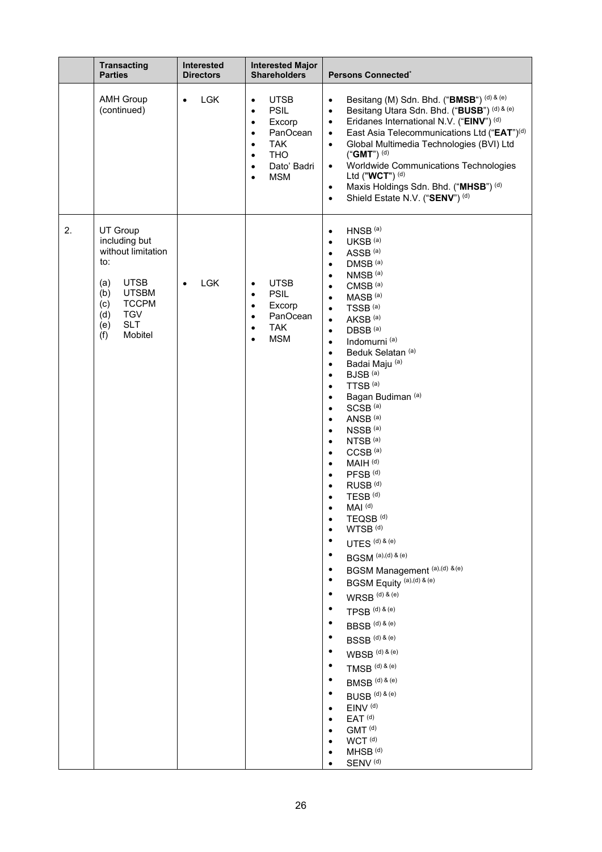|    | <b>Transacting</b><br><b>Parties</b>                                                                                                                                                   | Interested<br><b>Directors</b> | <b>Interested Major</b><br><b>Shareholders</b>                                                                                                                                                                    | Persons Connected®                                                                                                                                                                                                                                                                                                                                                                                                                                                                                                                                                                                                                                                                                                                                                                                                                                                                                                                                                                                                                                                                                                                                                                                                                                                                                                                                                                                                                                                                                                                                    |
|----|----------------------------------------------------------------------------------------------------------------------------------------------------------------------------------------|--------------------------------|-------------------------------------------------------------------------------------------------------------------------------------------------------------------------------------------------------------------|-------------------------------------------------------------------------------------------------------------------------------------------------------------------------------------------------------------------------------------------------------------------------------------------------------------------------------------------------------------------------------------------------------------------------------------------------------------------------------------------------------------------------------------------------------------------------------------------------------------------------------------------------------------------------------------------------------------------------------------------------------------------------------------------------------------------------------------------------------------------------------------------------------------------------------------------------------------------------------------------------------------------------------------------------------------------------------------------------------------------------------------------------------------------------------------------------------------------------------------------------------------------------------------------------------------------------------------------------------------------------------------------------------------------------------------------------------------------------------------------------------------------------------------------------------|
|    | <b>AMH Group</b><br>(continued)                                                                                                                                                        | <b>LGK</b><br>$\bullet$        | <b>UTSB</b><br>$\bullet$<br><b>PSIL</b><br>$\bullet$<br>Excorp<br>$\bullet$<br>PanOcean<br>$\bullet$<br><b>TAK</b><br>$\bullet$<br><b>THO</b><br>$\bullet$<br>Dato' Badri<br>$\bullet$<br><b>MSM</b><br>$\bullet$ | Besitang (M) Sdn. Bhd. ("BMSB") (d) & (e)<br>$\bullet$<br>Besitang Utara Sdn. Bhd. ("BUSB") (d) & (e)<br>$\bullet$<br>Eridanes International N.V. ("EINV") (d)<br>$\bullet$<br>East Asia Telecommunications Ltd ("EAT") <sup>(d)</sup><br>$\bullet$<br>Global Multimedia Technologies (BVI) Ltd<br>$\bullet$<br>("GMT") $(d)$<br>Worldwide Communications Technologies<br>$\bullet$<br>Ltd ("WCT") <sup>(d)</sup><br>Maxis Holdings Sdn. Bhd. ("MHSB") (d)<br>$\bullet$<br>Shield Estate N.V. ("SENV") (d)<br>$\bullet$                                                                                                                                                                                                                                                                                                                                                                                                                                                                                                                                                                                                                                                                                                                                                                                                                                                                                                                                                                                                                               |
| 2. | UT Group<br>including but<br>without limitation<br>to:<br><b>UTSB</b><br>(a)<br><b>UTSBM</b><br>(b)<br><b>TCCPM</b><br>(c)<br><b>TGV</b><br>(d)<br><b>SLT</b><br>(e)<br>Mobitel<br>(f) | <b>LGK</b>                     | <b>UTSB</b><br>$\bullet$<br><b>PSIL</b><br>$\bullet$<br>Excorp<br>$\bullet$<br>PanOcean<br>$\bullet$<br><b>TAK</b><br>٠<br><b>MSM</b><br>$\bullet$                                                                | HNSB <sup>(a)</sup><br>$\bullet$<br>UKSB <sup>(a)</sup><br>$\bullet$<br>ASSB <sup>(a)</sup><br>$\bullet$<br>DMSB <sup>(a)</sup><br>$\bullet$<br>NMSB <sup>(a)</sup><br>$\bullet$<br>CMSB <sup>(a)</sup><br>$\bullet$<br>MASB <sup>(a)</sup><br>$\bullet$<br>TSSB <sup>(a)</sup><br>$\bullet$<br>AKSB <sup>(a)</sup><br>$\bullet$<br>DBSB <sup>(a)</sup><br>$\bullet$<br>Indomurni <sup>(a)</sup><br>$\bullet$<br>Beduk Selatan <sup>(a)</sup><br>$\bullet$<br>Badai Maju (a)<br>$\bullet$<br>BJSB <sup>(a)</sup><br>$\bullet$<br>TTSB <sup>(a)</sup><br>$\bullet$<br>Bagan Budiman (a)<br>$\bullet$<br>SCSB <sup>(a)</sup><br>$\bullet$<br>ANSB <sup>(a)</sup><br>$\bullet$<br>NSSB <sup>(a)</sup><br>$\bullet$<br>NTSB <sup>(a)</sup><br>$\bullet$<br>CCSB <sup>(a)</sup><br>$\bullet$<br>MAIH <sup>(d)</sup><br>$\bullet$<br>PFSB <sup>(d)</sup><br>$\bullet$<br>RUSB <sup>(d)</sup><br>$\bullet$<br>TESB <sup>(d)</sup><br>$\bullet$<br>MAI <sup>(d)</sup><br>TEQSB <sup>(d)</sup><br>٠<br>WTSB <sup>(d)</sup><br>$UTES^{(d) & (e)}$<br>$BGSM$ (a),(d) & (e)<br>BGSM Management (a),(d) &(e)<br>BGSM Equity (a),(d) & (e)<br>$WRSB^{(d) & (e)}$<br>$\mathsf{TPSB}^{(\textnormal{\texttt{d}})\, \text{\texttt{8}}\,(\textnormal{\texttt{e}})}$<br>$BBSB$ (d) & (e)<br>$BSSB^{(d) \, \& \, (e)}$<br>$WBSB^{(d) & (e)}$<br>$TMSB$ (d) & (e)<br>$BMSB$ (d) & (e)<br>$BUSE^{(d) \, \& \, (e)}$<br>EINV <sup>(d)</sup><br>$\bullet$<br>EAT <sup>(d)</sup><br>٠<br>GMT <sup>(d)</sup><br>WCT <sup>(d)</sup><br>MHSB <sup>(d)</sup><br>SENV <sup>(d)</sup> |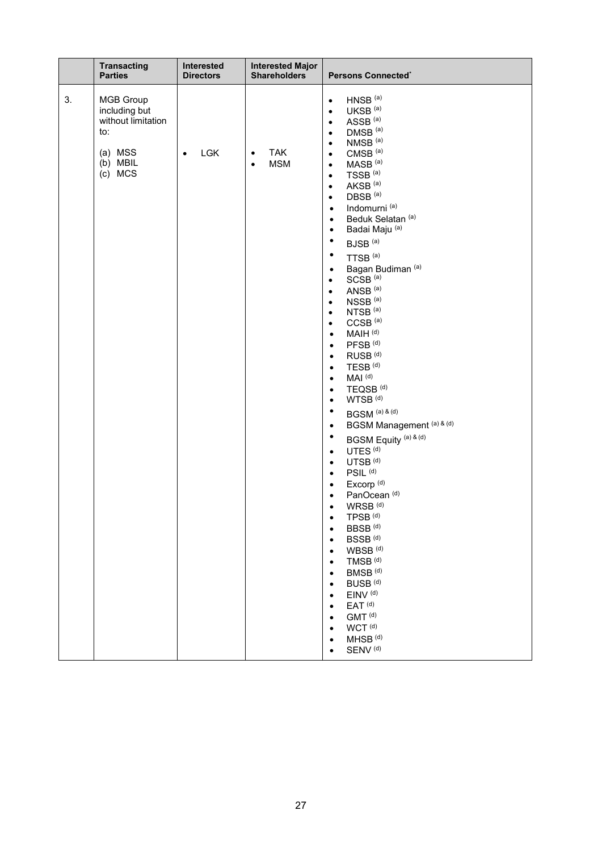| <b>Transacting</b>                                                                                     | Interested              | <b>Interested Major</b>                            | Persons Connected®                                                                                                                                                                                                                                                                                                                                                                                                                                                                                                                                                                                                                                                                                                                                                                                                                                                                                                                                                                                                                                                                                                                                                                                                                                                                                                                                                                                                                                                                                                                                                                                                                                                                                                                                                                                                                                  |
|--------------------------------------------------------------------------------------------------------|-------------------------|----------------------------------------------------|-----------------------------------------------------------------------------------------------------------------------------------------------------------------------------------------------------------------------------------------------------------------------------------------------------------------------------------------------------------------------------------------------------------------------------------------------------------------------------------------------------------------------------------------------------------------------------------------------------------------------------------------------------------------------------------------------------------------------------------------------------------------------------------------------------------------------------------------------------------------------------------------------------------------------------------------------------------------------------------------------------------------------------------------------------------------------------------------------------------------------------------------------------------------------------------------------------------------------------------------------------------------------------------------------------------------------------------------------------------------------------------------------------------------------------------------------------------------------------------------------------------------------------------------------------------------------------------------------------------------------------------------------------------------------------------------------------------------------------------------------------------------------------------------------------------------------------------------------------|
| <b>Parties</b>                                                                                         | <b>Directors</b>        | <b>Shareholders</b>                                |                                                                                                                                                                                                                                                                                                                                                                                                                                                                                                                                                                                                                                                                                                                                                                                                                                                                                                                                                                                                                                                                                                                                                                                                                                                                                                                                                                                                                                                                                                                                                                                                                                                                                                                                                                                                                                                     |
| 3.<br><b>MGB Group</b><br>including but<br>without limitation<br>to:<br>(a) MSS<br>(b) MBIL<br>(c) MCS | <b>LGK</b><br>$\bullet$ | <b>TAK</b><br>$\bullet$<br><b>MSM</b><br>$\bullet$ | $HNSB$ <sup>(a)</sup><br>$\bullet$<br>UKSB <sup>(a)</sup><br>$\bullet$<br>ASSB <sup>(a)</sup><br>$\bullet$<br>DMSB <sup>(a)</sup><br>$\bullet$<br>NMSB <sup>(a)</sup><br>$\bullet$<br>CMSB <sup>(a)</sup><br>$\bullet$<br>MASB <sup>(a)</sup><br>$\bullet$<br>TSSB <sup>(a)</sup><br>$\bullet$<br>AKSB <sup>(a)</sup><br>$\bullet$<br>DBSB <sup>(a)</sup><br>$\bullet$<br>Indomurni <sup>(a)</sup><br>$\bullet$<br>Beduk Selatan <sup>(a)</sup><br>$\bullet$<br>Badai Maju (a)<br>$\bullet$<br>٠<br>BJSB <sup>(a)</sup><br>$\bullet$<br>TTSB <sup>(a)</sup><br>Bagan Budiman <sup>(a)</sup><br>$\bullet$<br>SCSB <sup>(a)</sup><br>$\bullet$<br>ANSB <sup>(a)</sup><br>$\bullet$<br>NSSB <sup>(a)</sup><br>$\bullet$<br>NTSB <sup>(a)</sup><br>$\bullet$<br>CCSB <sup>(a)</sup><br>$\bullet$<br>MAIH <sup>(d)</sup><br>$\bullet$<br>PFSB <sup>(d)</sup><br>$\bullet$<br>RUSB <sup>(d)</sup><br>$\bullet$<br>TESB <sup>(d)</sup><br>$\bullet$<br>MAI <sup>(d)</sup><br>$\bullet$<br>TEQSB <sup>(d)</sup><br>$\bullet$<br>WTSB <sup>(d)</sup><br>$\bullet$<br>$\bullet$<br>BGSM (a) & (d)<br>BGSM Management (a) & (d)<br>$\bullet$<br>٠<br>BGSM Equity <sup>(a) &amp; (d)</sup><br>UTES <sup>(d)</sup><br>$\bullet$<br>UTSB <sup>(d)</sup><br>$\bullet$<br>PSIL <sup>(d)</sup><br>$\bullet$<br>Excorp <sup>(d)</sup><br>$\bullet$<br>PanOcean <sup>(d)</sup><br>$\bullet$<br>WRSB <sup>(d)</sup><br>$\bullet$<br>TPSB <sup>(d)</sup><br>$\bullet$<br>BBSB <sup>(d)</sup><br>$\bullet$<br>BSSB <sup>(d)</sup><br>$\bullet$<br>WBSB <sup>(d)</sup><br>$\bullet$<br>TMSB <sup>(d)</sup><br>BMSB <sup>(d)</sup><br>$\bullet$<br>BUSB <sup>(d)</sup><br>$\bullet$<br>EINV <sup>(d)</sup><br>$\bullet$<br>EAT <sup>(d)</sup><br>$\bullet$<br>GMT <sup>(d)</sup><br>$\bullet$<br>WCT <sup>(d)</sup><br>٠<br>MHSB <sup>(d)</sup><br>٠<br>SENV <sup>(d)</sup> |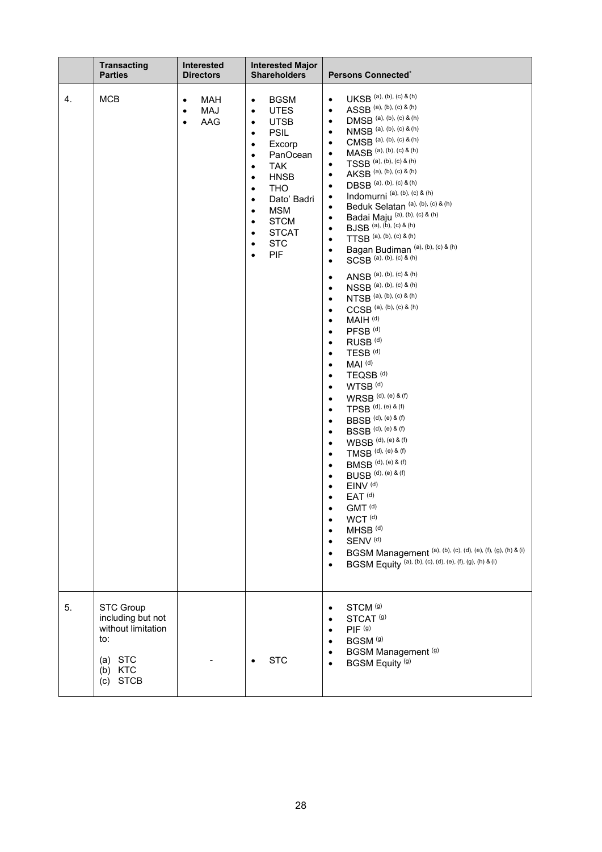|    | <b>Transacting</b><br><b>Parties</b>                                                                             | <b>Interested</b><br><b>Directors</b>                    | <b>Interested Major</b><br><b>Shareholders</b>                                                                                                                                                                                                                                                                                                        | <b>Persons Connected®</b>                                                                                                                                                                                                                                                                                                                                                                                                                                                                                                                                                                                                                                                                                                                                                                                                                                                                                                                                                                                                                                                                                                                                                                                                                                                                                                                                                                                                                                                                                                                                                                                                                                                                                                                                                                                                                  |
|----|------------------------------------------------------------------------------------------------------------------|----------------------------------------------------------|-------------------------------------------------------------------------------------------------------------------------------------------------------------------------------------------------------------------------------------------------------------------------------------------------------------------------------------------------------|--------------------------------------------------------------------------------------------------------------------------------------------------------------------------------------------------------------------------------------------------------------------------------------------------------------------------------------------------------------------------------------------------------------------------------------------------------------------------------------------------------------------------------------------------------------------------------------------------------------------------------------------------------------------------------------------------------------------------------------------------------------------------------------------------------------------------------------------------------------------------------------------------------------------------------------------------------------------------------------------------------------------------------------------------------------------------------------------------------------------------------------------------------------------------------------------------------------------------------------------------------------------------------------------------------------------------------------------------------------------------------------------------------------------------------------------------------------------------------------------------------------------------------------------------------------------------------------------------------------------------------------------------------------------------------------------------------------------------------------------------------------------------------------------------------------------------------------------|
| 4. | <b>MCB</b>                                                                                                       | MAH<br>$\bullet$<br>MAJ<br>$\bullet$<br>AAG<br>$\bullet$ | <b>BGSM</b><br>$\bullet$<br><b>UTES</b><br>$\bullet$<br><b>UTSB</b><br>٠<br><b>PSIL</b><br>٠<br>Excorp<br>$\bullet$<br>PanOcean<br>$\bullet$<br><b>TAK</b><br>٠<br><b>HNSB</b><br>$\bullet$<br><b>THO</b><br>$\bullet$<br>Dato' Badri<br>٠<br><b>MSM</b><br>٠<br><b>STCM</b><br>$\bullet$<br><b>STCAT</b><br>$\bullet$<br><b>STC</b><br>٠<br>PIF<br>٠ | $UKSB$ (a), (b), (c) & (h)<br>$\bullet$<br>ASSB (a), (b), (c) & (h)<br>$\bullet$<br>DMSB (a), (b), (c) & (h)<br>$\bullet$<br>NMSB (a), (b), (c) & (h)<br>$\bullet$<br>CMSB (a), (b), (c) & (h)<br>$\bullet$<br>MASB (a), (b), (c) & (h)<br>$\bullet$<br>TSSB (a), (b), (c) & (h)<br>$\bullet$<br>AKSB (a), (b), (c) & (h)<br>$\bullet$<br>DBSB (a), (b), (c) & (h)<br>$\bullet$<br>Indomurni <sup>(a), (b), (c) &amp; (h)</sup><br>$\bullet$<br>Beduk Selatan (a), (b), (c) & (h)<br>$\bullet$<br>Badai Maju (a), (b), (c) & (h)<br>$\bullet$<br>BJSB (a), (b), (c) & (h)<br>$\bullet$<br>TTSB (a), (b), (c) & (h)<br>$\bullet$<br>Bagan Budiman (a), (b), (c) & (h)<br>$\bullet$<br>$SCSB$ (a), (b), (c) & (h)<br>$\bullet$<br>ANSB (a), (b), (c) & (h)<br>$\bullet$<br>NSSB (a), (b), (c) & (h)<br>$\bullet$<br>NTSB (a), (b), (c) & (h)<br>$\bullet$<br>$CCSB$ (a), (b), (c) & (h)<br>$\bullet$<br>MAIH <sup>(d)</sup><br>$\bullet$<br>PFSB <sup>(d)</sup><br>$\bullet$<br>RUSB <sup>(d)</sup><br>٠<br>TESB <sup>(d)</sup><br>$\bullet$<br>MAI <sup>(d)</sup><br>$\bullet$<br>TEQSB <sup>(d)</sup><br>٠<br>WTSB <sup>(d)</sup><br>$\bullet$<br>WRSB (d), (e) & (f)<br>$\bullet$<br>TPSB (d), (e) & (f)<br>$\bullet$<br><b>BBSB</b> (d), (e) & (f)<br>$\bullet$<br><b>BSSB</b> (d), (e) & (f)<br>$\bullet$<br>WBSB (d), (e) & (f)<br>$\bullet$<br>TMSB (d), (e) & (f)<br>$\bullet$<br><b>BMSB</b> (d), (e) & (f)<br>$\bullet$<br><b>BUSB</b> (d), (e) & (f)<br>$\bullet$<br>EINV <sup>(d)</sup><br>$\bullet$<br>$EAT$ <sup>(d)</sup><br>$\bullet$<br>GMT <sup>(d)</sup><br>WCT <sup>(d)</sup><br>$\bullet$<br>MHSB <sup>(d)</sup><br>$\bullet$<br>SENV <sup>(d)</sup><br>$\bullet$<br>BGSM Management (a), (b), (c), (d), (e), (f), (g), (h) & (i)<br>$\bullet$<br>BGSM Equity (a), (b), (c), (d), (e), (f), (g), (h) & (i)<br>$\bullet$ |
| 5. | <b>STC Group</b><br>including but not<br>without limitation<br>to:<br>$(a)$ STC<br>(b) KTC<br><b>STCB</b><br>(c) |                                                          | <b>STC</b>                                                                                                                                                                                                                                                                                                                                            | STCM <sup>(g)</sup><br>$\bullet$<br>STCAT <sup>(g)</sup><br>$\bullet$<br>PIF <sup>(g)</sup><br>$\bullet$<br>BGSM <sup>(g)</sup><br>$\bullet$<br>BGSM Management (g)<br>$\bullet$<br>BGSM Equity <sup>(g)</sup><br>$\bullet$                                                                                                                                                                                                                                                                                                                                                                                                                                                                                                                                                                                                                                                                                                                                                                                                                                                                                                                                                                                                                                                                                                                                                                                                                                                                                                                                                                                                                                                                                                                                                                                                                |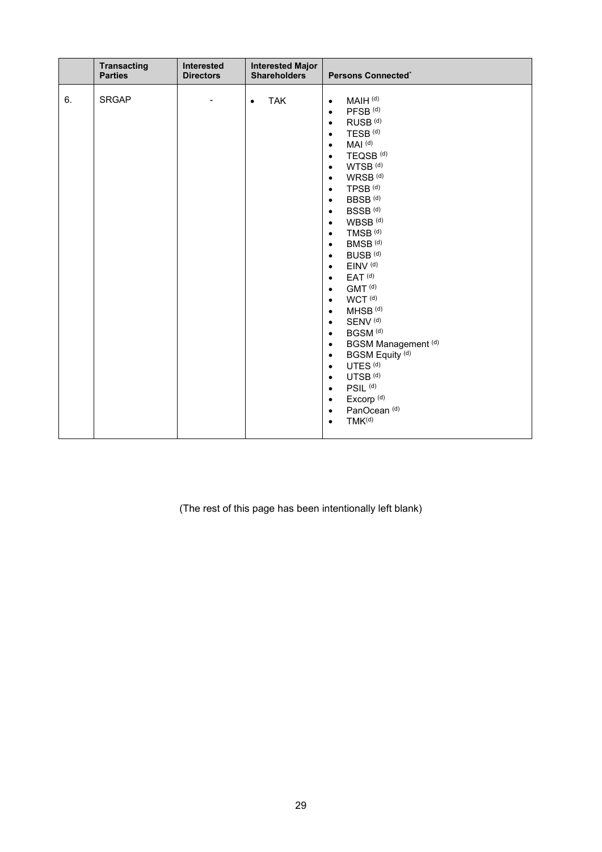|    | <b>Transacting</b><br><b>Parties</b> | Interested<br><b>Directors</b> | <b>Interested Major</b><br><b>Shareholders</b> | Persons Connected®                                                                                                                                                                                                                                                                                                                                                                                                                                                                                                                                                                                                                                                                                                                                                                                                                                                                                                                                                                                                                                                                                                   |
|----|--------------------------------------|--------------------------------|------------------------------------------------|----------------------------------------------------------------------------------------------------------------------------------------------------------------------------------------------------------------------------------------------------------------------------------------------------------------------------------------------------------------------------------------------------------------------------------------------------------------------------------------------------------------------------------------------------------------------------------------------------------------------------------------------------------------------------------------------------------------------------------------------------------------------------------------------------------------------------------------------------------------------------------------------------------------------------------------------------------------------------------------------------------------------------------------------------------------------------------------------------------------------|
| 6. | <b>SRGAP</b>                         |                                | <b>TAK</b><br>$\bullet$                        | MAIH <sup>(d)</sup><br>$\bullet$<br>PFSB <sup>(d)</sup><br>$\bullet$<br>RUSB <sup>(d)</sup><br>$\bullet$<br>TESB <sup>(d)</sup><br>$\bullet$<br>MAI <sup>(d)</sup><br>$\bullet$<br>TEQSB <sup>(d)</sup><br>$\bullet$<br>WTSB <sup>(d)</sup><br>$\bullet$<br>WRSB <sup>(d)</sup><br>$\bullet$<br>TPSB <sup>(d)</sup><br>$\bullet$<br>BBSB <sup>(d)</sup><br>$\bullet$<br>BSSB <sup>(d)</sup><br>$\bullet$<br>WBSB <sup>(d)</sup><br>$\bullet$<br>TMSB <sup>(d)</sup><br>$\bullet$<br>$\mathsf{BMSB}$ (d)<br>$\bullet$<br>BUSB <sup>(d)</sup><br>$\bullet$<br>EINV <sup>(d)</sup><br>$\bullet$<br>$EAT$ <sup>(d)</sup><br>$\bullet$<br>GMT <sup>(d)</sup><br>$\bullet$<br>WCT <sup>(d)</sup><br>$\bullet$<br>MHSB <sup>(d)</sup><br>$\bullet$<br>SENV <sup>(d)</sup><br>$\bullet$<br>BGSM <sup>(d)</sup><br>$\bullet$<br>BGSM Management (d)<br>$\bullet$<br><b>BGSM Equity (d)</b><br>$\bullet$<br>UTES <sup>(d)</sup><br>$\bullet$<br>UTSB <sup>(d)</sup><br>$\bullet$<br>PSIL <sup>(d)</sup><br>$\bullet$<br>Excorp <sup>(d)</sup><br>$\bullet$<br>PanOcean <sup>(d)</sup><br>$\bullet$<br>$TMK^{(d)}$<br>$\bullet$ |

(The rest of this page has been intentionally left blank)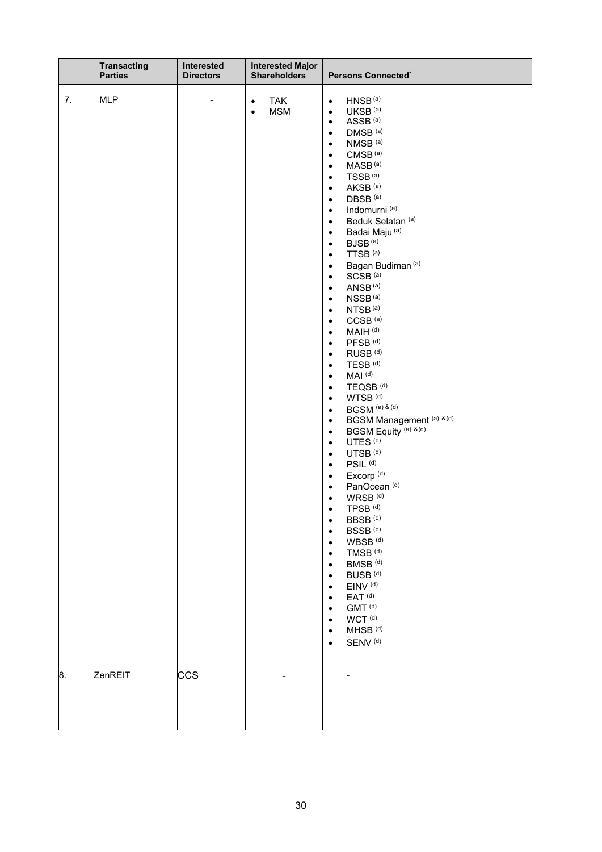|    | <b>Transacting</b><br><b>Parties</b> | Interested<br><b>Directors</b> | <b>Interested Major</b><br><b>Shareholders</b>     | Persons Connected®                                                                                                                                                                                                                                                                                                                                                                                                                                                                                                                                                                                                                                                                                                                                                                                                                                                                                                                                                                                                                                                                                                                                                                                                                                                                                                                                                                                                                                                                                                                                                                                                                                                                                                                                                                                                                                                                                        |
|----|--------------------------------------|--------------------------------|----------------------------------------------------|-----------------------------------------------------------------------------------------------------------------------------------------------------------------------------------------------------------------------------------------------------------------------------------------------------------------------------------------------------------------------------------------------------------------------------------------------------------------------------------------------------------------------------------------------------------------------------------------------------------------------------------------------------------------------------------------------------------------------------------------------------------------------------------------------------------------------------------------------------------------------------------------------------------------------------------------------------------------------------------------------------------------------------------------------------------------------------------------------------------------------------------------------------------------------------------------------------------------------------------------------------------------------------------------------------------------------------------------------------------------------------------------------------------------------------------------------------------------------------------------------------------------------------------------------------------------------------------------------------------------------------------------------------------------------------------------------------------------------------------------------------------------------------------------------------------------------------------------------------------------------------------------------------------|
| 7. | <b>MLP</b>                           |                                | <b>TAK</b><br>$\bullet$<br><b>MSM</b><br>$\bullet$ | HNSB <sup>(a)</sup><br>$\bullet$<br>UKSB <sup>(a)</sup><br>$\bullet$<br>ASSB <sup>(a)</sup><br>$\bullet$<br>DMSB <sup>(a)</sup><br>$\bullet$<br>NMSB <sup>(a)</sup><br>$\bullet$<br>CMSB <sup>(a)</sup><br>$\bullet$<br>MASB <sup>(a)</sup><br>$\bullet$<br>TSSB <sup>(a)</sup><br>$\bullet$<br>AKSB <sup>(a)</sup><br>$\bullet$<br>DBSB <sup>(a)</sup><br>$\bullet$<br>Indomurni <sup>(a)</sup><br>$\bullet$<br>Beduk Selatan <sup>(a)</sup><br>$\bullet$<br>Badai Maju <sup>(a)</sup><br>$\bullet$<br>BJSB <sup>(a)</sup><br>$\bullet$<br>TTSB <sup>(a)</sup><br>$\bullet$<br>Bagan Budiman <sup>(a)</sup><br>$\bullet$<br>SCSB <sup>(a)</sup><br>$\bullet$<br>ANSB <sup>(a)</sup><br>$\bullet$<br>NSSB <sup>(a)</sup><br>$\bullet$<br>NTSB <sup>(a)</sup><br>$\bullet$<br>CCSB <sup>(a)</sup><br>$\bullet$<br>MAIH <sup>(d)</sup><br>$\bullet$<br>PFSB <sup>(d)</sup><br>$\bullet$<br>RUSB <sup>(d)</sup><br>$\bullet$<br>TESB <sup>(d)</sup><br>$\bullet$<br>MAI <sup>(d)</sup><br>$\bullet$<br>TEQSB <sup>(d)</sup><br>$\bullet$<br>WTSB <sup>(d)</sup><br>$\bullet$<br>BGSM <sup>(a) &amp; (d)</sup><br>$\bullet$<br>BGSM Management (a) & (d)<br>$\bullet$<br>BGSM Equity <sup>(a) &amp;(d)</sup><br>$\bullet$<br>UTES <sup>(d)</sup><br>$\bullet$<br>UTSB <sup>(d)</sup><br>$\bullet$<br>PSIL <sup>(d)</sup><br>$\bullet$<br>Excorp <sup>(d)</sup><br>$\bullet$<br>PanOcean <sup>(d)</sup><br>$\bullet$<br>WRSB <sup>(d)</sup><br>$\bullet$<br>$TPSB$ <sup>(d)</sup><br>BBSB <sup>(d)</sup><br>$\bullet$<br>BSSB <sup>(d)</sup><br>$\bullet$<br>WBSB <sup>(d)</sup><br>$\bullet$<br>TMSB <sup>(d)</sup><br>٠<br>BMSB <sup>(d)</sup><br>$\bullet$<br>BUSB <sup>(d)</sup><br>$\bullet$<br>EINV <sup>(d)</sup><br>$\bullet$<br>EAT <sup>(d)</sup><br>$\bullet$<br>GMT <sup>(d)</sup><br>$\bullet$<br>WCT <sup>(d)</sup><br>٠<br>MHSB <sup>(d)</sup><br>$\bullet$<br>SENV <sup>(d)</sup><br>$\bullet$ |
| 8. | ZenREIT                              | <b>CCS</b>                     |                                                    |                                                                                                                                                                                                                                                                                                                                                                                                                                                                                                                                                                                                                                                                                                                                                                                                                                                                                                                                                                                                                                                                                                                                                                                                                                                                                                                                                                                                                                                                                                                                                                                                                                                                                                                                                                                                                                                                                                           |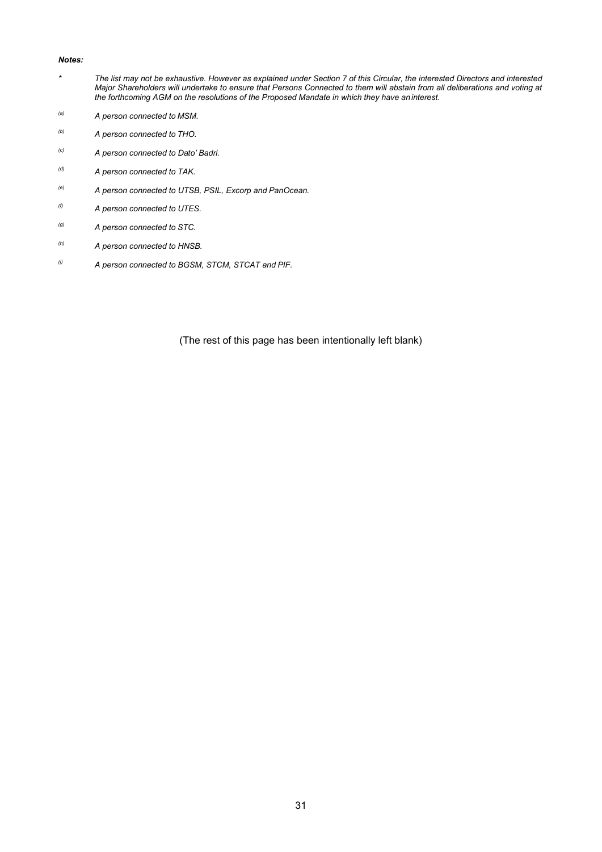### *Notes:*

- *\* The list may not be exhaustive. However as explained under Section 7 of this Circular, the interested Directors and interested Major Shareholders will undertake to ensure that Persons Connected to them will abstain from all deliberations and voting at the forthcoming AGM on the resolutions of the Proposed Mandate in which they have aninterest.*
- *(a) A person connected to MSM.*
- *(b) A person connected to THO.*
- *(c) A person connected to Dato' Badri.*
- *(d) A person connected to TAK.*
- *(e) A person connected to UTSB, PSIL, Excorp and PanOcean.*
- *(f) A person connected to UTES.*
- *(g) A person connected to STC.*
- *(h) A person connected to HNSB.*
- *(i) A person connected to BGSM, STCM, STCAT and PIF.*

(The rest of this page has been intentionally left blank)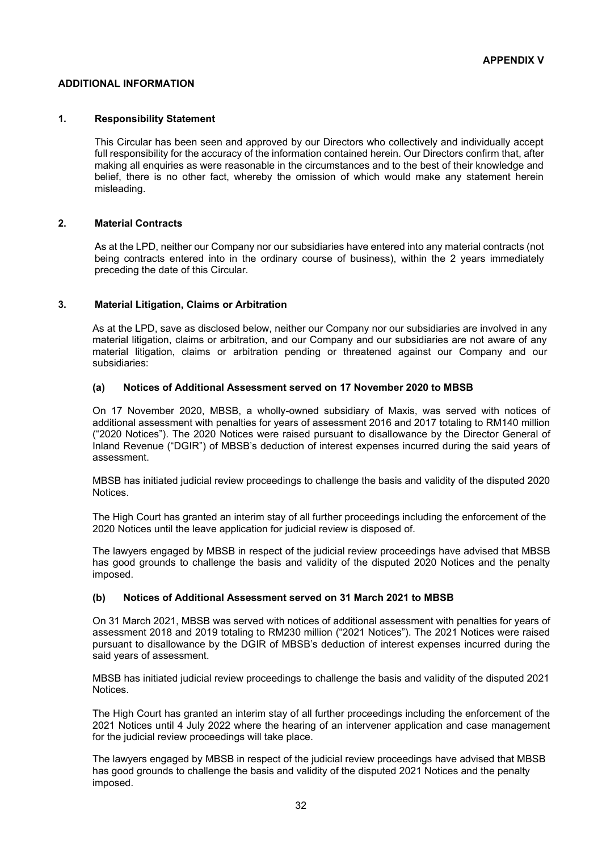### **ADDITIONAL INFORMATION**

### **1. Responsibility Statement**

This Circular has been seen and approved by our Directors who collectively and individually accept full responsibility for the accuracy of the information contained herein. Our Directors confirm that, after making all enquiries as were reasonable in the circumstances and to the best of their knowledge and belief, there is no other fact, whereby the omission of which would make any statement herein misleading.

### **2. Material Contracts**

As at the LPD, neither our Company nor our subsidiaries have entered into any material contracts (not being contracts entered into in the ordinary course of business), within the 2 years immediately preceding the date of this Circular.

### **3. Material Litigation, Claims or Arbitration**

As at the LPD, save as disclosed below, neither our Company nor our subsidiaries are involved in any material litigation, claims or arbitration, and our Company and our subsidiaries are not aware of any material litigation, claims or arbitration pending or threatened against our Company and our subsidiaries:

### **(a) Notices of Additional Assessment served on 17 November 2020 to MBSB**

On 17 November 2020, MBSB, a wholly-owned subsidiary of Maxis, was served with notices of additional assessment with penalties for years of assessment 2016 and 2017 totaling to RM140 million ("2020 Notices"). The 2020 Notices were raised pursuant to disallowance by the Director General of Inland Revenue ("DGIR") of MBSB's deduction of interest expenses incurred during the said years of assessment.

MBSB has initiated judicial review proceedings to challenge the basis and validity of the disputed 2020 Notices.

The High Court has granted an interim stay of all further proceedings including the enforcement of the 2020 Notices until the leave application for judicial review is disposed of.

The lawyers engaged by MBSB in respect of the judicial review proceedings have advised that MBSB has good grounds to challenge the basis and validity of the disputed 2020 Notices and the penalty imposed.

### **(b) Notices of Additional Assessment served on 31 March 2021 to MBSB**

On 31 March 2021, MBSB was served with notices of additional assessment with penalties for years of assessment 2018 and 2019 totaling to RM230 million ("2021 Notices"). The 2021 Notices were raised pursuant to disallowance by the DGIR of MBSB's deduction of interest expenses incurred during the said years of assessment.

MBSB has initiated judicial review proceedings to challenge the basis and validity of the disputed 2021 Notices.

The High Court has granted an interim stay of all further proceedings including the enforcement of the 2021 Notices until 4 July 2022 where the hearing of an intervener application and case management for the judicial review proceedings will take place.

The lawyers engaged by MBSB in respect of the judicial review proceedings have advised that MBSB has good grounds to challenge the basis and validity of the disputed 2021 Notices and the penalty imposed.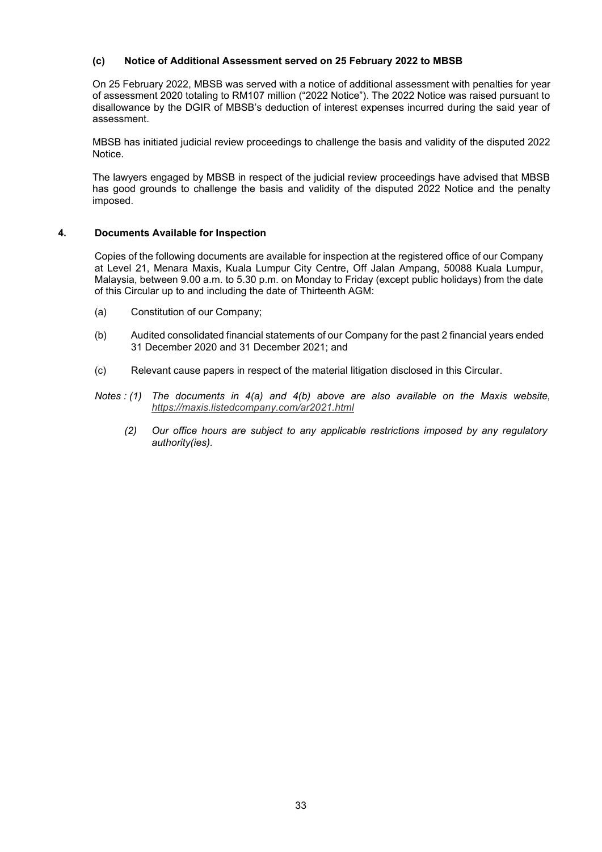### **(c) Notice of Additional Assessment served on 25 February 2022 to MBSB**

On 25 February 2022, MBSB was served with a notice of additional assessment with penalties for year of assessment 2020 totaling to RM107 million ("2022 Notice"). The 2022 Notice was raised pursuant to disallowance by the DGIR of MBSB's deduction of interest expenses incurred during the said year of assessment.

MBSB has initiated judicial review proceedings to challenge the basis and validity of the disputed 2022 Notice.

The lawyers engaged by MBSB in respect of the judicial review proceedings have advised that MBSB has good grounds to challenge the basis and validity of the disputed 2022 Notice and the penalty imposed.

### **4. Documents Available for Inspection**

Copies of the following documents are available for inspection at the registered office of our Company at Level 21, Menara Maxis, Kuala Lumpur City Centre, Off Jalan Ampang, 50088 Kuala Lumpur, Malaysia, between 9.00 a.m. to 5.30 p.m. on Monday to Friday (except public holidays) from the date of this Circular up to and including the date of Thirteenth AGM:

- (a) Constitution of our Company;
- (b) Audited consolidated financial statements of our Company for the past 2 financial years ended 31 December 2020 and 31 December 2021; and
- (c) Relevant cause papers in respect of the material litigation disclosed in this Circular.
- *Notes : (1) The documents in 4(a) and 4(b) above are also available on the Maxis website, https://maxis.listedcompany.com/ar2021.html*
	- *(2) Our office hours are subject to any applicable restrictions imposed by any regulatory authority(ies).*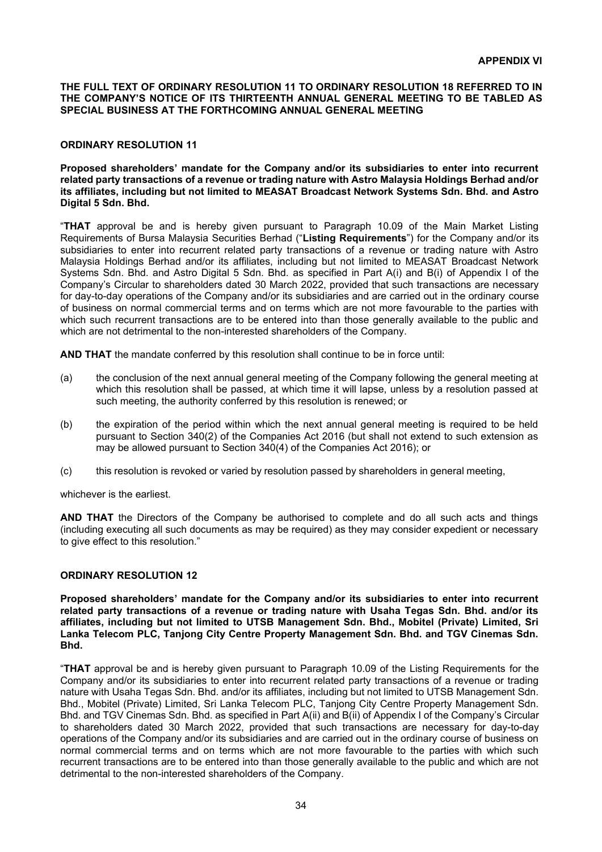### **THE FULL TEXT OF ORDINARY RESOLUTION 11 TO ORDINARY RESOLUTION 18 REFERRED TO IN THE COMPANY'S NOTICE OF ITS THIRTEENTH ANNUAL GENERAL MEETING TO BE TABLED AS SPECIAL BUSINESS AT THE FORTHCOMING ANNUAL GENERAL MEETING**

### **ORDINARY RESOLUTION 11**

**Proposed shareholders' mandate for the Company and/or its subsidiaries to enter into recurrent related party transactions of a revenue or trading nature with Astro Malaysia Holdings Berhad and/or its affiliates, including but not limited to MEASAT Broadcast Network Systems Sdn. Bhd. and Astro Digital 5 Sdn. Bhd.**

"**THAT** approval be and is hereby given pursuant to Paragraph 10.09 of the Main Market Listing Requirements of Bursa Malaysia Securities Berhad ("**Listing Requirements**") for the Company and/or its subsidiaries to enter into recurrent related party transactions of a revenue or trading nature with Astro Malaysia Holdings Berhad and/or its affiliates, including but not limited to MEASAT Broadcast Network Systems Sdn. Bhd. and Astro Digital 5 Sdn. Bhd. as specified in Part A(i) and B(i) of Appendix I of the Company's Circular to shareholders dated 30 March 2022, provided that such transactions are necessary for day-to-day operations of the Company and/or its subsidiaries and are carried out in the ordinary course of business on normal commercial terms and on terms which are not more favourable to the parties with which such recurrent transactions are to be entered into than those generally available to the public and which are not detrimental to the non-interested shareholders of the Company.

**AND THAT** the mandate conferred by this resolution shall continue to be in force until:

- (a) the conclusion of the next annual general meeting of the Company following the general meeting at which this resolution shall be passed, at which time it will lapse, unless by a resolution passed at such meeting, the authority conferred by this resolution is renewed; or
- (b) the expiration of the period within which the next annual general meeting is required to be held pursuant to Section 340(2) of the Companies Act 2016 (but shall not extend to such extension as may be allowed pursuant to Section 340(4) of the Companies Act 2016); or
- (c) this resolution is revoked or varied by resolution passed by shareholders in general meeting,

whichever is the earliest.

**AND THAT** the Directors of the Company be authorised to complete and do all such acts and things (including executing all such documents as may be required) as they may consider expedient or necessary to give effect to this resolution."

### **ORDINARY RESOLUTION 12**

**Proposed shareholders' mandate for the Company and/or its subsidiaries to enter into recurrent related party transactions of a revenue or trading nature with Usaha Tegas Sdn. Bhd. and/or its affiliates, including but not limited to UTSB Management Sdn. Bhd., Mobitel (Private) Limited, Sri Lanka Telecom PLC, Tanjong City Centre Property Management Sdn. Bhd. and TGV Cinemas Sdn. Bhd.**

"**THAT** approval be and is hereby given pursuant to Paragraph 10.09 of the Listing Requirements for the Company and/or its subsidiaries to enter into recurrent related party transactions of a revenue or trading nature with Usaha Tegas Sdn. Bhd. and/or its affiliates, including but not limited to UTSB Management Sdn. Bhd., Mobitel (Private) Limited, Sri Lanka Telecom PLC, Tanjong City Centre Property Management Sdn. Bhd. and TGV Cinemas Sdn. Bhd. as specified in Part A(ii) and B(ii) of Appendix I of the Company's Circular to shareholders dated 30 March 2022, provided that such transactions are necessary for day-to-day operations of the Company and/or its subsidiaries and are carried out in the ordinary course of business on normal commercial terms and on terms which are not more favourable to the parties with which such recurrent transactions are to be entered into than those generally available to the public and which are not detrimental to the non-interested shareholders of the Company.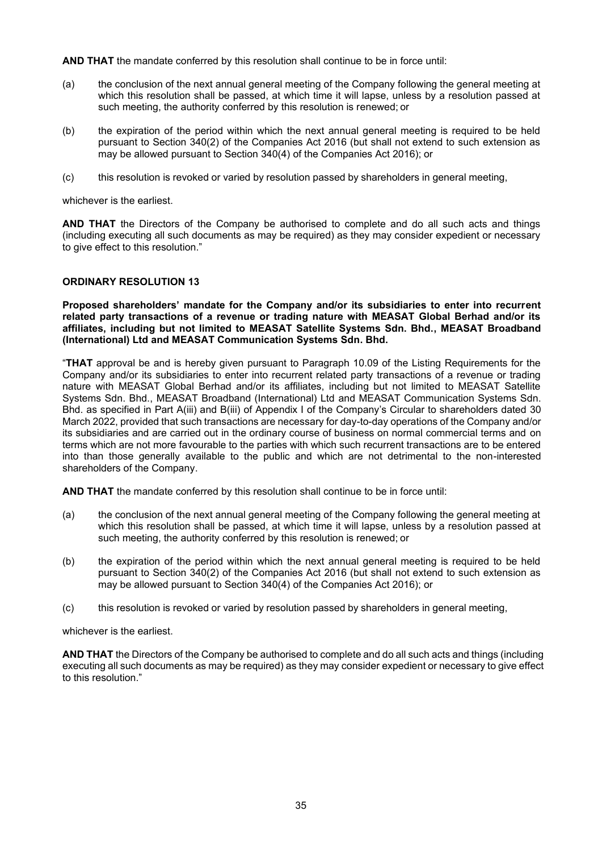**AND THAT** the mandate conferred by this resolution shall continue to be in force until:

- (a) the conclusion of the next annual general meeting of the Company following the general meeting at which this resolution shall be passed, at which time it will lapse, unless by a resolution passed at such meeting, the authority conferred by this resolution is renewed; or
- (b) the expiration of the period within which the next annual general meeting is required to be held pursuant to Section 340(2) of the Companies Act 2016 (but shall not extend to such extension as may be allowed pursuant to Section 340(4) of the Companies Act 2016); or
- (c) this resolution is revoked or varied by resolution passed by shareholders in general meeting,

whichever is the earliest.

**AND THAT** the Directors of the Company be authorised to complete and do all such acts and things (including executing all such documents as may be required) as they may consider expedient or necessary to give effect to this resolution."

### **ORDINARY RESOLUTION 13**

**Proposed shareholders' mandate for the Company and/or its subsidiaries to enter into recurrent related party transactions of a revenue or trading nature with MEASAT Global Berhad and/or its affiliates, including but not limited to MEASAT Satellite Systems Sdn. Bhd., MEASAT Broadband (International) Ltd and MEASAT Communication Systems Sdn. Bhd.**

"**THAT** approval be and is hereby given pursuant to Paragraph 10.09 of the Listing Requirements for the Company and/or its subsidiaries to enter into recurrent related party transactions of a revenue or trading nature with MEASAT Global Berhad and/or its affiliates, including but not limited to MEASAT Satellite Systems Sdn. Bhd., MEASAT Broadband (International) Ltd and MEASAT Communication Systems Sdn. Bhd. as specified in Part A(iii) and B(iii) of Appendix I of the Company's Circular to shareholders dated 30 March 2022, provided that such transactions are necessary for day-to-day operations of the Company and/or its subsidiaries and are carried out in the ordinary course of business on normal commercial terms and on terms which are not more favourable to the parties with which such recurrent transactions are to be entered into than those generally available to the public and which are not detrimental to the non-interested shareholders of the Company.

**AND THAT** the mandate conferred by this resolution shall continue to be in force until:

- (a) the conclusion of the next annual general meeting of the Company following the general meeting at which this resolution shall be passed, at which time it will lapse, unless by a resolution passed at such meeting, the authority conferred by this resolution is renewed; or
- (b) the expiration of the period within which the next annual general meeting is required to be held pursuant to Section 340(2) of the Companies Act 2016 (but shall not extend to such extension as may be allowed pursuant to Section 340(4) of the Companies Act 2016); or
- (c) this resolution is revoked or varied by resolution passed by shareholders in general meeting,

whichever is the earliest.

**AND THAT** the Directors of the Company be authorised to complete and do all such acts and things (including executing all such documents as may be required) as they may consider expedient or necessary to give effect to this resolution."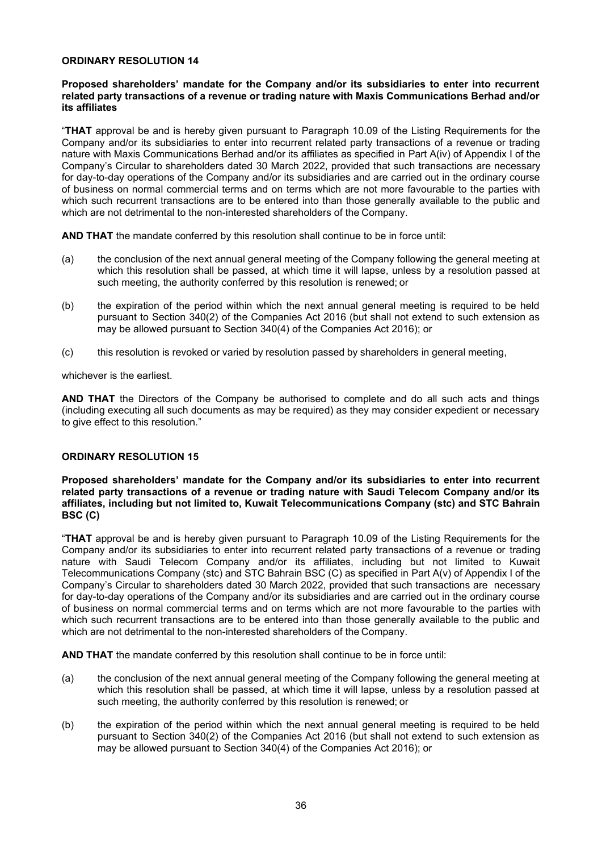### **ORDINARY RESOLUTION 14**

### **Proposed shareholders' mandate for the Company and/or its subsidiaries to enter into recurrent related party transactions of a revenue or trading nature with Maxis Communications Berhad and/or its affiliates**

"**THAT** approval be and is hereby given pursuant to Paragraph 10.09 of the Listing Requirements for the Company and/or its subsidiaries to enter into recurrent related party transactions of a revenue or trading nature with Maxis Communications Berhad and/or its affiliates as specified in Part A(iv) of Appendix I of the Company's Circular to shareholders dated 30 March 2022, provided that such transactions are necessary for day-to-day operations of the Company and/or its subsidiaries and are carried out in the ordinary course of business on normal commercial terms and on terms which are not more favourable to the parties with which such recurrent transactions are to be entered into than those generally available to the public and which are not detrimental to the non-interested shareholders of the Company.

**AND THAT** the mandate conferred by this resolution shall continue to be in force until:

- (a) the conclusion of the next annual general meeting of the Company following the general meeting at which this resolution shall be passed, at which time it will lapse, unless by a resolution passed at such meeting, the authority conferred by this resolution is renewed; or
- (b) the expiration of the period within which the next annual general meeting is required to be held pursuant to Section 340(2) of the Companies Act 2016 (but shall not extend to such extension as may be allowed pursuant to Section 340(4) of the Companies Act 2016); or
- (c) this resolution is revoked or varied by resolution passed by shareholders in general meeting,

whichever is the earliest.

**AND THAT** the Directors of the Company be authorised to complete and do all such acts and things (including executing all such documents as may be required) as they may consider expedient or necessary to give effect to this resolution."

### **ORDINARY RESOLUTION 15**

**Proposed shareholders' mandate for the Company and/or its subsidiaries to enter into recurrent related party transactions of a revenue or trading nature with Saudi Telecom Company and/or its affiliates, including but not limited to, Kuwait Telecommunications Company (stc) and STC Bahrain BSC (C)**

"**THAT** approval be and is hereby given pursuant to Paragraph 10.09 of the Listing Requirements for the Company and/or its subsidiaries to enter into recurrent related party transactions of a revenue or trading nature with Saudi Telecom Company and/or its affiliates, including but not limited to Kuwait Telecommunications Company (stc) and STC Bahrain BSC (C) as specified in Part A(v) of Appendix I of the Company's Circular to shareholders dated 30 March 2022, provided that such transactions are necessary for day-to-day operations of the Company and/or its subsidiaries and are carried out in the ordinary course of business on normal commercial terms and on terms which are not more favourable to the parties with which such recurrent transactions are to be entered into than those generally available to the public and which are not detrimental to the non-interested shareholders of the Company.

**AND THAT** the mandate conferred by this resolution shall continue to be in force until:

- (a) the conclusion of the next annual general meeting of the Company following the general meeting at which this resolution shall be passed, at which time it will lapse, unless by a resolution passed at such meeting, the authority conferred by this resolution is renewed; or
- (b) the expiration of the period within which the next annual general meeting is required to be held pursuant to Section 340(2) of the Companies Act 2016 (but shall not extend to such extension as may be allowed pursuant to Section 340(4) of the Companies Act 2016); or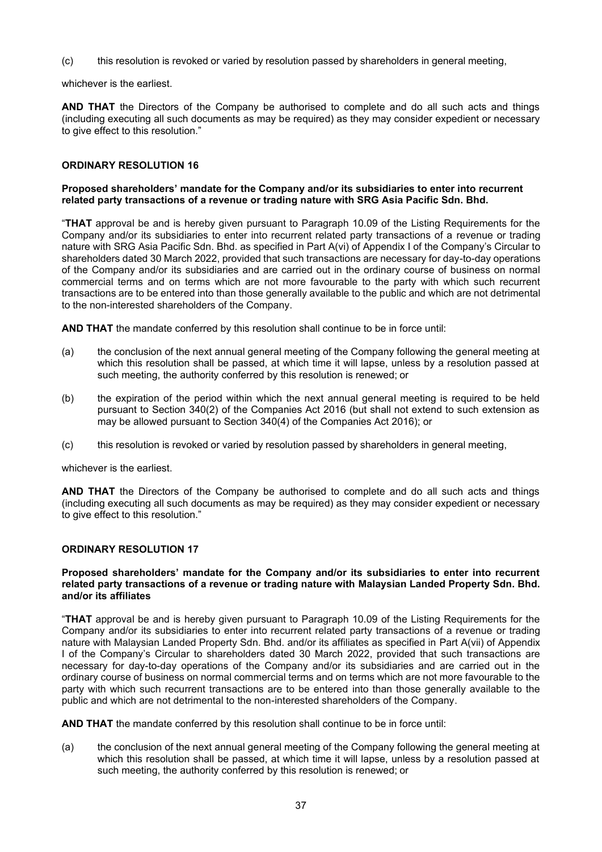(c) this resolution is revoked or varied by resolution passed by shareholders in general meeting,

whichever is the earliest.

**AND THAT** the Directors of the Company be authorised to complete and do all such acts and things (including executing all such documents as may be required) as they may consider expedient or necessary to give effect to this resolution."

### **ORDINARY RESOLUTION 16**

### **Proposed shareholders' mandate for the Company and/or its subsidiaries to enter into recurrent related party transactions of a revenue or trading nature with SRG Asia Pacific Sdn. Bhd.**

"**THAT** approval be and is hereby given pursuant to Paragraph 10.09 of the Listing Requirements for the Company and/or its subsidiaries to enter into recurrent related party transactions of a revenue or trading nature with SRG Asia Pacific Sdn. Bhd. as specified in Part A(vi) of Appendix I of the Company's Circular to shareholders dated 30 March 2022, provided that such transactions are necessary for day-to-day operations of the Company and/or its subsidiaries and are carried out in the ordinary course of business on normal commercial terms and on terms which are not more favourable to the party with which such recurrent transactions are to be entered into than those generally available to the public and which are not detrimental to the non-interested shareholders of the Company.

**AND THAT** the mandate conferred by this resolution shall continue to be in force until:

- (a) the conclusion of the next annual general meeting of the Company following the general meeting at which this resolution shall be passed, at which time it will lapse, unless by a resolution passed at such meeting, the authority conferred by this resolution is renewed; or
- (b) the expiration of the period within which the next annual general meeting is required to be held pursuant to Section 340(2) of the Companies Act 2016 (but shall not extend to such extension as may be allowed pursuant to Section 340(4) of the Companies Act 2016); or
- (c) this resolution is revoked or varied by resolution passed by shareholders in general meeting,

whichever is the earliest.

**AND THAT** the Directors of the Company be authorised to complete and do all such acts and things (including executing all such documents as may be required) as they may consider expedient or necessary to give effect to this resolution."

### **ORDINARY RESOLUTION 17**

### **Proposed shareholders' mandate for the Company and/or its subsidiaries to enter into recurrent related party transactions of a revenue or trading nature with Malaysian Landed Property Sdn. Bhd. and/or its affiliates**

"**THAT** approval be and is hereby given pursuant to Paragraph 10.09 of the Listing Requirements for the Company and/or its subsidiaries to enter into recurrent related party transactions of a revenue or trading nature with Malaysian Landed Property Sdn. Bhd. and/or its affiliates as specified in Part A(vii) of Appendix I of the Company's Circular to shareholders dated 30 March 2022, provided that such transactions are necessary for day-to-day operations of the Company and/or its subsidiaries and are carried out in the ordinary course of business on normal commercial terms and on terms which are not more favourable to the party with which such recurrent transactions are to be entered into than those generally available to the public and which are not detrimental to the non-interested shareholders of the Company.

**AND THAT** the mandate conferred by this resolution shall continue to be in force until:

(a) the conclusion of the next annual general meeting of the Company following the general meeting at which this resolution shall be passed, at which time it will lapse, unless by a resolution passed at such meeting, the authority conferred by this resolution is renewed; or